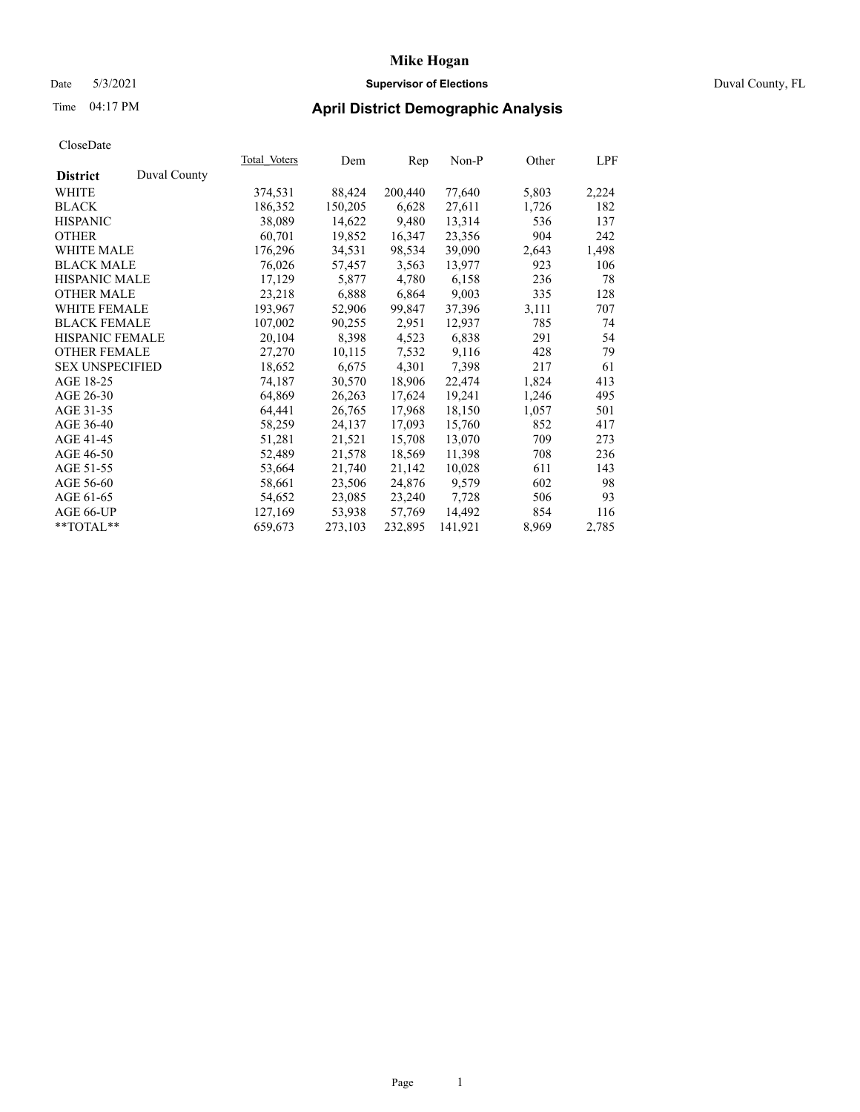## Date 5/3/2021 **Supervisor of Elections** Duval County, FL

## Time 04:17 PM **April District Demographic Analysis**

|                        |              | Total Voters | Dem     | Rep     | Non-P   | Other | LPF   |
|------------------------|--------------|--------------|---------|---------|---------|-------|-------|
| <b>District</b>        | Duval County |              |         |         |         |       |       |
| WHITE                  |              | 374,531      | 88,424  | 200,440 | 77,640  | 5,803 | 2,224 |
| <b>BLACK</b>           |              | 186,352      | 150,205 | 6,628   | 27,611  | 1,726 | 182   |
| <b>HISPANIC</b>        |              | 38,089       | 14,622  | 9,480   | 13,314  | 536   | 137   |
| <b>OTHER</b>           |              | 60,701       | 19,852  | 16,347  | 23,356  | 904   | 242   |
| WHITE MALE             |              | 176,296      | 34,531  | 98,534  | 39,090  | 2,643 | 1,498 |
| <b>BLACK MALE</b>      |              | 76,026       | 57,457  | 3,563   | 13,977  | 923   | 106   |
| <b>HISPANIC MALE</b>   |              | 17,129       | 5,877   | 4,780   | 6,158   | 236   | 78    |
| <b>OTHER MALE</b>      |              | 23,218       | 6,888   | 6,864   | 9,003   | 335   | 128   |
| <b>WHITE FEMALE</b>    |              | 193,967      | 52,906  | 99,847  | 37,396  | 3,111 | 707   |
| <b>BLACK FEMALE</b>    |              | 107,002      | 90,255  | 2,951   | 12,937  | 785   | 74    |
| <b>HISPANIC FEMALE</b> |              | 20,104       | 8,398   | 4,523   | 6,838   | 291   | 54    |
| <b>OTHER FEMALE</b>    |              | 27,270       | 10,115  | 7,532   | 9,116   | 428   | 79    |
| <b>SEX UNSPECIFIED</b> |              | 18,652       | 6,675   | 4,301   | 7,398   | 217   | 61    |
| AGE 18-25              |              | 74,187       | 30,570  | 18,906  | 22,474  | 1,824 | 413   |
| AGE 26-30              |              | 64,869       | 26,263  | 17,624  | 19,241  | 1,246 | 495   |
| AGE 31-35              |              | 64,441       | 26,765  | 17,968  | 18,150  | 1,057 | 501   |
| AGE 36-40              |              | 58,259       | 24,137  | 17,093  | 15,760  | 852   | 417   |
| AGE 41-45              |              | 51,281       | 21,521  | 15,708  | 13,070  | 709   | 273   |
| AGE 46-50              |              | 52,489       | 21,578  | 18,569  | 11,398  | 708   | 236   |
| AGE 51-55              |              | 53,664       | 21,740  | 21,142  | 10,028  | 611   | 143   |
| AGE 56-60              |              | 58,661       | 23,506  | 24,876  | 9,579   | 602   | 98    |
| AGE 61-65              |              | 54,652       | 23,085  | 23,240  | 7,728   | 506   | 93    |
| AGE 66-UP              |              | 127,169      | 53,938  | 57,769  | 14.492  | 854   | 116   |
| $*$ $TOTAL**$          |              | 659,673      | 273,103 | 232,895 | 141,921 | 8,969 | 2,785 |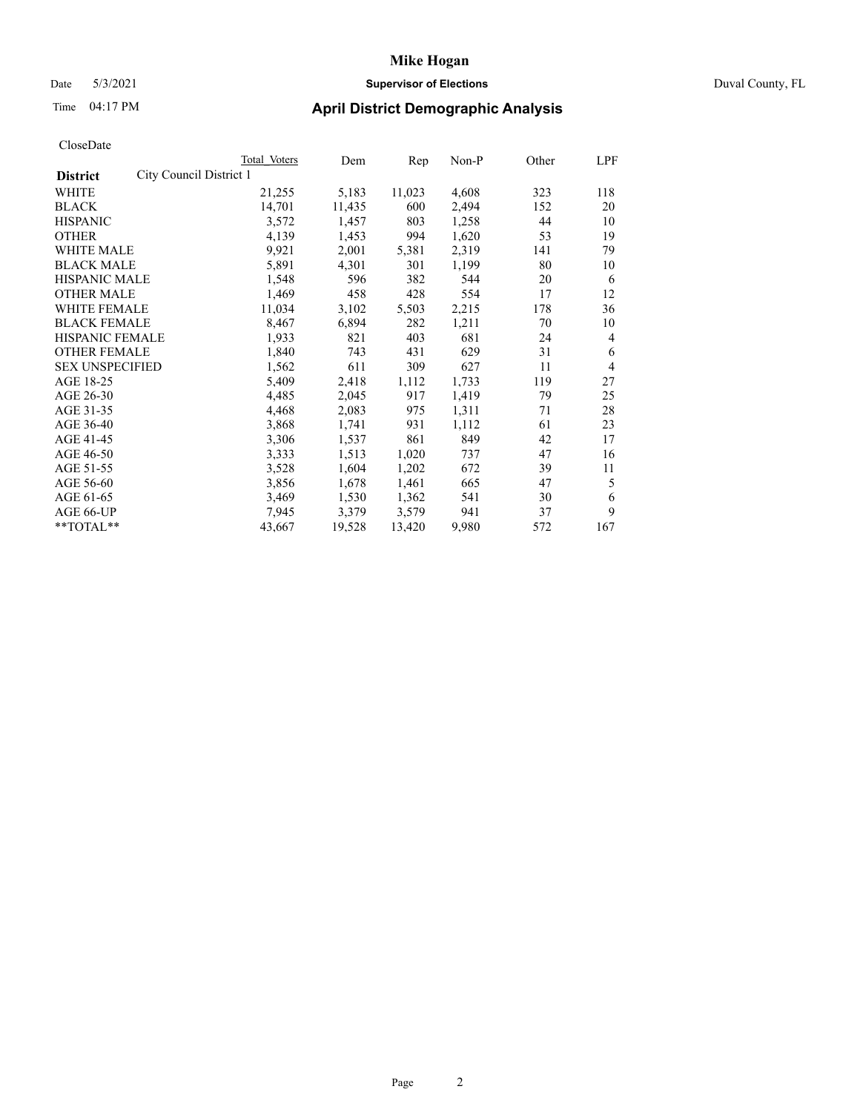### Date 5/3/2021 **Supervisor of Elections** Duval County, FL

| CloseDate |
|-----------|
|-----------|

|                                            | Total Voters | Dem    | $\mathbf{Rep}$ | Non-P | Other | LPF            |
|--------------------------------------------|--------------|--------|----------------|-------|-------|----------------|
| City Council District 1<br><b>District</b> |              |        |                |       |       |                |
| WHITE                                      | 21,255       | 5,183  | 11,023         | 4,608 | 323   | 118            |
| <b>BLACK</b>                               | 14,701       | 11,435 | 600            | 2,494 | 152   | 20             |
| <b>HISPANIC</b>                            | 3,572        | 1,457  | 803            | 1,258 | 44    | 10             |
| <b>OTHER</b>                               | 4,139        | 1,453  | 994            | 1,620 | 53    | 19             |
| WHITE MALE                                 | 9,921        | 2,001  | 5,381          | 2,319 | 141   | 79             |
| <b>BLACK MALE</b>                          | 5,891        | 4,301  | 301            | 1,199 | 80    | 10             |
| <b>HISPANIC MALE</b>                       | 1,548        | 596    | 382            | 544   | 20    | 6              |
| <b>OTHER MALE</b>                          | 1,469        | 458    | 428            | 554   | 17    | 12             |
| WHITE FEMALE                               | 11,034       | 3,102  | 5,503          | 2,215 | 178   | 36             |
| <b>BLACK FEMALE</b>                        | 8,467        | 6,894  | 282            | 1,211 | 70    | 10             |
| <b>HISPANIC FEMALE</b>                     | 1,933        | 821    | 403            | 681   | 24    | 4              |
| <b>OTHER FEMALE</b>                        | 1,840        | 743    | 431            | 629   | 31    | 6              |
| <b>SEX UNSPECIFIED</b>                     | 1,562        | 611    | 309            | 627   | 11    | $\overline{4}$ |
| AGE 18-25                                  | 5,409        | 2,418  | 1,112          | 1,733 | 119   | 27             |
| AGE 26-30                                  | 4,485        | 2,045  | 917            | 1,419 | 79    | 25             |
| AGE 31-35                                  | 4,468        | 2,083  | 975            | 1,311 | 71    | 28             |
| AGE 36-40                                  | 3,868        | 1,741  | 931            | 1,112 | 61    | 23             |
| AGE 41-45                                  | 3,306        | 1,537  | 861            | 849   | 42    | 17             |
| AGE 46-50                                  | 3,333        | 1,513  | 1,020          | 737   | 47    | 16             |
| AGE 51-55                                  | 3,528        | 1,604  | 1,202          | 672   | 39    | 11             |
| AGE 56-60                                  | 3,856        | 1,678  | 1,461          | 665   | 47    | 5              |
| AGE 61-65                                  | 3,469        | 1,530  | 1,362          | 541   | 30    | 6              |
| AGE 66-UP                                  | 7,945        | 3,379  | 3,579          | 941   | 37    | 9              |
| **TOTAL**                                  | 43,667       | 19,528 | 13,420         | 9,980 | 572   | 167            |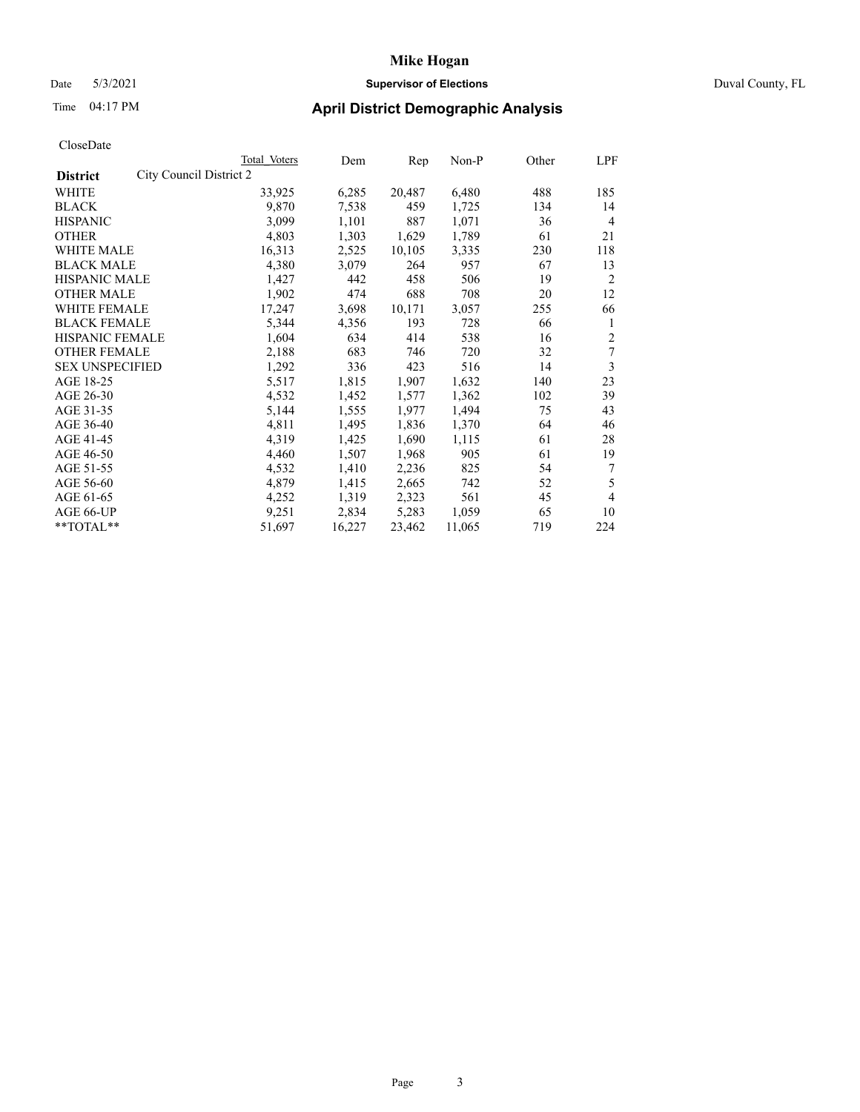### Date 5/3/2021 **Supervisor of Elections** Duval County, FL

## Time 04:17 PM **April District Demographic Analysis**

|                                            | Total Voters | Dem    | Rep    | Non-P  | Other | LPF            |
|--------------------------------------------|--------------|--------|--------|--------|-------|----------------|
| City Council District 2<br><b>District</b> |              |        |        |        |       |                |
| WHITE                                      | 33,925       | 6,285  | 20,487 | 6,480  | 488   | 185            |
| <b>BLACK</b>                               | 9,870        | 7,538  | 459    | 1,725  | 134   | 14             |
| <b>HISPANIC</b>                            | 3,099        | 1,101  | 887    | 1,071  | 36    | 4              |
| <b>OTHER</b>                               | 4,803        | 1,303  | 1,629  | 1,789  | 61    | 21             |
| WHITE MALE                                 | 16,313       | 2,525  | 10,105 | 3,335  | 230   | 118            |
| <b>BLACK MALE</b>                          | 4,380        | 3,079  | 264    | 957    | 67    | 13             |
| <b>HISPANIC MALE</b>                       | 1,427        | 442    | 458    | 506    | 19    | $\overline{2}$ |
| <b>OTHER MALE</b>                          | 1,902        | 474    | 688    | 708    | 20    | 12             |
| WHITE FEMALE                               | 17,247       | 3,698  | 10,171 | 3,057  | 255   | 66             |
| <b>BLACK FEMALE</b>                        | 5,344        | 4,356  | 193    | 728    | 66    | 1              |
| HISPANIC FEMALE                            | 1,604        | 634    | 414    | 538    | 16    | $\overline{2}$ |
| <b>OTHER FEMALE</b>                        | 2,188        | 683    | 746    | 720    | 32    | 7              |
| <b>SEX UNSPECIFIED</b>                     | 1,292        | 336    | 423    | 516    | 14    | 3              |
| AGE 18-25                                  | 5,517        | 1,815  | 1,907  | 1,632  | 140   | 23             |
| AGE 26-30                                  | 4,532        | 1,452  | 1,577  | 1,362  | 102   | 39             |
| AGE 31-35                                  | 5,144        | 1,555  | 1,977  | 1,494  | 75    | 43             |
| AGE 36-40                                  | 4,811        | 1,495  | 1,836  | 1,370  | 64    | 46             |
| AGE 41-45                                  | 4,319        | 1,425  | 1,690  | 1,115  | 61    | 28             |
| AGE 46-50                                  | 4,460        | 1,507  | 1,968  | 905    | 61    | 19             |
| AGE 51-55                                  | 4,532        | 1,410  | 2,236  | 825    | 54    | 7              |
| AGE 56-60                                  | 4,879        | 1,415  | 2,665  | 742    | 52    | 5              |
| AGE 61-65                                  | 4,252        | 1,319  | 2,323  | 561    | 45    | 4              |
| AGE 66-UP                                  | 9,251        | 2,834  | 5,283  | 1,059  | 65    | 10             |
| **TOTAL**                                  | 51,697       | 16,227 | 23,462 | 11,065 | 719   | 224            |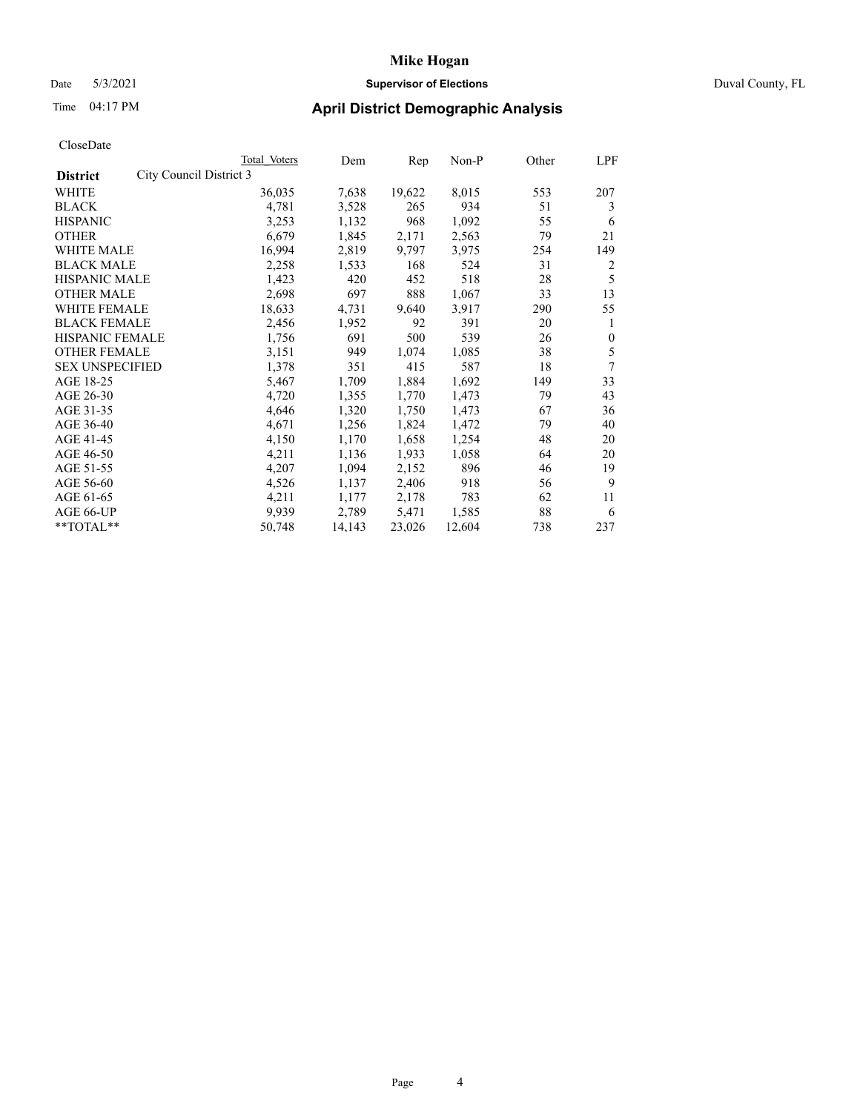### Date 5/3/2021 **Supervisor of Elections** Duval County, FL

| CloseDate |
|-----------|
|-----------|

|                                            | Total Voters | Dem    | Rep    | Non-P  | Other | LPF          |
|--------------------------------------------|--------------|--------|--------|--------|-------|--------------|
| City Council District 3<br><b>District</b> |              |        |        |        |       |              |
| WHITE                                      | 36,035       | 7,638  | 19,622 | 8,015  | 553   | 207          |
| <b>BLACK</b>                               | 4,781        | 3,528  | 265    | 934    | 51    | 3            |
| <b>HISPANIC</b>                            | 3,253        | 1,132  | 968    | 1,092  | 55    | 6            |
| <b>OTHER</b>                               | 6,679        | 1,845  | 2,171  | 2,563  | 79    | 21           |
| <b>WHITE MALE</b>                          | 16,994       | 2,819  | 9,797  | 3,975  | 254   | 149          |
| <b>BLACK MALE</b>                          | 2,258        | 1,533  | 168    | 524    | 31    | 2            |
| <b>HISPANIC MALE</b>                       | 1,423        | 420    | 452    | 518    | 28    | 5            |
| <b>OTHER MALE</b>                          | 2,698        | 697    | 888    | 1,067  | 33    | 13           |
| WHITE FEMALE                               | 18,633       | 4,731  | 9,640  | 3,917  | 290   | 55           |
| <b>BLACK FEMALE</b>                        | 2,456        | 1,952  | 92     | 391    | 20    | 1            |
| HISPANIC FEMALE                            | 1,756        | 691    | 500    | 539    | 26    | $\mathbf{0}$ |
| <b>OTHER FEMALE</b>                        | 3,151        | 949    | 1,074  | 1,085  | 38    | 5            |
| <b>SEX UNSPECIFIED</b>                     | 1,378        | 351    | 415    | 587    | 18    | 7            |
| AGE 18-25                                  | 5,467        | 1,709  | 1,884  | 1,692  | 149   | 33           |
| AGE 26-30                                  | 4,720        | 1,355  | 1,770  | 1,473  | 79    | 43           |
| AGE 31-35                                  | 4,646        | 1,320  | 1,750  | 1,473  | 67    | 36           |
| AGE 36-40                                  | 4,671        | 1,256  | 1,824  | 1,472  | 79    | 40           |
| AGE 41-45                                  | 4,150        | 1,170  | 1,658  | 1,254  | 48    | 20           |
| AGE 46-50                                  | 4,211        | 1,136  | 1,933  | 1,058  | 64    | 20           |
| AGE 51-55                                  | 4,207        | 1,094  | 2,152  | 896    | 46    | 19           |
| AGE 56-60                                  | 4,526        | 1,137  | 2,406  | 918    | 56    | 9            |
| AGE 61-65                                  | 4,211        | 1,177  | 2,178  | 783    | 62    | 11           |
| AGE 66-UP                                  | 9,939        | 2,789  | 5,471  | 1,585  | 88    | 6            |
| **TOTAL**                                  | 50,748       | 14,143 | 23,026 | 12,604 | 738   | 237          |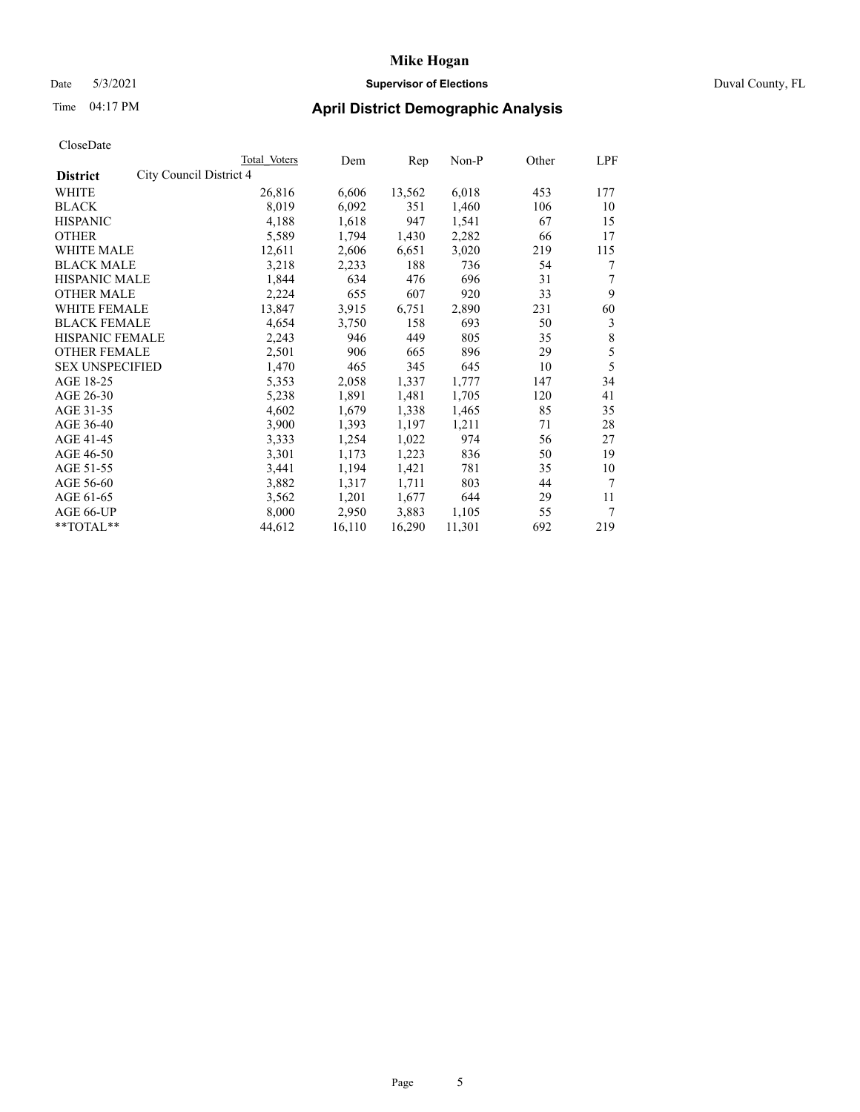## Date 5/3/2021 **Supervisor of Elections** Duval County, FL

| CloseDate |
|-----------|
|-----------|

|                                            | Total Voters | Dem    | Rep    | Non-P  | Other | LPF |
|--------------------------------------------|--------------|--------|--------|--------|-------|-----|
| City Council District 4<br><b>District</b> |              |        |        |        |       |     |
| WHITE                                      | 26,816       | 6,606  | 13,562 | 6,018  | 453   | 177 |
| <b>BLACK</b>                               | 8,019        | 6,092  | 351    | 1,460  | 106   | 10  |
| <b>HISPANIC</b>                            | 4,188        | 1,618  | 947    | 1,541  | 67    | 15  |
| <b>OTHER</b>                               | 5,589        | 1,794  | 1,430  | 2,282  | 66    | 17  |
| <b>WHITE MALE</b>                          | 12,611       | 2,606  | 6,651  | 3,020  | 219   | 115 |
| <b>BLACK MALE</b>                          | 3,218        | 2,233  | 188    | 736    | 54    | 7   |
| <b>HISPANIC MALE</b>                       | 1,844        | 634    | 476    | 696    | 31    | 7   |
| <b>OTHER MALE</b>                          | 2,224        | 655    | 607    | 920    | 33    | 9   |
| <b>WHITE FEMALE</b>                        | 13,847       | 3,915  | 6,751  | 2,890  | 231   | 60  |
| <b>BLACK FEMALE</b>                        | 4,654        | 3,750  | 158    | 693    | 50    | 3   |
| <b>HISPANIC FEMALE</b>                     | 2,243        | 946    | 449    | 805    | 35    | 8   |
| <b>OTHER FEMALE</b>                        | 2,501        | 906    | 665    | 896    | 29    | 5   |
| <b>SEX UNSPECIFIED</b>                     | 1,470        | 465    | 345    | 645    | 10    | 5   |
| AGE 18-25                                  | 5,353        | 2,058  | 1,337  | 1,777  | 147   | 34  |
| AGE 26-30                                  | 5,238        | 1,891  | 1,481  | 1,705  | 120   | 41  |
| AGE 31-35                                  | 4,602        | 1,679  | 1,338  | 1,465  | 85    | 35  |
| AGE 36-40                                  | 3,900        | 1,393  | 1,197  | 1,211  | 71    | 28  |
| AGE 41-45                                  | 3,333        | 1,254  | 1,022  | 974    | 56    | 27  |
| AGE 46-50                                  | 3,301        | 1,173  | 1,223  | 836    | 50    | 19  |
| AGE 51-55                                  | 3,441        | 1,194  | 1,421  | 781    | 35    | 10  |
| AGE 56-60                                  | 3,882        | 1,317  | 1,711  | 803    | 44    | 7   |
| AGE 61-65                                  | 3,562        | 1,201  | 1,677  | 644    | 29    | 11  |
| AGE 66-UP                                  | 8,000        | 2,950  | 3,883  | 1,105  | 55    | 7   |
| $*$ $TOTAL**$                              | 44,612       | 16,110 | 16,290 | 11,301 | 692   | 219 |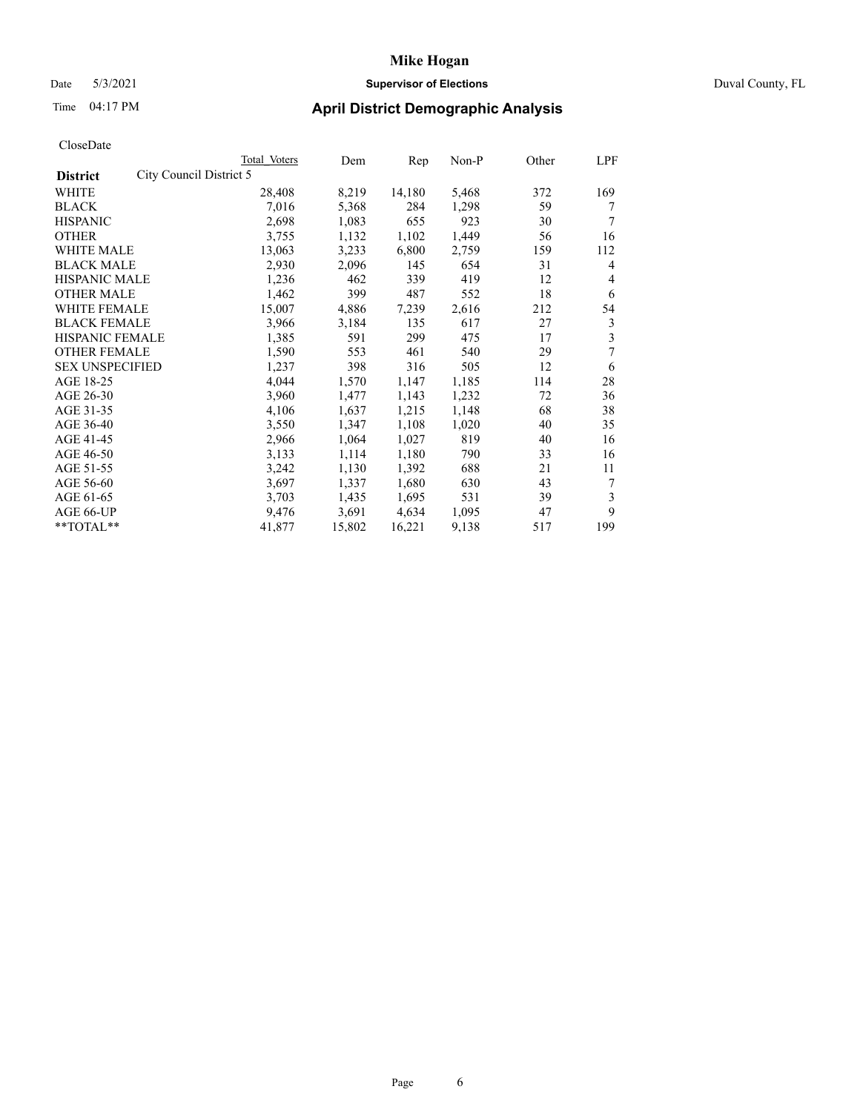### Date 5/3/2021 **Supervisor of Elections** Duval County, FL

## Time 04:17 PM **April District Demographic Analysis**

| Total Voters            | Dem    | Rep    | Non-P | Other | LPF |
|-------------------------|--------|--------|-------|-------|-----|
| City Council District 5 |        |        |       |       |     |
| 28,408                  | 8,219  | 14,180 | 5,468 | 372   | 169 |
| 7,016                   | 5,368  | 284    | 1,298 | 59    | 7   |
| 2,698                   | 1,083  | 655    | 923   | 30    | 7   |
| 3,755                   | 1,132  | 1,102  | 1,449 | 56    | 16  |
| 13,063                  | 3,233  | 6,800  | 2,759 | 159   | 112 |
| 2,930                   | 2,096  | 145    | 654   | 31    | 4   |
| 1,236                   | 462    | 339    | 419   | 12    | 4   |
| 1,462                   | 399    | 487    | 552   | 18    | 6   |
| 15,007                  | 4,886  | 7,239  | 2,616 | 212   | 54  |
| 3,966                   | 3,184  | 135    | 617   | 27    | 3   |
| 1,385                   | 591    | 299    | 475   | 17    | 3   |
| 1,590                   | 553    | 461    | 540   | 29    | 7   |
| 1,237                   | 398    | 316    | 505   | 12    | 6   |
| 4,044                   | 1,570  | 1,147  | 1,185 | 114   | 28  |
| 3,960                   | 1,477  | 1,143  | 1,232 | 72    | 36  |
| 4,106                   | 1,637  | 1,215  | 1,148 | 68    | 38  |
| 3,550                   | 1,347  | 1,108  | 1,020 | 40    | 35  |
| 2,966                   | 1,064  | 1,027  | 819   | 40    | 16  |
| 3,133                   | 1,114  | 1,180  | 790   | 33    | 16  |
| 3,242                   | 1,130  | 1,392  | 688   | 21    | 11  |
| 3,697                   | 1,337  | 1,680  | 630   | 43    | 7   |
| 3,703                   | 1,435  | 1,695  | 531   | 39    | 3   |
| 9,476                   | 3,691  | 4,634  | 1,095 | 47    | 9   |
| 41,877                  | 15,802 | 16,221 | 9,138 | 517   | 199 |
|                         |        |        |       |       |     |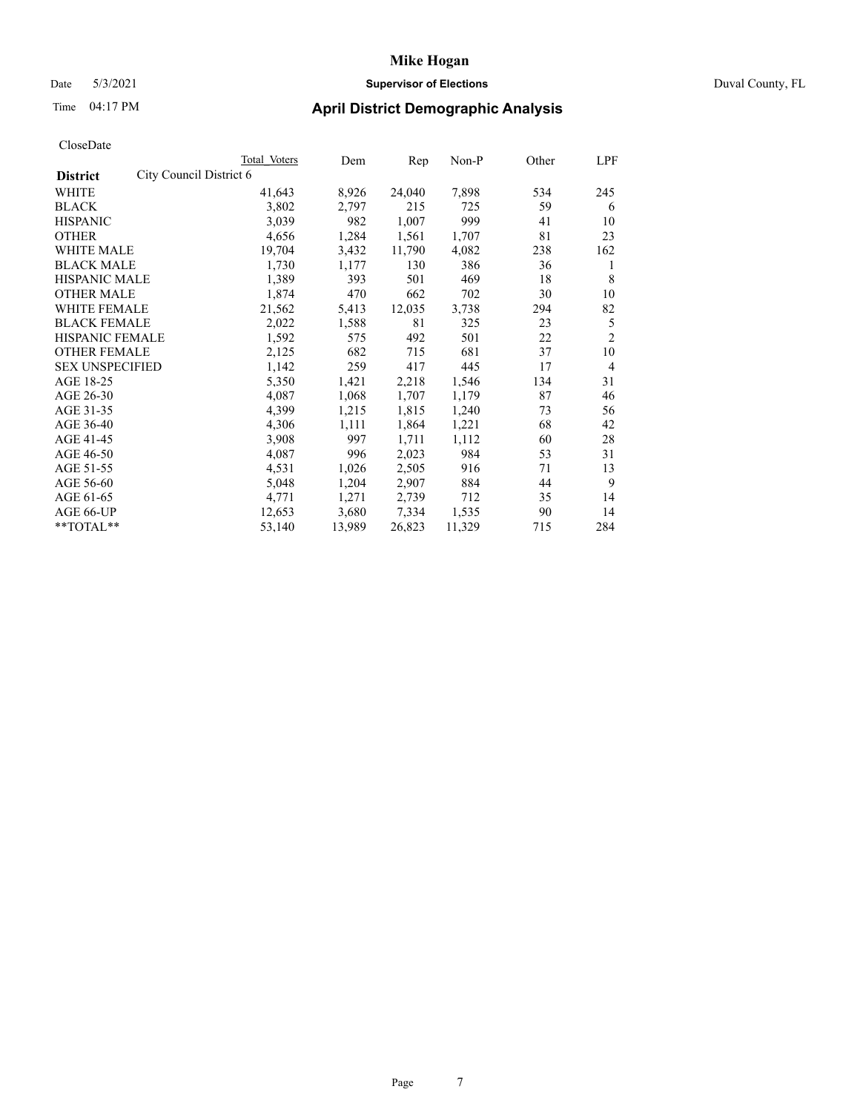## Date 5/3/2021 **Supervisor of Elections** Duval County, FL

| CloseDate |
|-----------|
|-----------|

|                                            | Total Voters | Dem    | $\mathbf{Rep}$ | $Non-P$ | Other | LPF            |
|--------------------------------------------|--------------|--------|----------------|---------|-------|----------------|
| City Council District 6<br><b>District</b> |              |        |                |         |       |                |
| WHITE                                      | 41,643       | 8,926  | 24,040         | 7,898   | 534   | 245            |
| <b>BLACK</b>                               | 3,802        | 2,797  | 215            | 725     | 59    | 6              |
| <b>HISPANIC</b>                            | 3,039        | 982    | 1,007          | 999     | 41    | 10             |
| <b>OTHER</b>                               | 4,656        | 1,284  | 1,561          | 1,707   | 81    | 23             |
| WHITE MALE                                 | 19,704       | 3,432  | 11,790         | 4,082   | 238   | 162            |
| <b>BLACK MALE</b>                          | 1,730        | 1,177  | 130            | 386     | 36    | 1              |
| <b>HISPANIC MALE</b>                       | 1,389        | 393    | 501            | 469     | 18    | 8              |
| <b>OTHER MALE</b>                          | 1,874        | 470    | 662            | 702     | 30    | 10             |
| <b>WHITE FEMALE</b>                        | 21,562       | 5,413  | 12,035         | 3,738   | 294   | 82             |
| <b>BLACK FEMALE</b>                        | 2,022        | 1,588  | 81             | 325     | 23    | 5              |
| <b>HISPANIC FEMALE</b>                     | 1,592        | 575    | 492            | 501     | 22    | $\overline{2}$ |
| <b>OTHER FEMALE</b>                        | 2,125        | 682    | 715            | 681     | 37    | 10             |
| <b>SEX UNSPECIFIED</b>                     | 1,142        | 259    | 417            | 445     | 17    | $\overline{4}$ |
| AGE 18-25                                  | 5,350        | 1,421  | 2,218          | 1,546   | 134   | 31             |
| AGE 26-30                                  | 4,087        | 1,068  | 1,707          | 1,179   | 87    | 46             |
| AGE 31-35                                  | 4,399        | 1,215  | 1,815          | 1,240   | 73    | 56             |
| AGE 36-40                                  | 4,306        | 1,111  | 1,864          | 1,221   | 68    | 42             |
| AGE 41-45                                  | 3,908        | 997    | 1,711          | 1,112   | 60    | 28             |
| AGE 46-50                                  | 4,087        | 996    | 2,023          | 984     | 53    | 31             |
| AGE 51-55                                  | 4,531        | 1,026  | 2,505          | 916     | 71    | 13             |
| AGE 56-60                                  | 5,048        | 1,204  | 2,907          | 884     | 44    | 9              |
| AGE 61-65                                  | 4,771        | 1,271  | 2,739          | 712     | 35    | 14             |
| AGE 66-UP                                  | 12,653       | 3,680  | 7,334          | 1,535   | 90    | 14             |
| **TOTAL**                                  | 53,140       | 13,989 | 26,823         | 11,329  | 715   | 284            |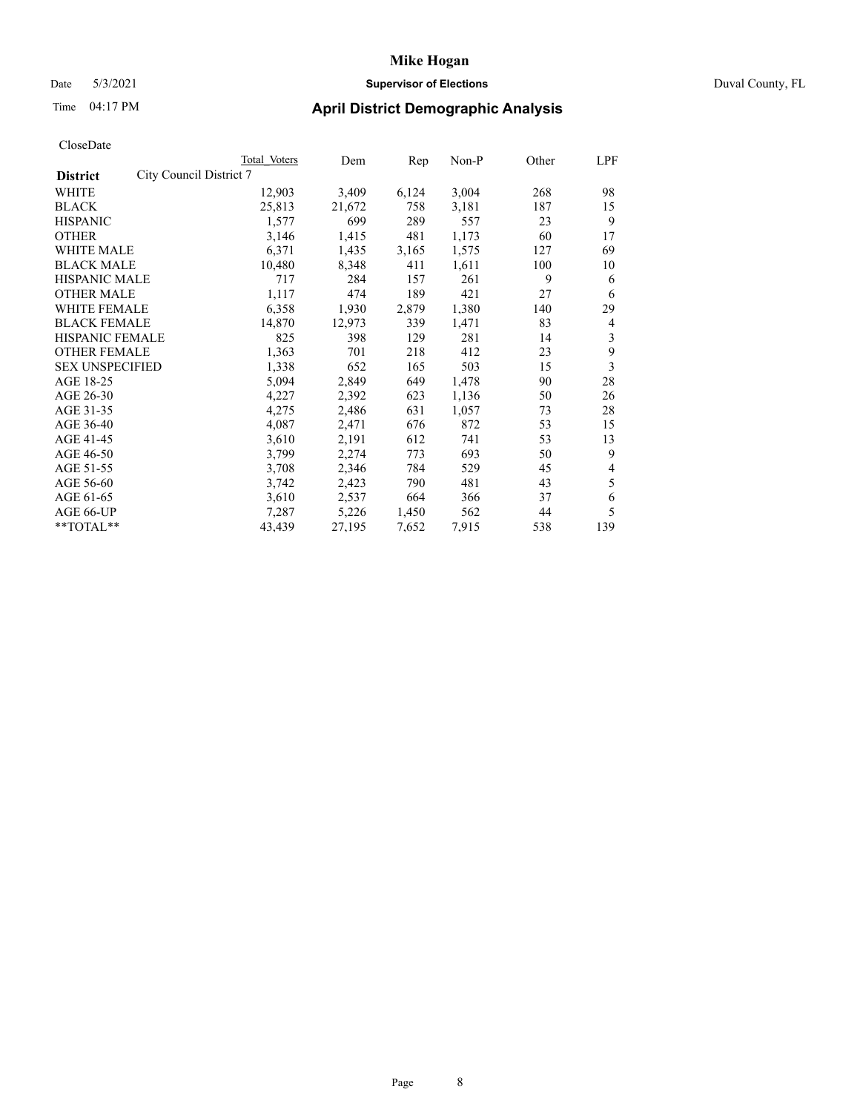## Date 5/3/2021 **Supervisor of Elections** Duval County, FL

| CloseDate |
|-----------|
|-----------|

|                                            | Total Voters | Dem    | Rep   | Non-P | Other | LPF |
|--------------------------------------------|--------------|--------|-------|-------|-------|-----|
| City Council District 7<br><b>District</b> |              |        |       |       |       |     |
| WHITE                                      | 12,903       | 3,409  | 6,124 | 3,004 | 268   | 98  |
| <b>BLACK</b>                               | 25,813       | 21,672 | 758   | 3,181 | 187   | 15  |
| <b>HISPANIC</b>                            | 1,577        | 699    | 289   | 557   | 23    | 9   |
| <b>OTHER</b>                               | 3,146        | 1,415  | 481   | 1,173 | 60    | 17  |
| <b>WHITE MALE</b>                          | 6,371        | 1,435  | 3,165 | 1,575 | 127   | 69  |
| <b>BLACK MALE</b>                          | 10,480       | 8,348  | 411   | 1,611 | 100   | 10  |
| <b>HISPANIC MALE</b>                       | 717          | 284    | 157   | 261   | 9     | 6   |
| <b>OTHER MALE</b>                          | 1,117        | 474    | 189   | 421   | 27    | 6   |
| <b>WHITE FEMALE</b>                        | 6,358        | 1,930  | 2,879 | 1,380 | 140   | 29  |
| <b>BLACK FEMALE</b>                        | 14,870       | 12,973 | 339   | 1,471 | 83    | 4   |
| <b>HISPANIC FEMALE</b>                     | 825          | 398    | 129   | 281   | 14    | 3   |
| <b>OTHER FEMALE</b>                        | 1,363        | 701    | 218   | 412   | 23    | 9   |
| <b>SEX UNSPECIFIED</b>                     | 1,338        | 652    | 165   | 503   | 15    | 3   |
| AGE 18-25                                  | 5,094        | 2,849  | 649   | 1,478 | 90    | 28  |
| AGE 26-30                                  | 4,227        | 2,392  | 623   | 1,136 | 50    | 26  |
| AGE 31-35                                  | 4,275        | 2,486  | 631   | 1,057 | 73    | 28  |
| AGE 36-40                                  | 4,087        | 2,471  | 676   | 872   | 53    | 15  |
| AGE 41-45                                  | 3,610        | 2,191  | 612   | 741   | 53    | 13  |
| AGE 46-50                                  | 3,799        | 2,274  | 773   | 693   | 50    | 9   |
| AGE 51-55                                  | 3,708        | 2,346  | 784   | 529   | 45    | 4   |
| AGE 56-60                                  | 3,742        | 2,423  | 790   | 481   | 43    | 5   |
| AGE 61-65                                  | 3,610        | 2,537  | 664   | 366   | 37    | 6   |
| AGE 66-UP                                  | 7,287        | 5,226  | 1,450 | 562   | 44    | 5   |
| **TOTAL**                                  | 43,439       | 27,195 | 7,652 | 7,915 | 538   | 139 |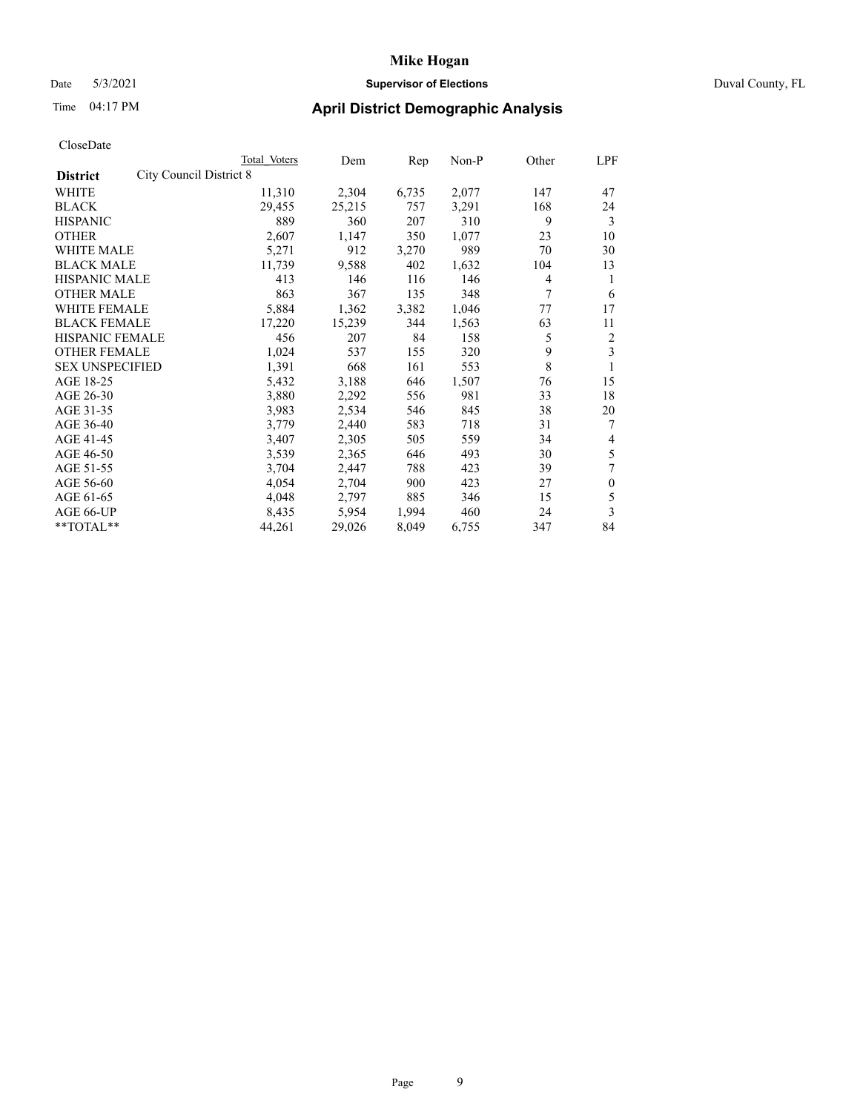### Date 5/3/2021 **Supervisor of Elections** Duval County, FL

| CloseDate |
|-----------|
|-----------|

|                                            | <b>Total Voters</b> | Dem    | Rep   | Non-P | Other | LPF          |
|--------------------------------------------|---------------------|--------|-------|-------|-------|--------------|
| City Council District 8<br><b>District</b> |                     |        |       |       |       |              |
| WHITE                                      | 11,310              | 2,304  | 6,735 | 2,077 | 147   | 47           |
| <b>BLACK</b>                               | 29,455              | 25,215 | 757   | 3,291 | 168   | 24           |
| <b>HISPANIC</b>                            | 889                 | 360    | 207   | 310   | 9     | 3            |
| <b>OTHER</b>                               | 2,607               | 1,147  | 350   | 1,077 | 23    | 10           |
| <b>WHITE MALE</b>                          | 5,271               | 912    | 3,270 | 989   | 70    | 30           |
| <b>BLACK MALE</b>                          | 11,739              | 9,588  | 402   | 1,632 | 104   | 13           |
| <b>HISPANIC MALE</b>                       | 413                 | 146    | 116   | 146   | 4     | 1            |
| <b>OTHER MALE</b>                          | 863                 | 367    | 135   | 348   | 7     | 6            |
| <b>WHITE FEMALE</b>                        | 5,884               | 1,362  | 3,382 | 1,046 | 77    | 17           |
| <b>BLACK FEMALE</b>                        | 17,220              | 15,239 | 344   | 1,563 | 63    | 11           |
| <b>HISPANIC FEMALE</b>                     | 456                 | 207    | 84    | 158   | 5     | 2            |
| <b>OTHER FEMALE</b>                        | 1,024               | 537    | 155   | 320   | 9     | 3            |
| <b>SEX UNSPECIFIED</b>                     | 1,391               | 668    | 161   | 553   | 8     | 1            |
| AGE 18-25                                  | 5,432               | 3,188  | 646   | 1,507 | 76    | 15           |
| AGE 26-30                                  | 3,880               | 2,292  | 556   | 981   | 33    | 18           |
| AGE 31-35                                  | 3,983               | 2,534  | 546   | 845   | 38    | 20           |
| AGE 36-40                                  | 3,779               | 2,440  | 583   | 718   | 31    | 7            |
| AGE 41-45                                  | 3,407               | 2,305  | 505   | 559   | 34    | 4            |
| AGE 46-50                                  | 3,539               | 2,365  | 646   | 493   | 30    | 5            |
| AGE 51-55                                  | 3,704               | 2,447  | 788   | 423   | 39    | 7            |
| AGE 56-60                                  | 4,054               | 2,704  | 900   | 423   | 27    | $\mathbf{0}$ |
| AGE 61-65                                  | 4,048               | 2,797  | 885   | 346   | 15    | 5            |
| AGE 66-UP                                  | 8,435               | 5,954  | 1,994 | 460   | 24    | 3            |
| **TOTAL**                                  | 44,261              | 29,026 | 8,049 | 6,755 | 347   | 84           |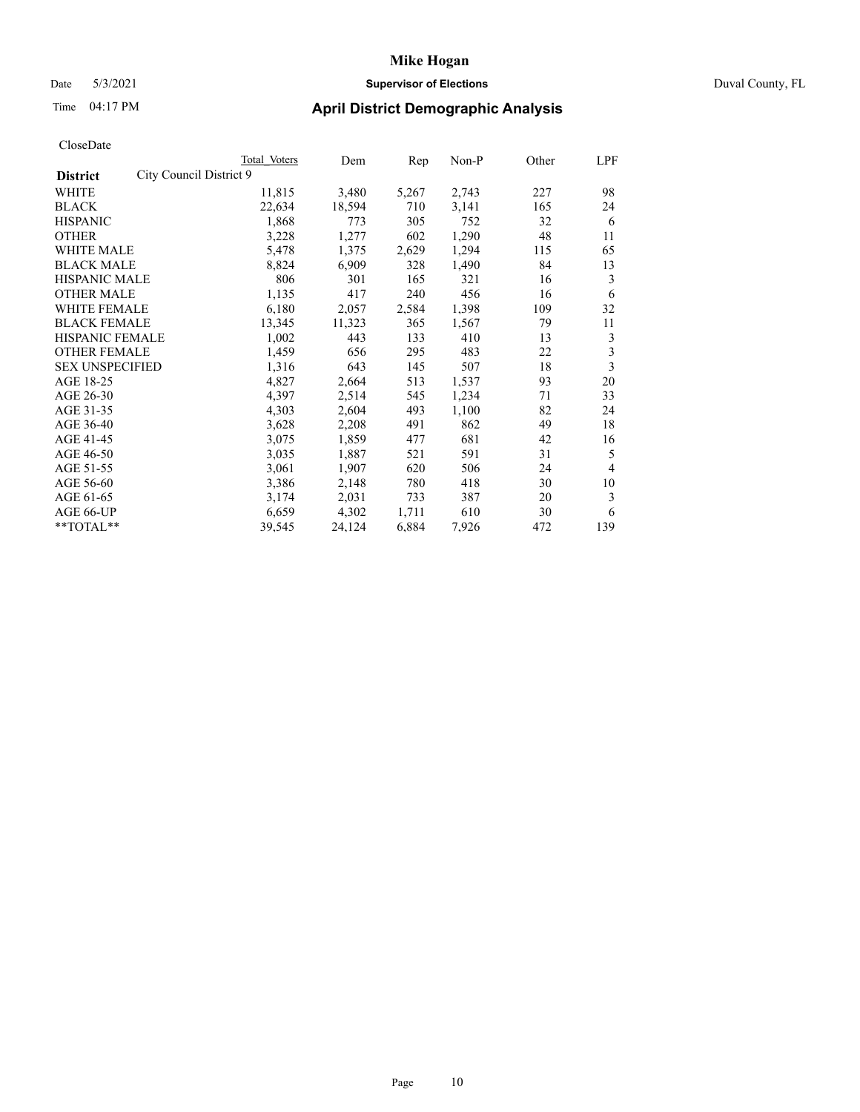### Date 5/3/2021 **Supervisor of Elections** Duval County, FL

| CloseDate |
|-----------|
|-----------|

| Total Voters | Dem                     | Rep   | Non-P | Other | LPF            |
|--------------|-------------------------|-------|-------|-------|----------------|
|              |                         |       |       |       |                |
| 11,815       | 3,480                   | 5,267 | 2,743 | 227   | 98             |
| 22,634       | 18,594                  | 710   | 3,141 | 165   | 24             |
| 1,868        | 773                     | 305   | 752   | 32    | 6              |
| 3,228        | 1,277                   | 602   | 1,290 | 48    | 11             |
| 5,478        | 1,375                   | 2,629 | 1,294 | 115   | 65             |
| 8,824        | 6,909                   | 328   | 1,490 | 84    | 13             |
| 806          | 301                     | 165   | 321   | 16    | 3              |
| 1,135        | 417                     | 240   | 456   | 16    | 6              |
| 6,180        | 2,057                   | 2,584 | 1,398 | 109   | 32             |
| 13,345       | 11,323                  | 365   | 1,567 | 79    | 11             |
| 1,002        | 443                     | 133   | 410   | 13    | 3              |
| 1,459        | 656                     | 295   | 483   | 22    | 3              |
| 1,316        | 643                     | 145   | 507   | 18    | 3              |
| 4,827        | 2,664                   | 513   | 1,537 | 93    | 20             |
| 4,397        | 2,514                   | 545   | 1,234 | 71    | 33             |
| 4,303        | 2,604                   | 493   | 1,100 | 82    | 24             |
| 3,628        | 2,208                   | 491   | 862   | 49    | 18             |
| 3,075        | 1,859                   | 477   | 681   | 42    | 16             |
| 3,035        | 1,887                   | 521   | 591   | 31    | 5              |
| 3,061        | 1,907                   | 620   | 506   | 24    | $\overline{4}$ |
| 3,386        | 2,148                   | 780   | 418   | 30    | 10             |
| 3,174        | 2,031                   | 733   | 387   | 20    | 3              |
| 6,659        | 4,302                   | 1,711 | 610   | 30    | 6              |
| 39,545       | 24,124                  | 6,884 | 7,926 | 472   | 139            |
|              | City Council District 9 |       |       |       |                |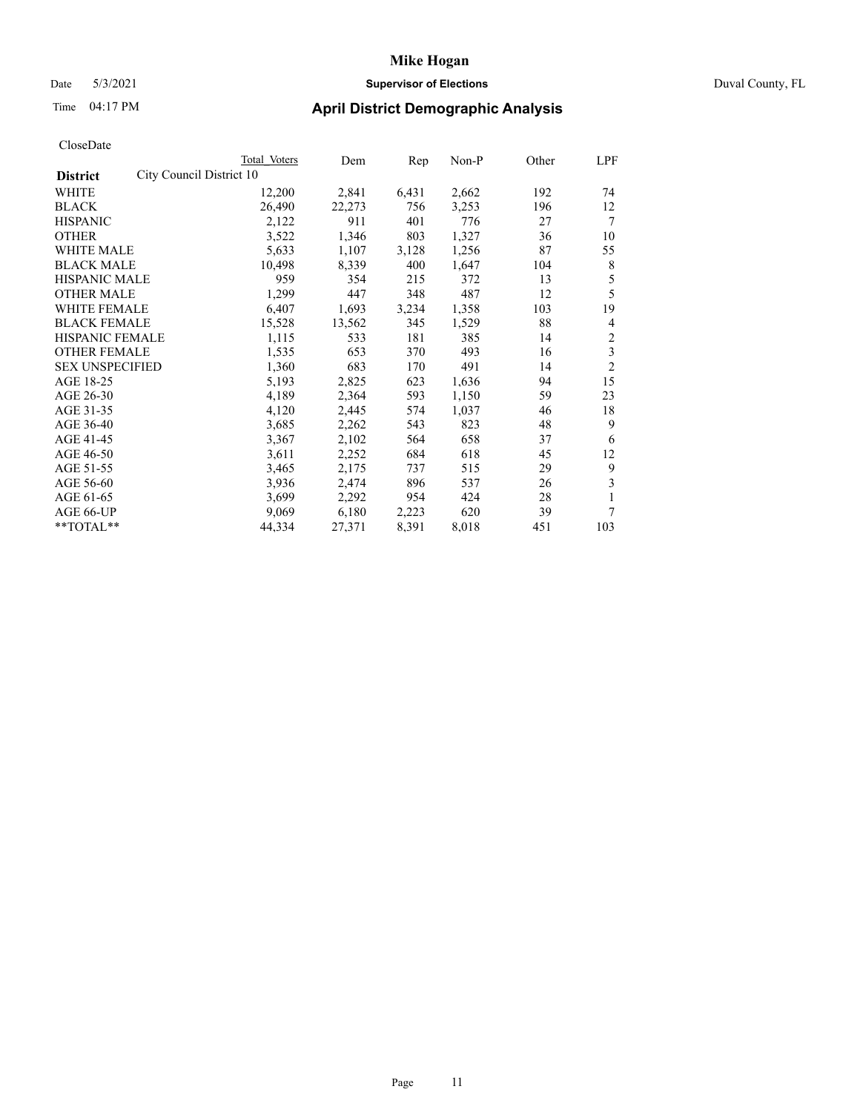### Date 5/3/2021 **Supervisor of Elections** Duval County, FL

| CloseDate |
|-----------|
|-----------|

|                                             | Total Voters | Dem    | $\mathbf{Rep}$ | Non-P | Other | LPF            |
|---------------------------------------------|--------------|--------|----------------|-------|-------|----------------|
| City Council District 10<br><b>District</b> |              |        |                |       |       |                |
| WHITE                                       | 12,200       | 2,841  | 6,431          | 2,662 | 192   | 74             |
| <b>BLACK</b>                                | 26,490       | 22,273 | 756            | 3,253 | 196   | 12             |
| <b>HISPANIC</b>                             | 2,122        | 911    | 401            | 776   | 27    | 7              |
| <b>OTHER</b>                                | 3,522        | 1,346  | 803            | 1,327 | 36    | 10             |
| WHITE MALE                                  | 5,633        | 1,107  | 3,128          | 1,256 | 87    | 55             |
| <b>BLACK MALE</b>                           | 10,498       | 8,339  | 400            | 1,647 | 104   | 8              |
| <b>HISPANIC MALE</b>                        | 959          | 354    | 215            | 372   | 13    | 5              |
| <b>OTHER MALE</b>                           | 1,299        | 447    | 348            | 487   | 12    | 5              |
| <b>WHITE FEMALE</b>                         | 6,407        | 1,693  | 3,234          | 1,358 | 103   | 19             |
| <b>BLACK FEMALE</b>                         | 15,528       | 13,562 | 345            | 1,529 | 88    | 4              |
| <b>HISPANIC FEMALE</b>                      | 1,115        | 533    | 181            | 385   | 14    | 2              |
| <b>OTHER FEMALE</b>                         | 1,535        | 653    | 370            | 493   | 16    | 3              |
| <b>SEX UNSPECIFIED</b>                      | 1,360        | 683    | 170            | 491   | 14    | $\overline{2}$ |
| AGE 18-25                                   | 5,193        | 2,825  | 623            | 1,636 | 94    | 15             |
| AGE 26-30                                   | 4,189        | 2,364  | 593            | 1,150 | 59    | 23             |
| AGE 31-35                                   | 4,120        | 2,445  | 574            | 1,037 | 46    | 18             |
| AGE 36-40                                   | 3,685        | 2,262  | 543            | 823   | 48    | 9              |
| AGE 41-45                                   | 3,367        | 2,102  | 564            | 658   | 37    | 6              |
| AGE 46-50                                   | 3,611        | 2,252  | 684            | 618   | 45    | 12             |
| AGE 51-55                                   | 3,465        | 2,175  | 737            | 515   | 29    | 9              |
| AGE 56-60                                   | 3,936        | 2,474  | 896            | 537   | 26    | 3              |
| AGE 61-65                                   | 3,699        | 2,292  | 954            | 424   | 28    |                |
| AGE 66-UP                                   | 9,069        | 6,180  | 2,223          | 620   | 39    | 7              |
| **TOTAL**                                   | 44,334       | 27,371 | 8,391          | 8,018 | 451   | 103            |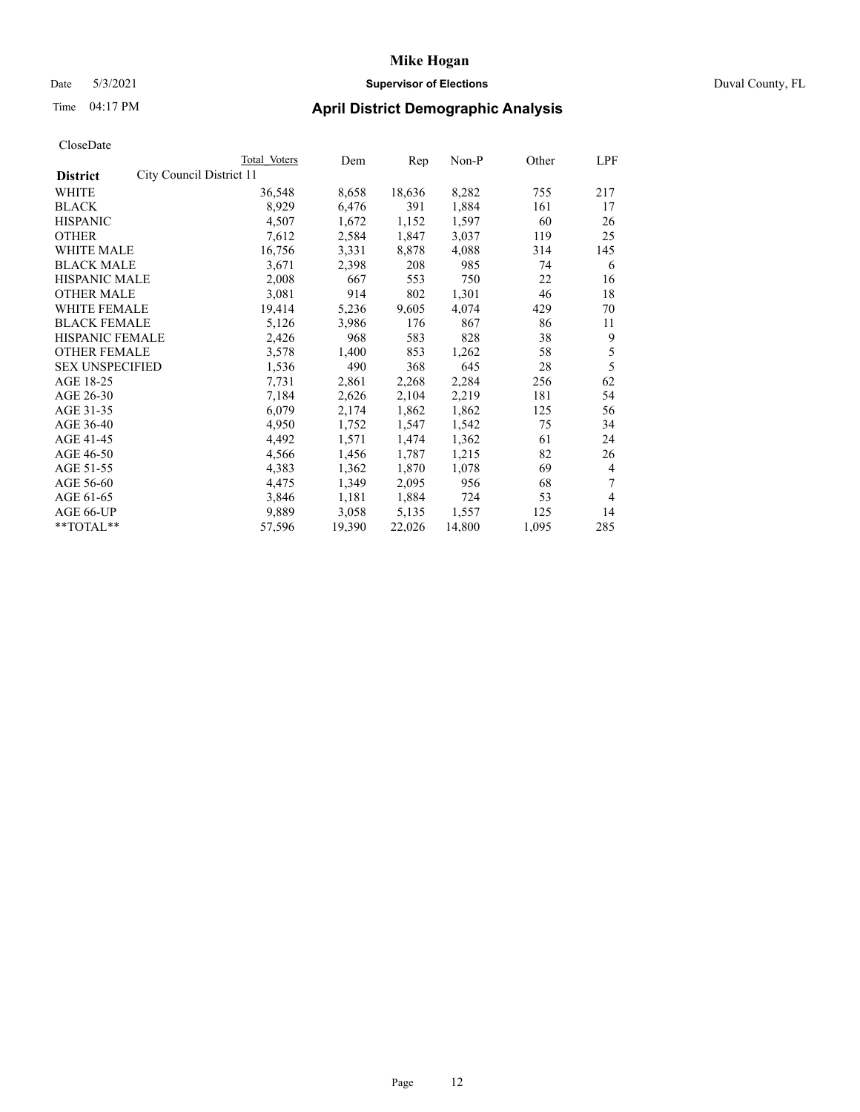### Date 5/3/2021 **Supervisor of Elections** Duval County, FL

| CloseDate |
|-----------|
|-----------|

| Total Voters | Dem                      | Rep    | Non-P  | Other | LPF            |
|--------------|--------------------------|--------|--------|-------|----------------|
|              |                          |        |        |       |                |
| 36,548       | 8,658                    | 18,636 | 8,282  | 755   | 217            |
| 8,929        | 6,476                    | 391    | 1,884  | 161   | 17             |
| 4,507        | 1,672                    | 1,152  | 1,597  | 60    | 26             |
| 7,612        | 2,584                    | 1,847  | 3,037  | 119   | 25             |
| 16,756       | 3,331                    | 8,878  | 4,088  | 314   | 145            |
| 3,671        | 2,398                    | 208    | 985    | 74    | 6              |
| 2,008        | 667                      | 553    | 750    | 22    | 16             |
| 3,081        | 914                      | 802    | 1,301  | 46    | 18             |
| 19,414       | 5,236                    | 9,605  | 4,074  | 429   | 70             |
| 5,126        | 3,986                    | 176    | 867    | 86    | 11             |
| 2,426        | 968                      | 583    | 828    | 38    | 9              |
| 3,578        | 1,400                    | 853    | 1,262  | 58    | 5              |
| 1,536        | 490                      | 368    | 645    | 28    | 5              |
| 7,731        | 2,861                    | 2,268  | 2,284  | 256   | 62             |
| 7,184        | 2,626                    | 2,104  | 2,219  | 181   | 54             |
| 6,079        | 2,174                    | 1,862  | 1,862  | 125   | 56             |
| 4,950        | 1,752                    | 1,547  | 1,542  | 75    | 34             |
| 4,492        | 1,571                    | 1,474  | 1,362  | 61    | 24             |
| 4,566        | 1,456                    | 1,787  | 1,215  | 82    | 26             |
| 4,383        | 1,362                    | 1,870  | 1,078  | 69    | $\overline{4}$ |
| 4,475        | 1,349                    | 2,095  | 956    | 68    | 7              |
| 3,846        | 1,181                    | 1,884  | 724    | 53    | $\overline{4}$ |
| 9,889        | 3,058                    | 5,135  | 1,557  | 125   | 14             |
| 57,596       | 19,390                   | 22,026 | 14,800 | 1,095 | 285            |
|              | City Council District 11 |        |        |       |                |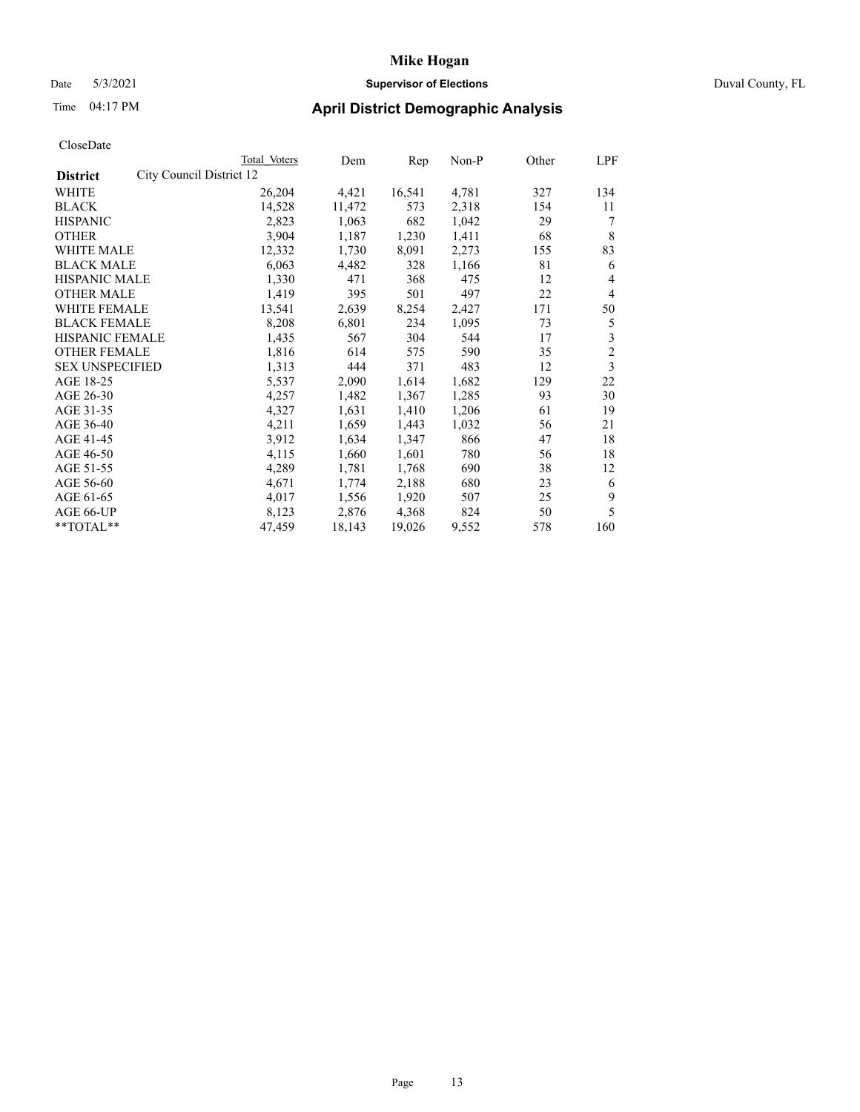### Date 5/3/2021 **Supervisor of Elections** Duval County, FL

| CloseDate |
|-----------|
|-----------|

|                        | Total Voters             | Dem    | Rep    | Non-P | Other | LPF            |
|------------------------|--------------------------|--------|--------|-------|-------|----------------|
| <b>District</b>        | City Council District 12 |        |        |       |       |                |
| WHITE                  | 26,204                   | 4,421  | 16,541 | 4,781 | 327   | 134            |
| <b>BLACK</b>           | 14,528                   | 11,472 | 573    | 2,318 | 154   | 11             |
| <b>HISPANIC</b>        | 2,823                    | 1,063  | 682    | 1,042 | 29    |                |
| <b>OTHER</b>           | 3,904                    | 1,187  | 1,230  | 1,411 | 68    | 8              |
| WHITE MALE             | 12,332                   | 1,730  | 8,091  | 2,273 | 155   | 83             |
| <b>BLACK MALE</b>      | 6,063                    | 4,482  | 328    | 1,166 | 81    | 6              |
| <b>HISPANIC MALE</b>   | 1,330                    | 471    | 368    | 475   | 12    | 4              |
| <b>OTHER MALE</b>      | 1,419                    | 395    | 501    | 497   | 22    | 4              |
| <b>WHITE FEMALE</b>    | 13,541                   | 2,639  | 8,254  | 2,427 | 171   | 50             |
| <b>BLACK FEMALE</b>    | 8,208                    | 6,801  | 234    | 1,095 | 73    | 5              |
| <b>HISPANIC FEMALE</b> | 1,435                    | 567    | 304    | 544   | 17    | 3              |
| <b>OTHER FEMALE</b>    | 1,816                    | 614    | 575    | 590   | 35    | $\overline{2}$ |
| <b>SEX UNSPECIFIED</b> | 1,313                    | 444    | 371    | 483   | 12    | 3              |
| AGE 18-25              | 5,537                    | 2,090  | 1,614  | 1,682 | 129   | 22             |
| AGE 26-30              | 4,257                    | 1,482  | 1,367  | 1,285 | 93    | 30             |
| AGE 31-35              | 4,327                    | 1,631  | 1,410  | 1,206 | 61    | 19             |
| AGE 36-40              | 4,211                    | 1,659  | 1,443  | 1,032 | 56    | 21             |
| AGE 41-45              | 3,912                    | 1,634  | 1,347  | 866   | 47    | 18             |
| AGE 46-50              | 4,115                    | 1,660  | 1,601  | 780   | 56    | 18             |
| AGE 51-55              | 4,289                    | 1,781  | 1,768  | 690   | 38    | 12             |
| AGE 56-60              | 4,671                    | 1,774  | 2,188  | 680   | 23    | 6              |
| AGE 61-65              | 4,017                    | 1,556  | 1,920  | 507   | 25    | 9              |
| AGE 66-UP              | 8,123                    | 2,876  | 4,368  | 824   | 50    | 5              |
| **TOTAL**              | 47,459                   | 18,143 | 19,026 | 9,552 | 578   | 160            |
|                        |                          |        |        |       |       |                |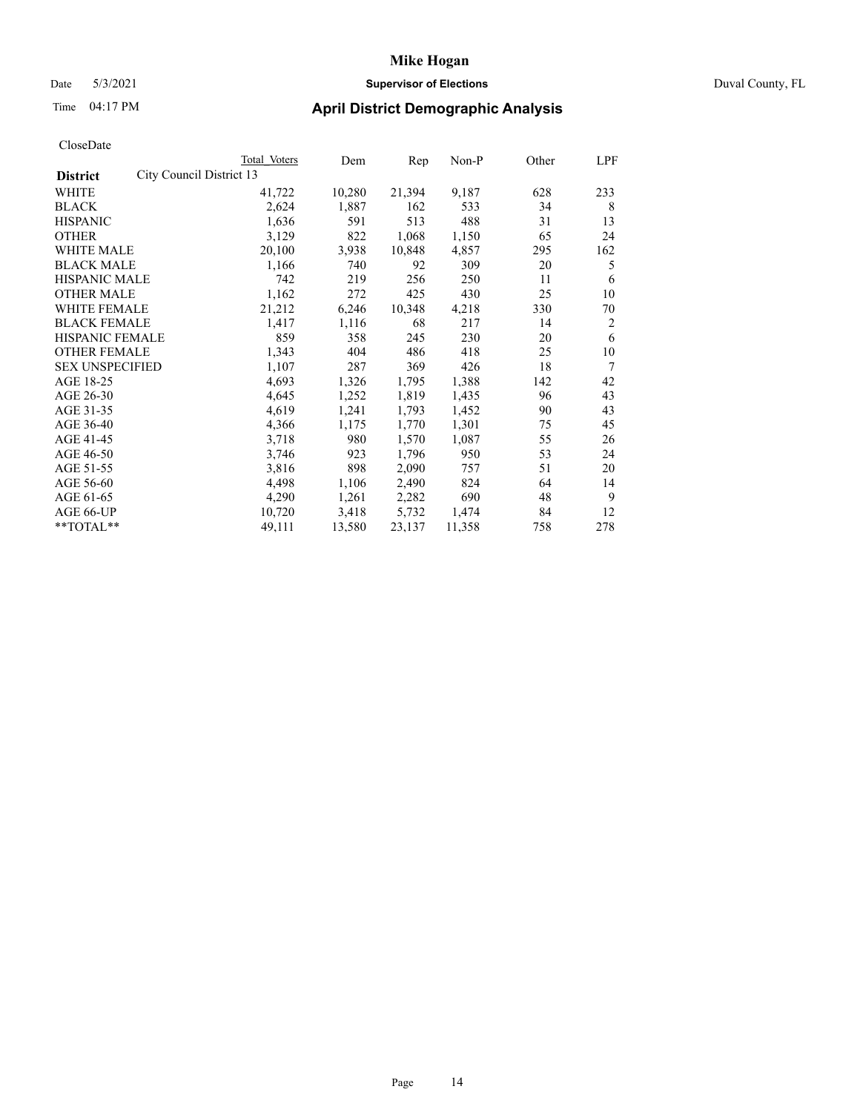### Date 5/3/2021 **Supervisor of Elections** Duval County, FL

| CloseDate |
|-----------|
|-----------|

| Total Voters | Dem                      | $\mathbf{Rep}$ | Non-P  | Other | LPF            |
|--------------|--------------------------|----------------|--------|-------|----------------|
|              |                          |                |        |       |                |
| 41,722       | 10,280                   | 21,394         | 9,187  | 628   | 233            |
| 2,624        | 1,887                    | 162            | 533    | 34    | 8              |
| 1,636        | 591                      | 513            | 488    | 31    | 13             |
| 3,129        | 822                      | 1,068          | 1,150  | 65    | 24             |
| 20,100       | 3,938                    | 10,848         | 4,857  | 295   | 162            |
| 1,166        | 740                      | 92             | 309    | 20    | 5              |
| 742          | 219                      | 256            | 250    | 11    | 6              |
| 1,162        | 272                      | 425            | 430    | 25    | 10             |
| 21,212       | 6,246                    | 10,348         | 4,218  | 330   | 70             |
| 1,417        | 1,116                    | 68             | 217    | 14    | $\overline{2}$ |
| 859          | 358                      | 245            | 230    | 20    | 6              |
| 1,343        | 404                      | 486            | 418    | 25    | 10             |
| 1,107        | 287                      | 369            | 426    | 18    | 7              |
| 4,693        | 1,326                    | 1,795          | 1,388  | 142   | 42             |
| 4,645        | 1,252                    | 1,819          | 1,435  | 96    | 43             |
| 4,619        | 1,241                    | 1,793          | 1,452  | 90    | 43             |
| 4,366        | 1,175                    | 1,770          | 1,301  | 75    | 45             |
| 3,718        | 980                      | 1,570          | 1,087  | 55    | 26             |
| 3,746        | 923                      | 1,796          | 950    | 53    | 24             |
| 3,816        | 898                      | 2,090          | 757    | 51    | 20             |
| 4,498        | 1,106                    | 2,490          | 824    | 64    | 14             |
| 4,290        | 1,261                    | 2,282          | 690    | 48    | 9              |
| 10,720       | 3,418                    | 5,732          | 1,474  | 84    | 12             |
| 49,111       | 13,580                   | 23,137         | 11,358 | 758   | 278            |
|              | City Council District 13 |                |        |       |                |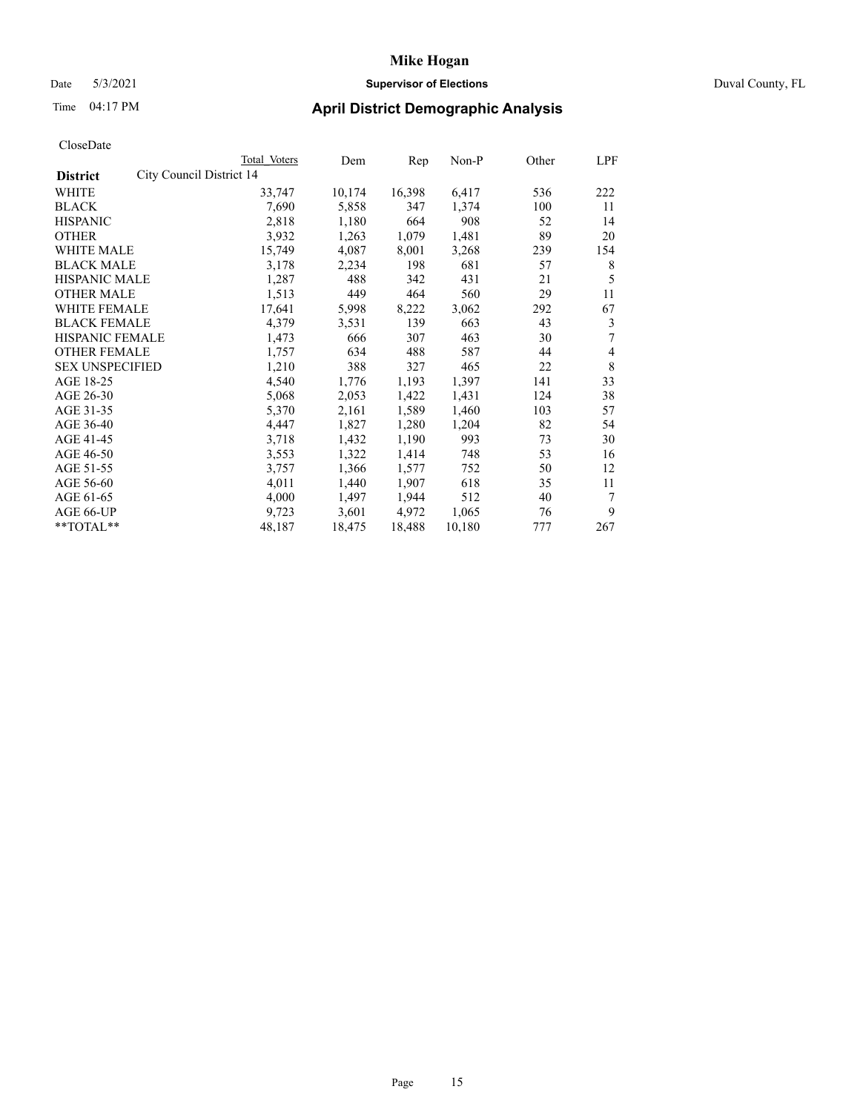### Date 5/3/2021 **Supervisor of Elections** Duval County, FL

| CloseDate |
|-----------|
|-----------|

|                                             | Total Voters | Dem    | Rep    | Non-P  | Other | LPF |
|---------------------------------------------|--------------|--------|--------|--------|-------|-----|
| City Council District 14<br><b>District</b> |              |        |        |        |       |     |
| WHITE                                       | 33,747       | 10,174 | 16,398 | 6,417  | 536   | 222 |
| <b>BLACK</b>                                | 7,690        | 5,858  | 347    | 1,374  | 100   | 11  |
| <b>HISPANIC</b>                             | 2,818        | 1,180  | 664    | 908    | 52    | 14  |
| <b>OTHER</b>                                | 3,932        | 1,263  | 1,079  | 1,481  | 89    | 20  |
| WHITE MALE                                  | 15,749       | 4,087  | 8,001  | 3,268  | 239   | 154 |
| <b>BLACK MALE</b>                           | 3,178        | 2,234  | 198    | 681    | 57    | 8   |
| <b>HISPANIC MALE</b>                        | 1,287        | 488    | 342    | 431    | 21    | 5   |
| <b>OTHER MALE</b>                           | 1,513        | 449    | 464    | 560    | 29    | 11  |
| <b>WHITE FEMALE</b>                         | 17,641       | 5,998  | 8,222  | 3,062  | 292   | 67  |
| <b>BLACK FEMALE</b>                         | 4,379        | 3,531  | 139    | 663    | 43    | 3   |
| <b>HISPANIC FEMALE</b>                      | 1,473        | 666    | 307    | 463    | 30    | 7   |
| <b>OTHER FEMALE</b>                         | 1,757        | 634    | 488    | 587    | 44    | 4   |
| <b>SEX UNSPECIFIED</b>                      | 1,210        | 388    | 327    | 465    | 22    | 8   |
| AGE 18-25                                   | 4,540        | 1,776  | 1,193  | 1,397  | 141   | 33  |
| AGE 26-30                                   | 5,068        | 2,053  | 1,422  | 1,431  | 124   | 38  |
| AGE 31-35                                   | 5,370        | 2,161  | 1,589  | 1,460  | 103   | 57  |
| AGE 36-40                                   | 4,447        | 1,827  | 1,280  | 1,204  | 82    | 54  |
| AGE 41-45                                   | 3,718        | 1,432  | 1,190  | 993    | 73    | 30  |
| AGE 46-50                                   | 3,553        | 1,322  | 1,414  | 748    | 53    | 16  |
| AGE 51-55                                   | 3,757        | 1,366  | 1,577  | 752    | 50    | 12  |
| AGE 56-60                                   | 4,011        | 1,440  | 1,907  | 618    | 35    | 11  |
| AGE 61-65                                   | 4,000        | 1,497  | 1,944  | 512    | 40    | 7   |
| AGE 66-UP                                   | 9,723        | 3,601  | 4,972  | 1,065  | 76    | 9   |
| **TOTAL**                                   | 48,187       | 18,475 | 18,488 | 10,180 | 777   | 267 |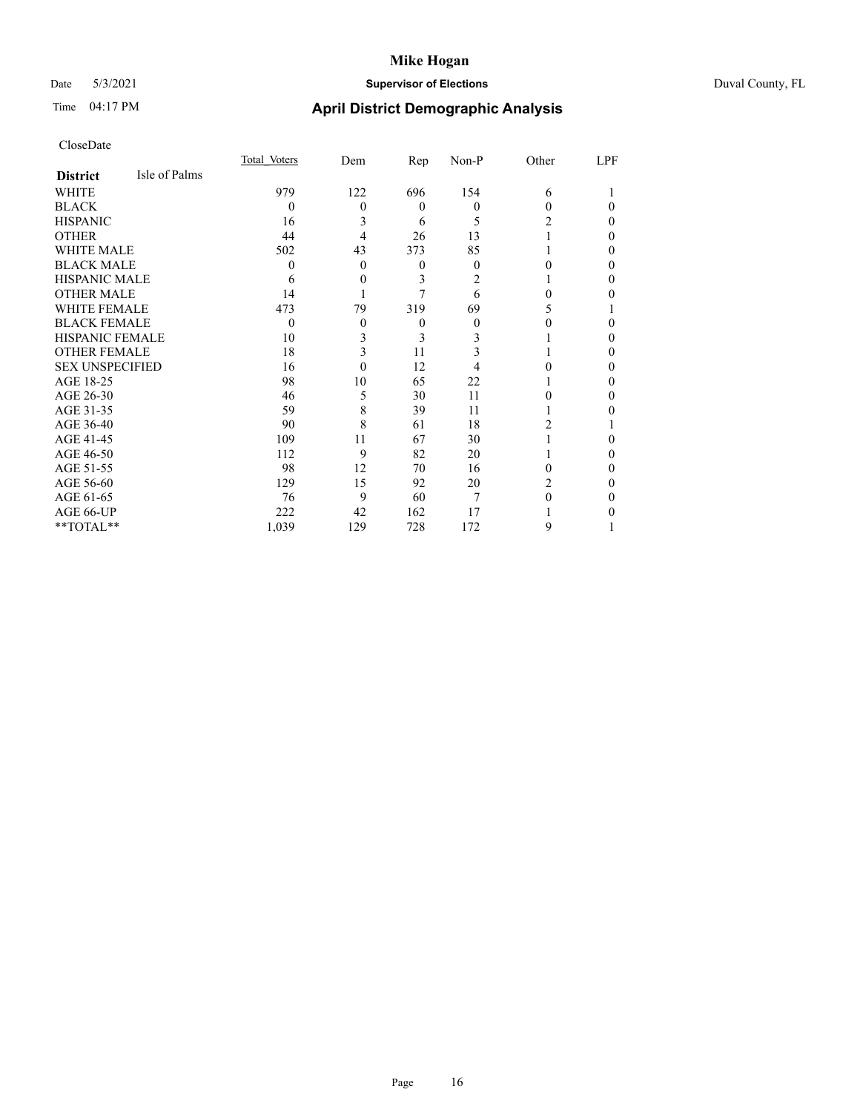## Date 5/3/2021 **Supervisor of Elections** Duval County, FL

## Time 04:17 PM **April District Demographic Analysis**

|                        |               | Total Voters | Dem | Rep      | Non-P    | Other          | LPF      |
|------------------------|---------------|--------------|-----|----------|----------|----------------|----------|
| <b>District</b>        | Isle of Palms |              |     |          |          |                |          |
| WHITE                  |               | 979          | 122 | 696      | 154      | 6              |          |
| <b>BLACK</b>           |               | $\theta$     | 0   | $\theta$ | $\theta$ | 0              | $\Omega$ |
| <b>HISPANIC</b>        |               | 16           | 3   | 6        | 5        | 2              | $\theta$ |
| <b>OTHER</b>           |               | 44           | 4   | 26       | 13       |                | $\Omega$ |
| WHITE MALE             |               | 502          | 43  | 373      | 85       |                | $\Omega$ |
| <b>BLACK MALE</b>      |               | 0            | 0   | 0        | $\theta$ |                | 0        |
| <b>HISPANIC MALE</b>   |               | 6            | 0   | 3        | 2        |                | $\Omega$ |
| <b>OTHER MALE</b>      |               | 14           |     | 7        | 6        | 0              | 0        |
| <b>WHITE FEMALE</b>    |               | 473          | 79  | 319      | 69       | 5              |          |
| <b>BLACK FEMALE</b>    |               | $\theta$     | 0   | $\theta$ | $\theta$ |                | 0        |
| <b>HISPANIC FEMALE</b> |               | 10           | 3   | 3        | 3        |                | $\Omega$ |
| <b>OTHER FEMALE</b>    |               | 18           | 3   | 11       | 3        |                | $\Omega$ |
| <b>SEX UNSPECIFIED</b> |               | 16           | 0   | 12       |          |                | $\Omega$ |
| AGE 18-25              |               | 98           | 10  | 65       | 22       |                | 0        |
| AGE 26-30              |               | 46           | 5   | 30       | 11       | 0              | $\Omega$ |
| AGE 31-35              |               | 59           | 8   | 39       | 11       |                | 0        |
| AGE 36-40              |               | 90           | 8   | 61       | 18       | 2              |          |
| AGE 41-45              |               | 109          | 11  | 67       | 30       |                | 0        |
| AGE 46-50              |               | 112          | 9   | 82       | 20       |                | $\Omega$ |
| AGE 51-55              |               | 98           | 12  | 70       | 16       | 0              | $\Omega$ |
| AGE 56-60              |               | 129          | 15  | 92       | 20       | $\overline{2}$ | 0        |
| AGE 61-65              |               | 76           | 9   | 60       | 7        | 0              | $\Omega$ |
| AGE 66-UP              |               | 222          | 42  | 162      | 17       |                | 0        |
| **TOTAL**              |               | 1,039        | 129 | 728      | 172      | 9              |          |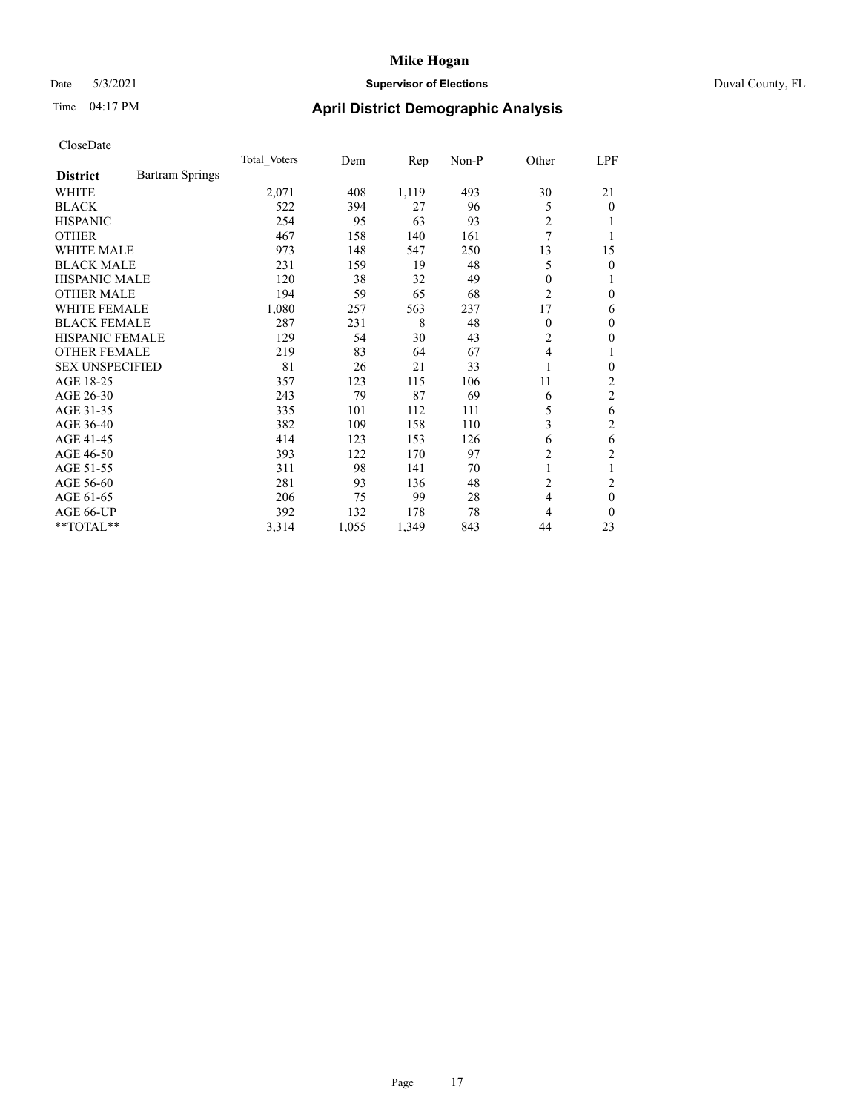## Date 5/3/2021 **Supervisor of Elections** Duval County, FL

## Time 04:17 PM **April District Demographic Analysis**

|                        |                        | Total Voters | Dem   | Rep   | Non-P | Other          | LPF            |
|------------------------|------------------------|--------------|-------|-------|-------|----------------|----------------|
| <b>District</b>        | <b>Bartram Springs</b> |              |       |       |       |                |                |
| WHITE                  |                        | 2,071        | 408   | 1,119 | 493   | 30             | 21             |
| <b>BLACK</b>           |                        | 522          | 394   | 27    | 96    | 5              | 0              |
| <b>HISPANIC</b>        |                        | 254          | 95    | 63    | 93    | 2              |                |
| <b>OTHER</b>           |                        | 467          | 158   | 140   | 161   | 7              |                |
| WHITE MALE             |                        | 973          | 148   | 547   | 250   | 13             | 15             |
| <b>BLACK MALE</b>      |                        | 231          | 159   | 19    | 48    | 5              | 0              |
| <b>HISPANIC MALE</b>   |                        | 120          | 38    | 32    | 49    | 0              | 1              |
| <b>OTHER MALE</b>      |                        | 194          | 59    | 65    | 68    | 2              | 0              |
| WHITE FEMALE           |                        | 1,080        | 257   | 563   | 237   | 17             | 6              |
| <b>BLACK FEMALE</b>    |                        | 287          | 231   | 8     | 48    | $\Omega$       | 0              |
| <b>HISPANIC FEMALE</b> |                        | 129          | 54    | 30    | 43    | $\overline{2}$ | 0              |
| <b>OTHER FEMALE</b>    |                        | 219          | 83    | 64    | 67    | 4              |                |
| <b>SEX UNSPECIFIED</b> |                        | 81           | 26    | 21    | 33    |                | 0              |
| AGE 18-25              |                        | 357          | 123   | 115   | 106   | 11             | $\overline{c}$ |
| AGE 26-30              |                        | 243          | 79    | 87    | 69    | 6              | 2              |
| AGE 31-35              |                        | 335          | 101   | 112   | 111   | 5              | 6              |
| AGE 36-40              |                        | 382          | 109   | 158   | 110   | 3              | 2              |
| AGE 41-45              |                        | 414          | 123   | 153   | 126   | 6              | 6              |
| AGE 46-50              |                        | 393          | 122   | 170   | 97    | 2              | 2              |
| AGE 51-55              |                        | 311          | 98    | 141   | 70    | 1              | 1              |
| AGE 56-60              |                        | 281          | 93    | 136   | 48    | 2              | 2              |
| AGE 61-65              |                        | 206          | 75    | 99    | 28    | 4              | $\mathbf{0}$   |
| AGE 66-UP              |                        | 392          | 132   | 178   | 78    | 4              | 0              |
| $*$ TOTAL $**$         |                        | 3,314        | 1,055 | 1,349 | 843   | 44             | 23             |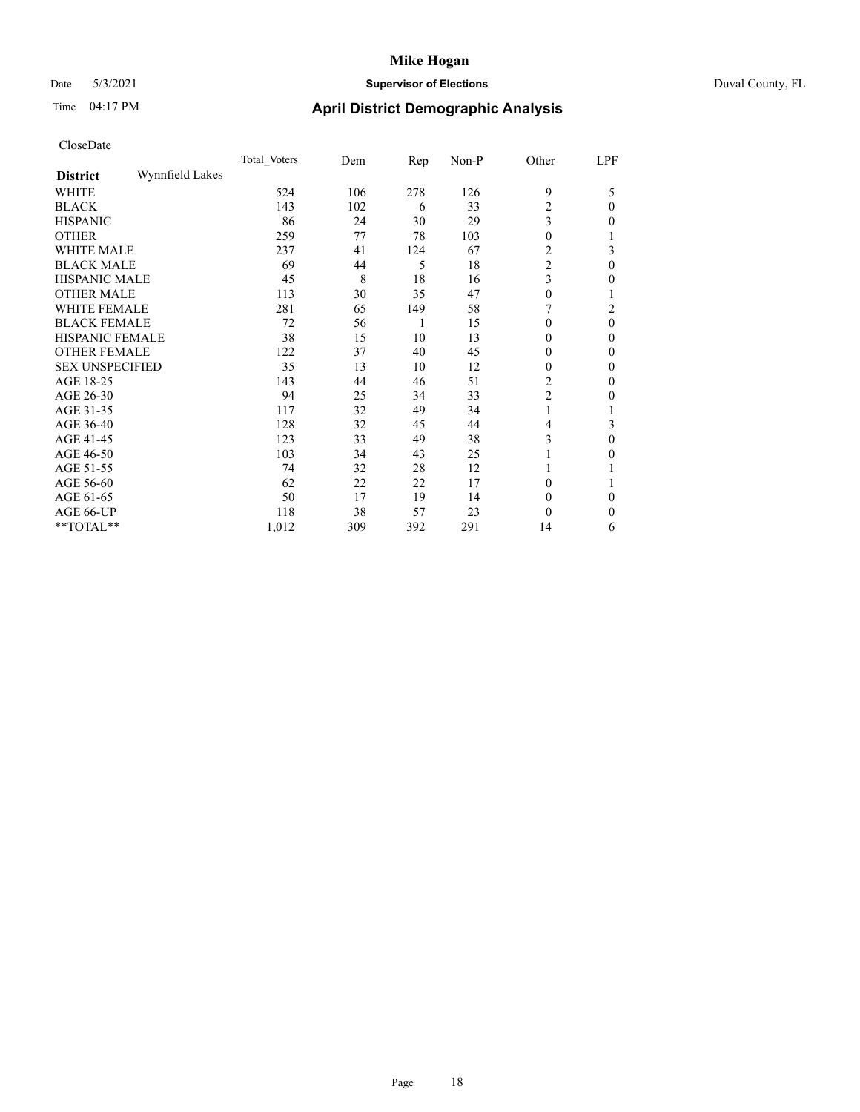## Date 5/3/2021 **Supervisor of Elections** Duval County, FL

## Time 04:17 PM **April District Demographic Analysis**

|                        |                 | Total Voters | Dem | Rep | Non-P | Other          | LPF          |
|------------------------|-----------------|--------------|-----|-----|-------|----------------|--------------|
| <b>District</b>        | Wynnfield Lakes |              |     |     |       |                |              |
| WHITE                  |                 | 524          | 106 | 278 | 126   | 9              | 5            |
| <b>BLACK</b>           |                 | 143          | 102 | 6   | 33    | $\overline{c}$ | $\Omega$     |
| <b>HISPANIC</b>        |                 | 86           | 24  | 30  | 29    | 3              | 0            |
| <b>OTHER</b>           |                 | 259          | 77  | 78  | 103   | $\theta$       |              |
| WHITE MALE             |                 | 237          | 41  | 124 | 67    | 2              | 3            |
| <b>BLACK MALE</b>      |                 | 69           | 44  | 5   | 18    | $\overline{c}$ | $\theta$     |
| <b>HISPANIC MALE</b>   |                 | 45           | 8   | 18  | 16    | 3              | 0            |
| <b>OTHER MALE</b>      |                 | 113          | 30  | 35  | 47    | $\theta$       | 1            |
| WHITE FEMALE           |                 | 281          | 65  | 149 | 58    |                | 2            |
| <b>BLACK FEMALE</b>    |                 | 72           | 56  | 1   | 15    | $\Omega$       | $\theta$     |
| <b>HISPANIC FEMALE</b> |                 | 38           | 15  | 10  | 13    | $\Omega$       | 0            |
| <b>OTHER FEMALE</b>    |                 | 122          | 37  | 40  | 45    | $\Omega$       | 0            |
| <b>SEX UNSPECIFIED</b> |                 | 35           | 13  | 10  | 12    | $\theta$       | 0            |
| AGE 18-25              |                 | 143          | 44  | 46  | 51    | 2              | 0            |
| AGE 26-30              |                 | 94           | 25  | 34  | 33    | $\overline{c}$ | $\mathbf{0}$ |
| AGE 31-35              |                 | 117          | 32  | 49  | 34    |                |              |
| AGE 36-40              |                 | 128          | 32  | 45  | 44    | 4              | 3            |
| AGE 41-45              |                 | 123          | 33  | 49  | 38    | 3              | 0            |
| AGE 46-50              |                 | 103          | 34  | 43  | 25    |                | 0            |
| AGE 51-55              |                 | 74           | 32  | 28  | 12    |                |              |
| AGE 56-60              |                 | 62           | 22  | 22  | 17    | $\theta$       |              |
| AGE 61-65              |                 | 50           | 17  | 19  | 14    | $\theta$       | 0            |
| AGE 66-UP              |                 | 118          | 38  | 57  | 23    | $\theta$       | $\mathbf{0}$ |
| **TOTAL**              |                 | 1,012        | 309 | 392 | 291   | 14             | 6            |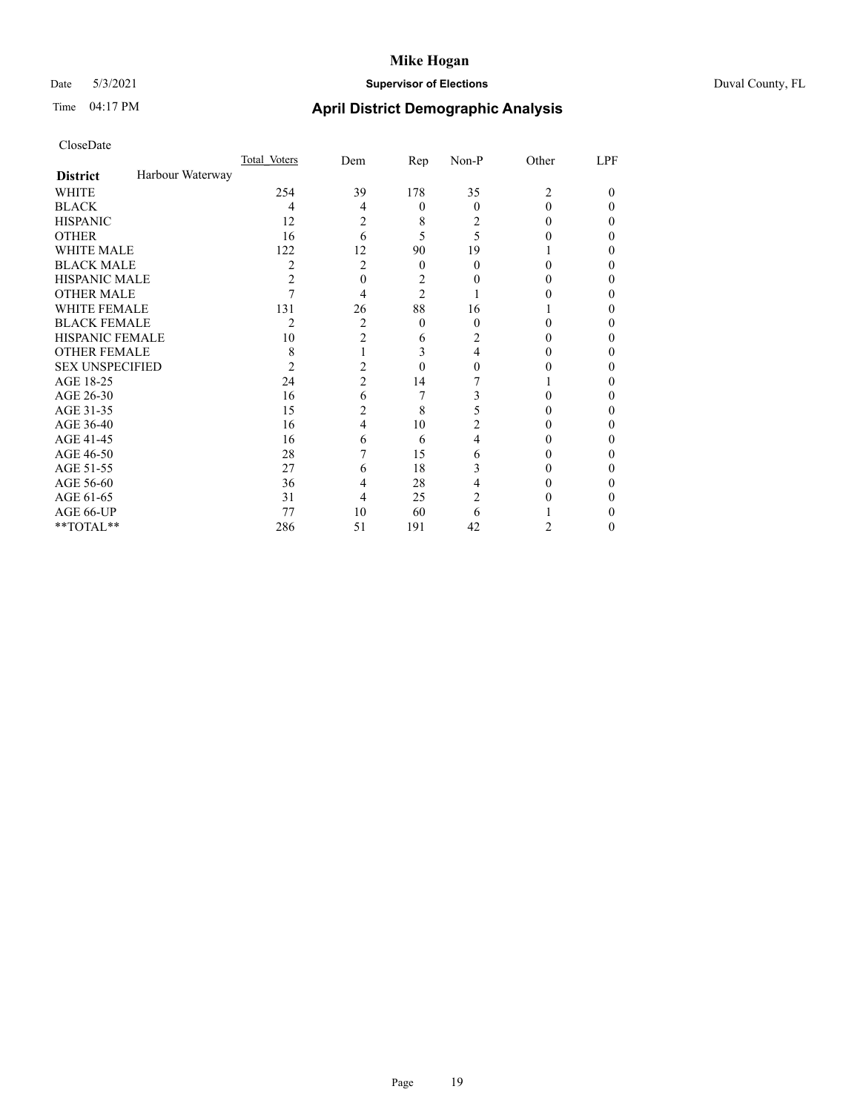## Date 5/3/2021 **Supervisor of Elections** Duval County, FL

## Time 04:17 PM **April District Demographic Analysis**

|                        |                  | Total Voters | Dem            | Rep            | Non-P    | Other | LPF |
|------------------------|------------------|--------------|----------------|----------------|----------|-------|-----|
| <b>District</b>        | Harbour Waterway |              |                |                |          |       |     |
| WHITE                  |                  | 254          | 39             | 178            | 35       | 2     | 0   |
| <b>BLACK</b>           |                  | 4            | $\overline{4}$ | $\theta$       | $\Omega$ | 0     | 0   |
| <b>HISPANIC</b>        |                  | 12           | 2              | 8              | 2        | 0     | 0   |
| <b>OTHER</b>           |                  | 16           | 6              | 5              | 5        |       | 0   |
| <b>WHITE MALE</b>      |                  | 122          | 12             | 90             | 19       |       |     |
| <b>BLACK MALE</b>      |                  | 2            | 2              | $\theta$       | 0        | 0     | 0   |
| <b>HISPANIC MALE</b>   |                  | 2            | 0              | 2              |          |       |     |
| <b>OTHER MALE</b>      |                  |              | 4              | $\overline{2}$ |          |       | 0   |
| WHITE FEMALE           |                  | 131          | 26             | 88             | 16       |       |     |
| <b>BLACK FEMALE</b>    |                  | 2            | 2              | $\theta$       | $\Omega$ | 0     | 0   |
| <b>HISPANIC FEMALE</b> |                  | 10           | $\overline{2}$ | 6              | 2        |       |     |
| <b>OTHER FEMALE</b>    |                  | 8            |                | 3              | 4        |       | 0   |
| <b>SEX UNSPECIFIED</b> |                  | 2            | 2              | $\theta$       | 0        |       |     |
| AGE 18-25              |                  | 24           | $\overline{c}$ | 14             |          |       | 0   |
| AGE 26-30              |                  | 16           | 6              | 7              | 3        | 0     | 0   |
| AGE 31-35              |                  | 15           | 2              | 8              |          |       | 0   |
| AGE 36-40              |                  | 16           | 4              | 10             | 2        |       | 0   |
| AGE 41-45              |                  | 16           | 6              | 6              | 4        |       | 0   |
| AGE 46-50              |                  | 28           |                | 15             | 6        | 0     | 0   |
| AGE 51-55              |                  | 27           | 6              | 18             | 3        |       |     |
| AGE 56-60              |                  | 36           | 4              | 28             | 4        |       |     |
| AGE 61-65              |                  | 31           | 4              | 25             | 2        |       | 0   |
| AGE 66-UP              |                  | 77           | 10             | 60             | 6        |       |     |
| **TOTAL**              |                  | 286          | 51             | 191            | 42       | 2     | 0   |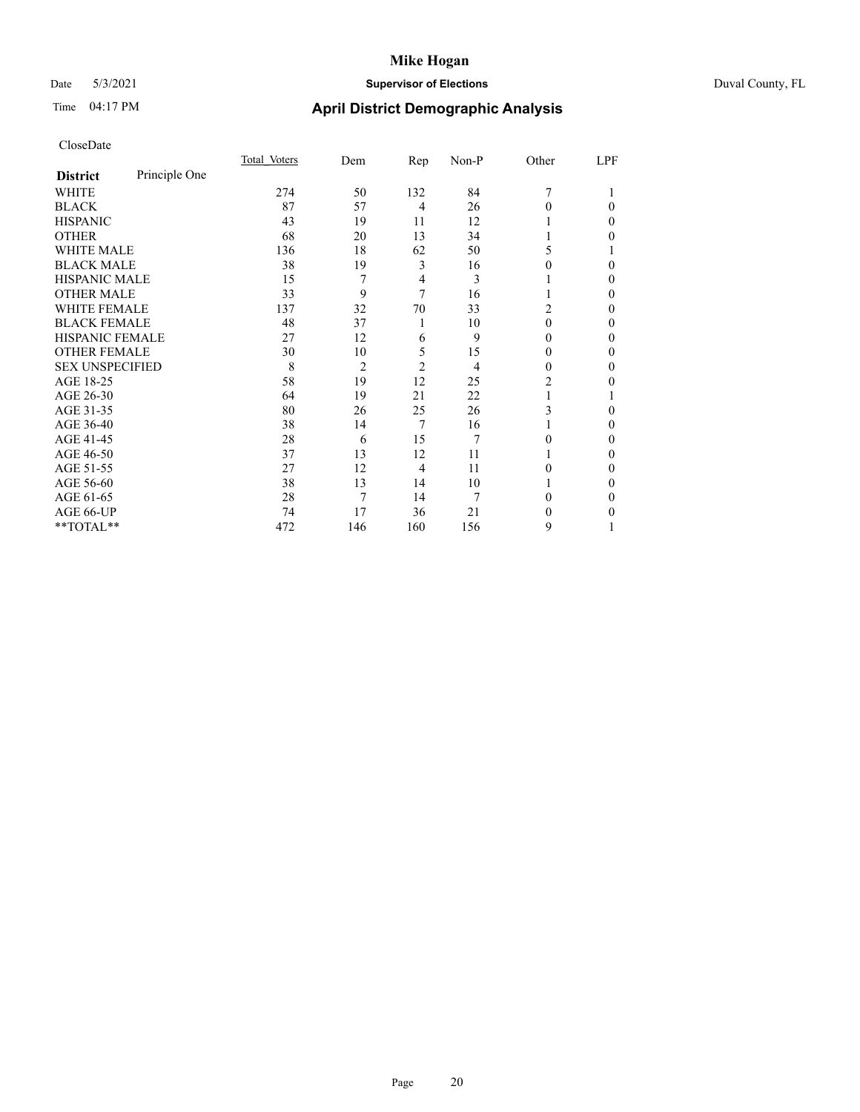## Date 5/3/2021 **Supervisor of Elections** Duval County, FL

## Time 04:17 PM **April District Demographic Analysis**

|                        |               | Total Voters | Dem            | Rep            | Non-P | Other          | LPF |
|------------------------|---------------|--------------|----------------|----------------|-------|----------------|-----|
| <b>District</b>        | Principle One |              |                |                |       |                |     |
| WHITE                  |               | 274          | 50             | 132            | 84    | 7              |     |
| <b>BLACK</b>           |               | 87           | 57             | 4              | 26    | 0              | 0   |
| <b>HISPANIC</b>        |               | 43           | 19             | 11             | 12    |                | 0   |
| <b>OTHER</b>           |               | 68           | 20             | 13             | 34    |                | 0   |
| WHITE MALE             |               | 136          | 18             | 62             | 50    | 5              |     |
| <b>BLACK MALE</b>      |               | 38           | 19             | 3              | 16    | 0              | 0   |
| <b>HISPANIC MALE</b>   |               | 15           | 7              | 4              | 3     |                | 0   |
| <b>OTHER MALE</b>      |               | 33           | 9              | 7              | 16    |                | 0   |
| <b>WHITE FEMALE</b>    |               | 137          | 32             | 70             | 33    | $\overline{c}$ | 0   |
| <b>BLACK FEMALE</b>    |               | 48           | 37             | 1              | 10    | 0              | 0   |
| HISPANIC FEMALE        |               | 27           | 12             | 6              | 9     | 0              | 0   |
| <b>OTHER FEMALE</b>    |               | 30           | 10             | 5              | 15    | $_{0}$         | 0   |
| <b>SEX UNSPECIFIED</b> |               | 8            | $\overline{2}$ | $\overline{2}$ | 4     | $_{0}$         | 0   |
| AGE 18-25              |               | 58           | 19             | 12             | 25    | $\overline{c}$ | 0   |
| AGE 26-30              |               | 64           | 19             | 21             | 22    |                |     |
| AGE 31-35              |               | 80           | 26             | 25             | 26    | 3              | 0   |
| AGE 36-40              |               | 38           | 14             | 7              | 16    |                | 0   |
| AGE 41-45              |               | 28           | 6              | 15             | 7     | 0              | 0   |
| AGE 46-50              |               | 37           | 13             | 12             | 11    |                | 0   |
| AGE 51-55              |               | 27           | 12             | 4              | 11    | 0              | 0   |
| AGE 56-60              |               | 38           | 13             | 14             | 10    |                | 0   |
| AGE 61-65              |               | 28           | 7              | 14             | 7     | 0              | 0   |
| AGE 66-UP              |               | 74           | 17             | 36             | 21    | 0              | 0   |
| **TOTAL**              |               | 472          | 146            | 160            | 156   | 9              |     |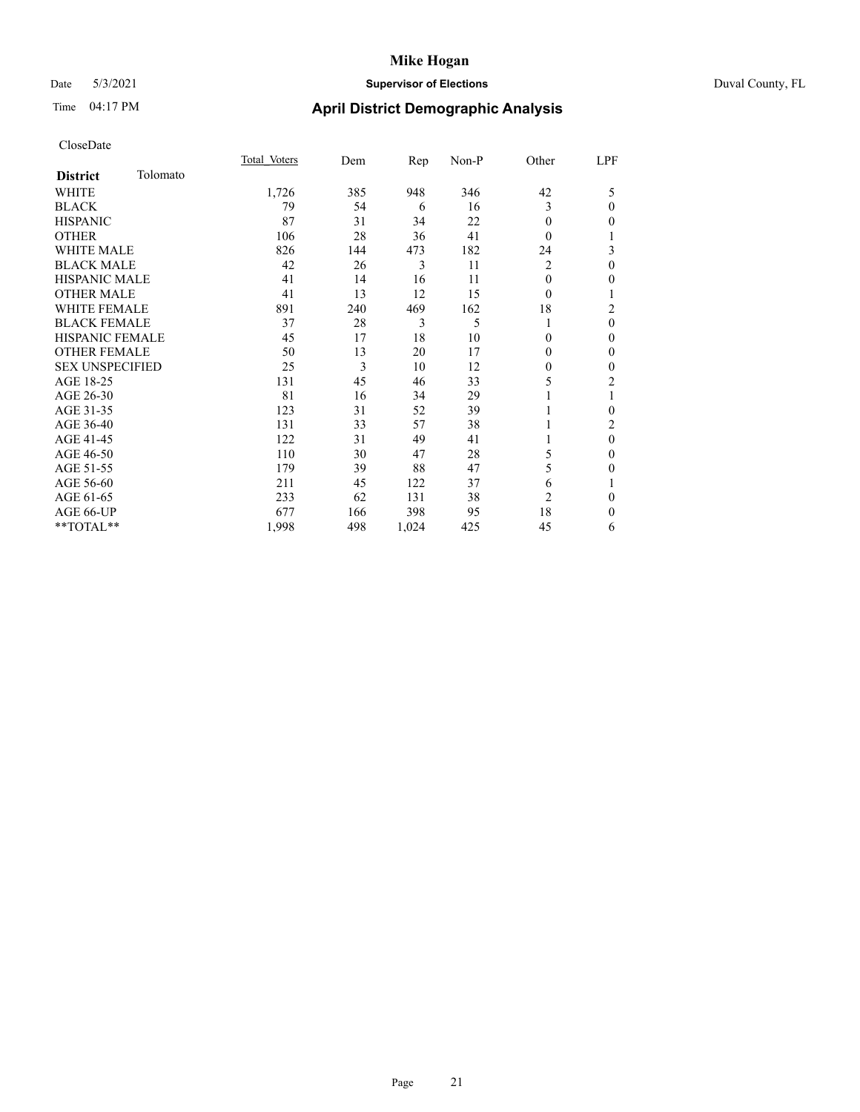### Date 5/3/2021 **Supervisor of Elections** Duval County, FL

## Time 04:17 PM **April District Demographic Analysis**

|                        |          | Total Voters | Dem | Rep   | Non-P | Other          | LPF            |
|------------------------|----------|--------------|-----|-------|-------|----------------|----------------|
| <b>District</b>        | Tolomato |              |     |       |       |                |                |
| WHITE                  |          | 1,726        | 385 | 948   | 346   | 42             | 5              |
| <b>BLACK</b>           |          | 79           | 54  | 6     | 16    | 3              | $\mathbf{0}$   |
| <b>HISPANIC</b>        |          | 87           | 31  | 34    | 22    | $\Omega$       | $\theta$       |
| <b>OTHER</b>           |          | 106          | 28  | 36    | 41    | $\theta$       | 1              |
| WHITE MALE             |          | 826          | 144 | 473   | 182   | 24             | 3              |
| <b>BLACK MALE</b>      |          | 42           | 26  | 3     | 11    | 2              | $\mathbf{0}$   |
| <b>HISPANIC MALE</b>   |          | 41           | 14  | 16    | 11    | 0              | $\mathbf{0}$   |
| <b>OTHER MALE</b>      |          | 41           | 13  | 12    | 15    | $\theta$       | 1              |
| WHITE FEMALE           |          | 891          | 240 | 469   | 162   | 18             | $\overline{c}$ |
| <b>BLACK FEMALE</b>    |          | 37           | 28  | 3     | 5     |                | $\theta$       |
| <b>HISPANIC FEMALE</b> |          | 45           | 17  | 18    | 10    | 0              | $\theta$       |
| <b>OTHER FEMALE</b>    |          | 50           | 13  | 20    | 17    | 0              | $\mathbf{0}$   |
| <b>SEX UNSPECIFIED</b> |          | 25           | 3   | 10    | 12    | 0              | $\mathbf{0}$   |
| AGE 18-25              |          | 131          | 45  | 46    | 33    | 5              | $\overline{c}$ |
| AGE 26-30              |          | 81           | 16  | 34    | 29    |                | 1              |
| AGE 31-35              |          | 123          | 31  | 52    | 39    |                | $\theta$       |
| AGE 36-40              |          | 131          | 33  | 57    | 38    |                | $\overline{2}$ |
| AGE 41-45              |          | 122          | 31  | 49    | 41    |                | $\theta$       |
| AGE 46-50              |          | 110          | 30  | 47    | 28    | 5              | $\mathbf{0}$   |
| AGE 51-55              |          | 179          | 39  | 88    | 47    | 5              | $\mathbf{0}$   |
| AGE 56-60              |          | 211          | 45  | 122   | 37    | 6              | 1              |
| AGE 61-65              |          | 233          | 62  | 131   | 38    | $\overline{2}$ | $\theta$       |
| AGE 66-UP              |          | 677          | 166 | 398   | 95    | 18             | $\mathbf{0}$   |
| **TOTAL**              |          | 1,998        | 498 | 1,024 | 425   | 45             | 6              |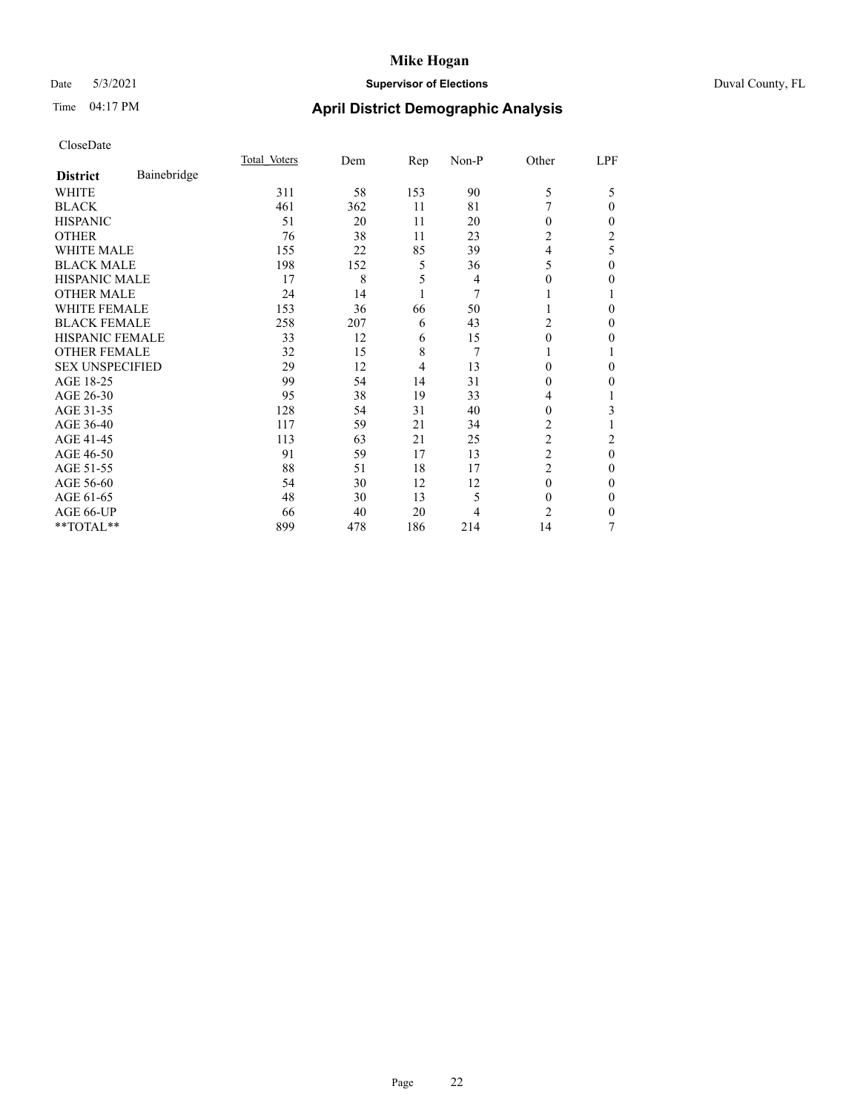## Date 5/3/2021 **Supervisor of Elections** Duval County, FL

## Time 04:17 PM **April District Demographic Analysis**

|                        |             | Total Voters | Dem | Rep | Non-P | Other          | LPF |
|------------------------|-------------|--------------|-----|-----|-------|----------------|-----|
| <b>District</b>        | Bainebridge |              |     |     |       |                |     |
| WHITE                  |             | 311          | 58  | 153 | 90    | 5              | 5   |
| <b>BLACK</b>           |             | 461          | 362 | 11  | 81    | 7              | 0   |
| <b>HISPANIC</b>        |             | 51           | 20  | 11  | 20    | 0              | 0   |
| <b>OTHER</b>           |             | 76           | 38  | 11  | 23    | 2              | 2   |
| WHITE MALE             |             | 155          | 22  | 85  | 39    | 4              | 5   |
| <b>BLACK MALE</b>      |             | 198          | 152 | 5   | 36    | 5              | 0   |
| <b>HISPANIC MALE</b>   |             | 17           | 8   | 5   | 4     | 0              | 0   |
| <b>OTHER MALE</b>      |             | 24           | 14  | 1   | 7     | 1              |     |
| <b>WHITE FEMALE</b>    |             | 153          | 36  | 66  | 50    |                | 0   |
| <b>BLACK FEMALE</b>    |             | 258          | 207 | 6   | 43    | 2              | 0   |
| <b>HISPANIC FEMALE</b> |             | 33           | 12  | 6   | 15    | $\theta$       | 0   |
| <b>OTHER FEMALE</b>    |             | 32           | 15  | 8   | 7     | 1              |     |
| <b>SEX UNSPECIFIED</b> |             | 29           | 12  | 4   | 13    | 0              | 0   |
| AGE 18-25              |             | 99           | 54  | 14  | 31    | 0              | 0   |
| AGE 26-30              |             | 95           | 38  | 19  | 33    | 4              |     |
| AGE 31-35              |             | 128          | 54  | 31  | 40    | 0              | 3   |
| AGE 36-40              |             | 117          | 59  | 21  | 34    | 2              |     |
| AGE 41-45              |             | 113          | 63  | 21  | 25    | $\overline{c}$ | 2   |
| AGE 46-50              |             | 91           | 59  | 17  | 13    | $\overline{2}$ | 0   |
| AGE 51-55              |             | 88           | 51  | 18  | 17    | 2              | 0   |
| AGE 56-60              |             | 54           | 30  | 12  | 12    | $\theta$       | 0   |
| AGE 61-65              |             | 48           | 30  | 13  | 5     | $\Omega$       | 0   |
| AGE 66-UP              |             | 66           | 40  | 20  | 4     | 2              | 0   |
| **TOTAL**              |             | 899          | 478 | 186 | 214   | 14             | 7   |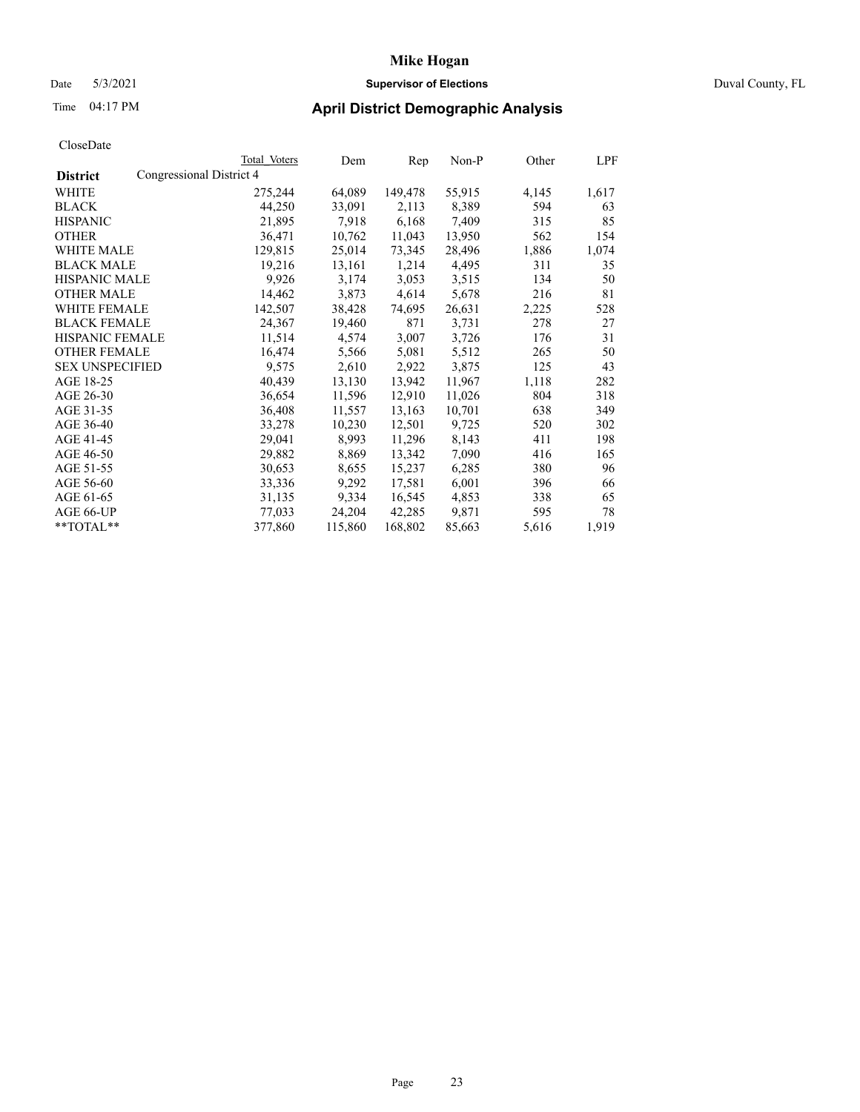## Date 5/3/2021 **Supervisor of Elections** Duval County, FL

## Time 04:17 PM **April District Demographic Analysis**

|                        |                          | Total Voters | Dem     | Rep     | Non-P  | Other | LPF   |
|------------------------|--------------------------|--------------|---------|---------|--------|-------|-------|
| <b>District</b>        | Congressional District 4 |              |         |         |        |       |       |
| WHITE                  |                          | 275,244      | 64,089  | 149,478 | 55,915 | 4,145 | 1,617 |
| <b>BLACK</b>           |                          | 44,250       | 33,091  | 2,113   | 8,389  | 594   | 63    |
| <b>HISPANIC</b>        |                          | 21,895       | 7,918   | 6,168   | 7,409  | 315   | 85    |
| <b>OTHER</b>           |                          | 36,471       | 10,762  | 11,043  | 13,950 | 562   | 154   |
| WHITE MALE             |                          | 129,815      | 25,014  | 73,345  | 28,496 | 1,886 | 1,074 |
| <b>BLACK MALE</b>      |                          | 19,216       | 13,161  | 1,214   | 4,495  | 311   | 35    |
| <b>HISPANIC MALE</b>   |                          | 9,926        | 3,174   | 3,053   | 3,515  | 134   | 50    |
| <b>OTHER MALE</b>      |                          | 14,462       | 3,873   | 4,614   | 5,678  | 216   | 81    |
| <b>WHITE FEMALE</b>    |                          | 142,507      | 38,428  | 74,695  | 26,631 | 2,225 | 528   |
| <b>BLACK FEMALE</b>    |                          | 24,367       | 19,460  | 871     | 3,731  | 278   | 27    |
| <b>HISPANIC FEMALE</b> |                          | 11,514       | 4,574   | 3,007   | 3,726  | 176   | 31    |
| <b>OTHER FEMALE</b>    |                          | 16,474       | 5,566   | 5,081   | 5,512  | 265   | 50    |
| <b>SEX UNSPECIFIED</b> |                          | 9,575        | 2,610   | 2,922   | 3,875  | 125   | 43    |
| AGE 18-25              |                          | 40,439       | 13,130  | 13,942  | 11,967 | 1,118 | 282   |
| AGE 26-30              |                          | 36,654       | 11,596  | 12,910  | 11,026 | 804   | 318   |
| AGE 31-35              |                          | 36,408       | 11,557  | 13,163  | 10,701 | 638   | 349   |
| AGE 36-40              |                          | 33,278       | 10,230  | 12,501  | 9,725  | 520   | 302   |
| AGE 41-45              |                          | 29,041       | 8,993   | 11,296  | 8,143  | 411   | 198   |
| AGE 46-50              |                          | 29,882       | 8,869   | 13,342  | 7,090  | 416   | 165   |
| AGE 51-55              |                          | 30,653       | 8,655   | 15,237  | 6,285  | 380   | 96    |
| AGE 56-60              |                          | 33,336       | 9,292   | 17,581  | 6,001  | 396   | 66    |
| AGE 61-65              |                          | 31,135       | 9,334   | 16,545  | 4,853  | 338   | 65    |
| AGE 66-UP              |                          | 77,033       | 24,204  | 42,285  | 9,871  | 595   | 78    |
| $*$ $TOTAL**$          |                          | 377,860      | 115,860 | 168,802 | 85,663 | 5,616 | 1,919 |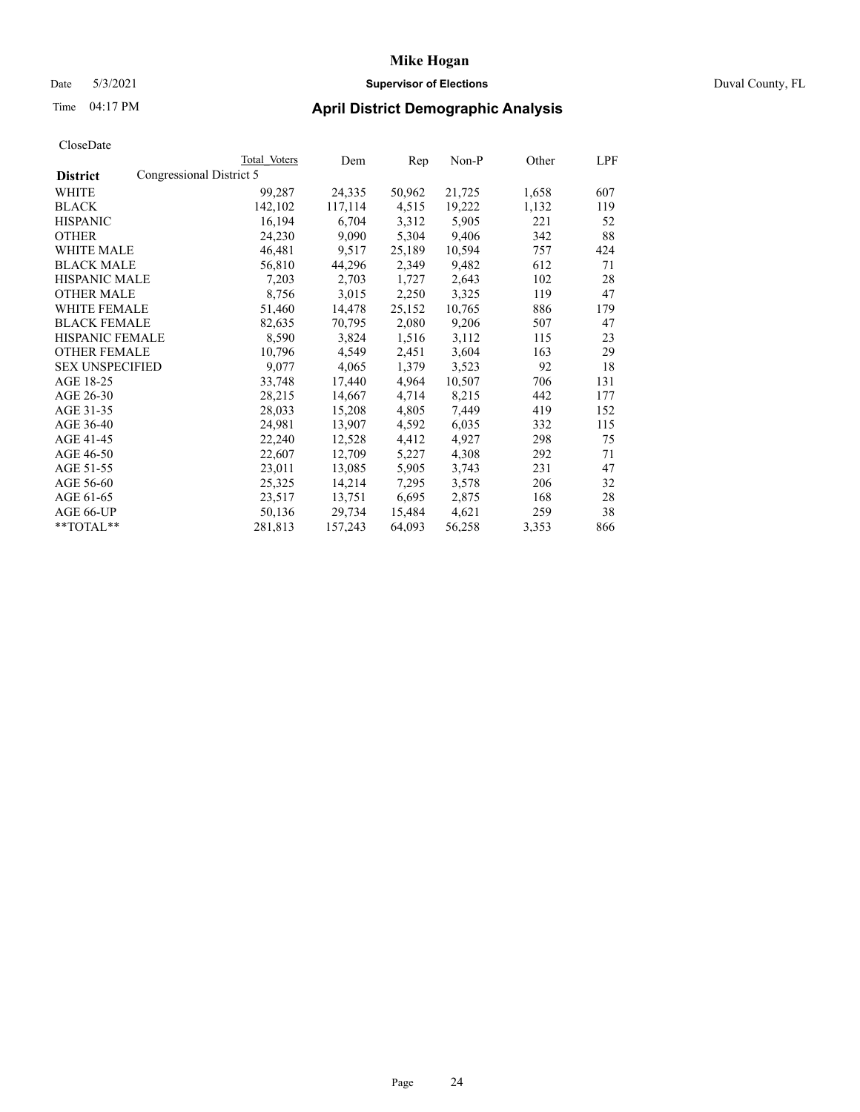### Date 5/3/2021 **Supervisor of Elections** Duval County, FL

| CloseDate |
|-----------|
|-----------|

|                        | Total Voters             | Dem     | Rep    | Non-P  | Other | LPF |
|------------------------|--------------------------|---------|--------|--------|-------|-----|
| <b>District</b>        | Congressional District 5 |         |        |        |       |     |
| WHITE                  | 99,287                   | 24,335  | 50,962 | 21,725 | 1,658 | 607 |
| <b>BLACK</b>           | 142,102                  | 117,114 | 4,515  | 19,222 | 1,132 | 119 |
| <b>HISPANIC</b>        | 16,194                   | 6,704   | 3,312  | 5,905  | 221   | 52  |
| <b>OTHER</b>           | 24,230                   | 9,090   | 5,304  | 9,406  | 342   | 88  |
| <b>WHITE MALE</b>      | 46,481                   | 9,517   | 25,189 | 10,594 | 757   | 424 |
| <b>BLACK MALE</b>      | 56,810                   | 44,296  | 2,349  | 9,482  | 612   | 71  |
| <b>HISPANIC MALE</b>   | 7,203                    | 2,703   | 1,727  | 2,643  | 102   | 28  |
| <b>OTHER MALE</b>      | 8,756                    | 3,015   | 2,250  | 3,325  | 119   | 47  |
| WHITE FEMALE           | 51,460                   | 14,478  | 25,152 | 10,765 | 886   | 179 |
| <b>BLACK FEMALE</b>    | 82,635                   | 70,795  | 2,080  | 9,206  | 507   | 47  |
| HISPANIC FEMALE        | 8,590                    | 3,824   | 1,516  | 3,112  | 115   | 23  |
| <b>OTHER FEMALE</b>    | 10,796                   | 4,549   | 2,451  | 3,604  | 163   | 29  |
| <b>SEX UNSPECIFIED</b> | 9,077                    | 4,065   | 1,379  | 3,523  | 92    | 18  |
| AGE 18-25              | 33,748                   | 17,440  | 4,964  | 10,507 | 706   | 131 |
| AGE 26-30              | 28,215                   | 14,667  | 4,714  | 8,215  | 442   | 177 |
| AGE 31-35              | 28,033                   | 15,208  | 4,805  | 7,449  | 419   | 152 |
| AGE 36-40              | 24,981                   | 13,907  | 4,592  | 6,035  | 332   | 115 |
| AGE 41-45              | 22,240                   | 12,528  | 4,412  | 4,927  | 298   | 75  |
| AGE 46-50              | 22,607                   | 12,709  | 5,227  | 4,308  | 292   | 71  |
| AGE 51-55              | 23,011                   | 13,085  | 5,905  | 3,743  | 231   | 47  |
| AGE 56-60              | 25,325                   | 14,214  | 7,295  | 3,578  | 206   | 32  |
| AGE 61-65              | 23,517                   | 13,751  | 6,695  | 2,875  | 168   | 28  |
| AGE 66-UP              | 50,136                   | 29,734  | 15,484 | 4,621  | 259   | 38  |
| **TOTAL**              | 281,813                  | 157,243 | 64,093 | 56,258 | 3,353 | 866 |
|                        |                          |         |        |        |       |     |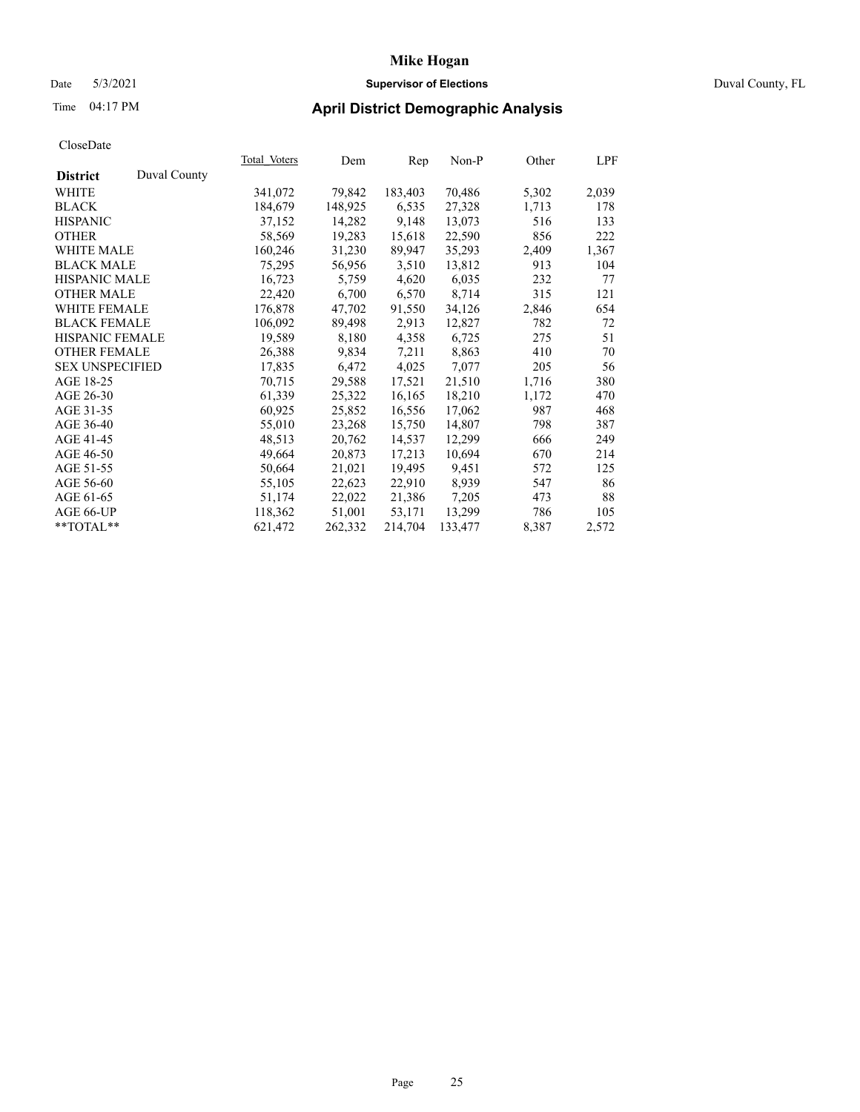## Date 5/3/2021 **Supervisor of Elections** Duval County, FL

## Time 04:17 PM **April District Demographic Analysis**

|                        |              | Total Voters | Dem     | Rep     | Non-P   | Other | LPF   |
|------------------------|--------------|--------------|---------|---------|---------|-------|-------|
| <b>District</b>        | Duval County |              |         |         |         |       |       |
| WHITE                  |              | 341,072      | 79,842  | 183,403 | 70,486  | 5,302 | 2,039 |
| <b>BLACK</b>           |              | 184,679      | 148,925 | 6,535   | 27,328  | 1,713 | 178   |
| <b>HISPANIC</b>        |              | 37,152       | 14,282  | 9,148   | 13,073  | 516   | 133   |
| <b>OTHER</b>           |              | 58,569       | 19,283  | 15,618  | 22,590  | 856   | 222   |
| WHITE MALE             |              | 160,246      | 31,230  | 89,947  | 35,293  | 2,409 | 1,367 |
| <b>BLACK MALE</b>      |              | 75,295       | 56,956  | 3,510   | 13,812  | 913   | 104   |
| <b>HISPANIC MALE</b>   |              | 16,723       | 5,759   | 4,620   | 6,035   | 232   | 77    |
| <b>OTHER MALE</b>      |              | 22,420       | 6,700   | 6,570   | 8,714   | 315   | 121   |
| <b>WHITE FEMALE</b>    |              | 176,878      | 47,702  | 91,550  | 34,126  | 2,846 | 654   |
| <b>BLACK FEMALE</b>    |              | 106,092      | 89,498  | 2,913   | 12,827  | 782   | 72    |
| <b>HISPANIC FEMALE</b> |              | 19,589       | 8,180   | 4,358   | 6,725   | 275   | 51    |
| <b>OTHER FEMALE</b>    |              | 26,388       | 9,834   | 7,211   | 8,863   | 410   | 70    |
| <b>SEX UNSPECIFIED</b> |              | 17,835       | 6,472   | 4,025   | 7,077   | 205   | 56    |
| AGE 18-25              |              | 70,715       | 29,588  | 17,521  | 21,510  | 1,716 | 380   |
| AGE 26-30              |              | 61,339       | 25,322  | 16,165  | 18,210  | 1,172 | 470   |
| AGE 31-35              |              | 60,925       | 25,852  | 16,556  | 17,062  | 987   | 468   |
| AGE 36-40              |              | 55,010       | 23,268  | 15,750  | 14,807  | 798   | 387   |
| AGE 41-45              |              | 48,513       | 20,762  | 14,537  | 12,299  | 666   | 249   |
| AGE 46-50              |              | 49,664       | 20,873  | 17,213  | 10,694  | 670   | 214   |
| AGE 51-55              |              | 50,664       | 21,021  | 19,495  | 9,451   | 572   | 125   |
| AGE 56-60              |              | 55,105       | 22,623  | 22,910  | 8,939   | 547   | 86    |
| AGE 61-65              |              | 51,174       | 22,022  | 21,386  | 7,205   | 473   | 88    |
| AGE 66-UP              |              | 118,362      | 51,001  | 53,171  | 13,299  | 786   | 105   |
| $*$ $TOTAL**$          |              | 621,472      | 262,332 | 214,704 | 133,477 | 8,387 | 2,572 |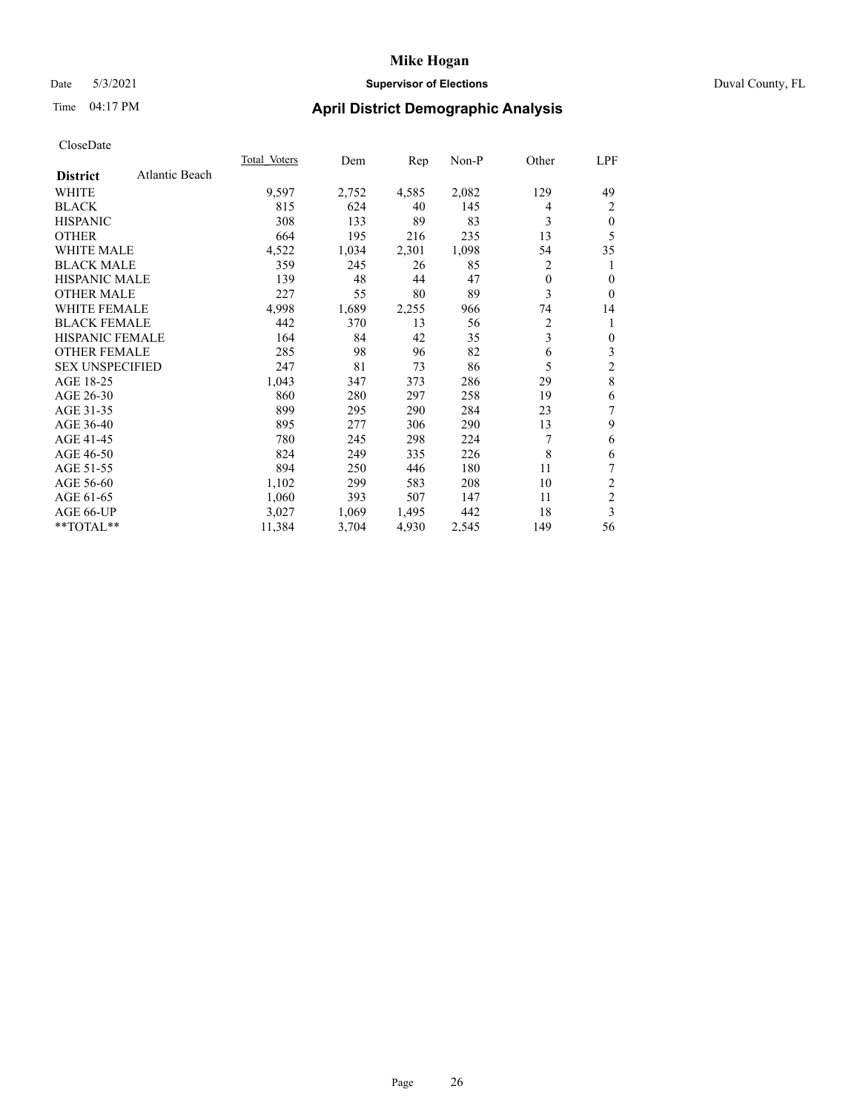### Date 5/3/2021 **Supervisor of Elections** Duval County, FL

## Time 04:17 PM **April District Demographic Analysis**

|                                   | <b>Total Voters</b> | Dem   | Rep   | $Non-P$ | Other    | LPF                     |
|-----------------------------------|---------------------|-------|-------|---------|----------|-------------------------|
| Atlantic Beach<br><b>District</b> |                     |       |       |         |          |                         |
| WHITE                             | 9,597               | 2,752 | 4,585 | 2,082   | 129      | 49                      |
| <b>BLACK</b>                      | 815                 | 624   | 40    | 145     | 4        | 2                       |
| <b>HISPANIC</b>                   | 308                 | 133   | 89    | 83      | 3        | $\theta$                |
| <b>OTHER</b>                      | 664                 | 195   | 216   | 235     | 13       | 5                       |
| WHITE MALE                        | 4,522               | 1,034 | 2,301 | 1,098   | 54       | 35                      |
| <b>BLACK MALE</b>                 | 359                 | 245   | 26    | 85      | 2        | 1                       |
| HISPANIC MALE                     | 139                 | 48    | 44    | 47      | $\theta$ | $\theta$                |
| <b>OTHER MALE</b>                 | 227                 | 55    | 80    | 89      | 3        | $\theta$                |
| <b>WHITE FEMALE</b>               | 4,998               | 1,689 | 2,255 | 966     | 74       | 14                      |
| <b>BLACK FEMALE</b>               | 442                 | 370   | 13    | 56      | 2        | 1                       |
| <b>HISPANIC FEMALE</b>            | 164                 | 84    | 42    | 35      | 3        | $\mathbf{0}$            |
| <b>OTHER FEMALE</b>               | 285                 | 98    | 96    | 82      | 6        | 3                       |
| <b>SEX UNSPECIFIED</b>            | 247                 | 81    | 73    | 86      | 5        | $\overline{\mathbf{c}}$ |
| AGE 18-25                         | 1,043               | 347   | 373   | 286     | 29       | 8                       |
| AGE 26-30                         | 860                 | 280   | 297   | 258     | 19       | 6                       |
| AGE 31-35                         | 899                 | 295   | 290   | 284     | 23       | 7                       |
| AGE 36-40                         | 895                 | 277   | 306   | 290     | 13       | 9                       |
| AGE 41-45                         | 780                 | 245   | 298   | 224     | 7        | 6                       |
| AGE 46-50                         | 824                 | 249   | 335   | 226     | 8        | 6                       |
| AGE 51-55                         | 894                 | 250   | 446   | 180     | 11       | 7                       |
| AGE 56-60                         | 1,102               | 299   | 583   | 208     | 10       | 2                       |
| AGE 61-65                         | 1,060               | 393   | 507   | 147     | 11       | $\overline{c}$          |
| AGE 66-UP                         | 3,027               | 1,069 | 1,495 | 442     | 18       | 3                       |
| **TOTAL**                         | 11,384              | 3,704 | 4,930 | 2,545   | 149      | 56                      |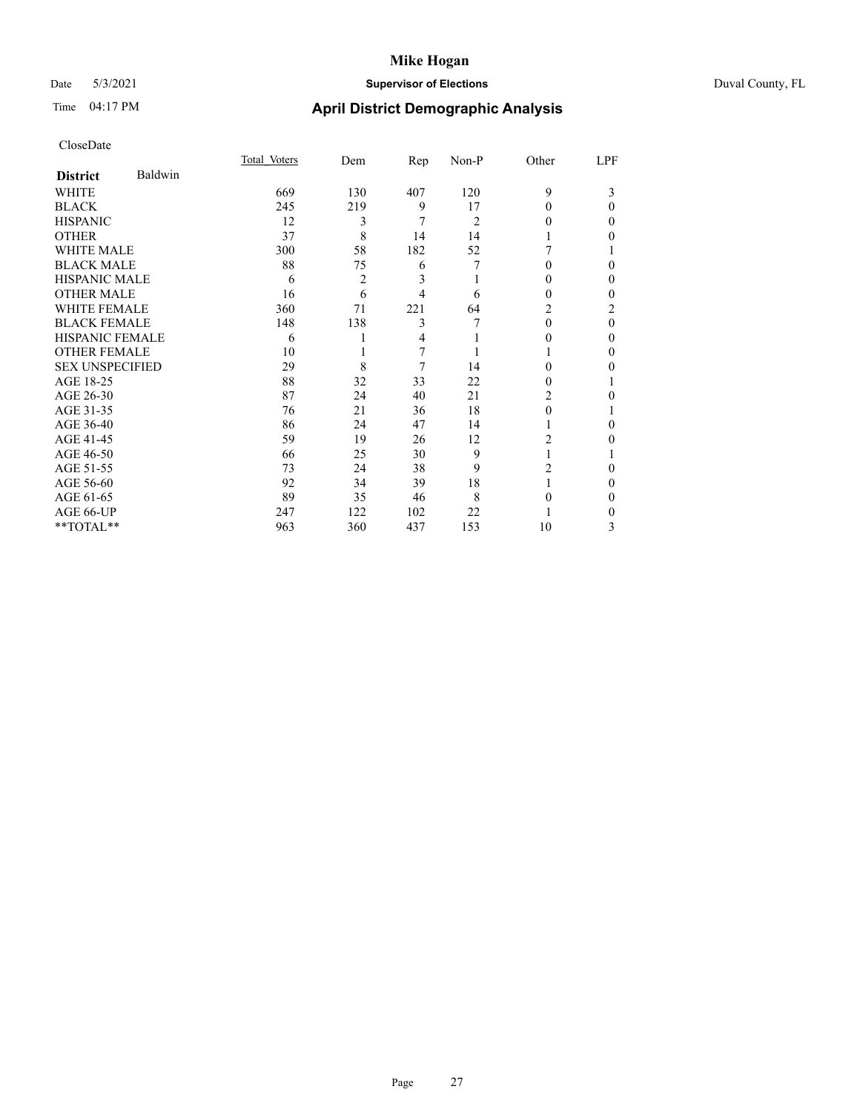## Date 5/3/2021 **Supervisor of Elections** Duval County, FL

## Time 04:17 PM **April District Demographic Analysis**

|                        |         | Total Voters | Dem | Rep | Non-P          | Other    | LPF      |
|------------------------|---------|--------------|-----|-----|----------------|----------|----------|
| <b>District</b>        | Baldwin |              |     |     |                |          |          |
| WHITE                  |         | 669          | 130 | 407 | 120            | 9        | 3        |
| <b>BLACK</b>           |         | 245          | 219 | 9   | 17             | $\Omega$ | 0        |
| <b>HISPANIC</b>        |         | 12           | 3   | 7   | $\overline{c}$ | 0        | 0        |
| <b>OTHER</b>           |         | 37           | 8   | 14  | 14             |          | 0        |
| WHITE MALE             |         | 300          | 58  | 182 | 52             |          |          |
| <b>BLACK MALE</b>      |         | 88           | 75  | 6   |                | 0        | 0        |
| <b>HISPANIC MALE</b>   |         | 6            | 2   | 3   |                | $\theta$ | 0        |
| <b>OTHER MALE</b>      |         | 16           | 6   | 4   | 6              | $\theta$ | 0        |
| WHITE FEMALE           |         | 360          | 71  | 221 | 64             | 2        | 2        |
| <b>BLACK FEMALE</b>    |         | 148          | 138 | 3   |                | $\Omega$ | $\theta$ |
| <b>HISPANIC FEMALE</b> |         | 6            |     | 4   |                | $_{0}$   | 0        |
| <b>OTHER FEMALE</b>    |         | 10           |     | 7   |                |          | 0        |
| <b>SEX UNSPECIFIED</b> |         | 29           | 8   | 7   | 14             | 0        | 0        |
| AGE 18-25              |         | 88           | 32  | 33  | 22             | 0        |          |
| AGE 26-30              |         | 87           | 24  | 40  | 21             | 2        | 0        |
| AGE 31-35              |         | 76           | 21  | 36  | 18             | 0        |          |
| AGE 36-40              |         | 86           | 24  | 47  | 14             |          | 0        |
| AGE 41-45              |         | 59           | 19  | 26  | 12             | 2        | 0        |
| AGE 46-50              |         | 66           | 25  | 30  | 9              |          |          |
| AGE 51-55              |         | 73           | 24  | 38  | 9              | 2        | 0        |
| AGE 56-60              |         | 92           | 34  | 39  | 18             |          | 0        |
| AGE 61-65              |         | 89           | 35  | 46  | 8              | 0        | 0        |
| AGE 66-UP              |         | 247          | 122 | 102 | 22             |          | 0        |
| **TOTAL**              |         | 963          | 360 | 437 | 153            | 10       | 3        |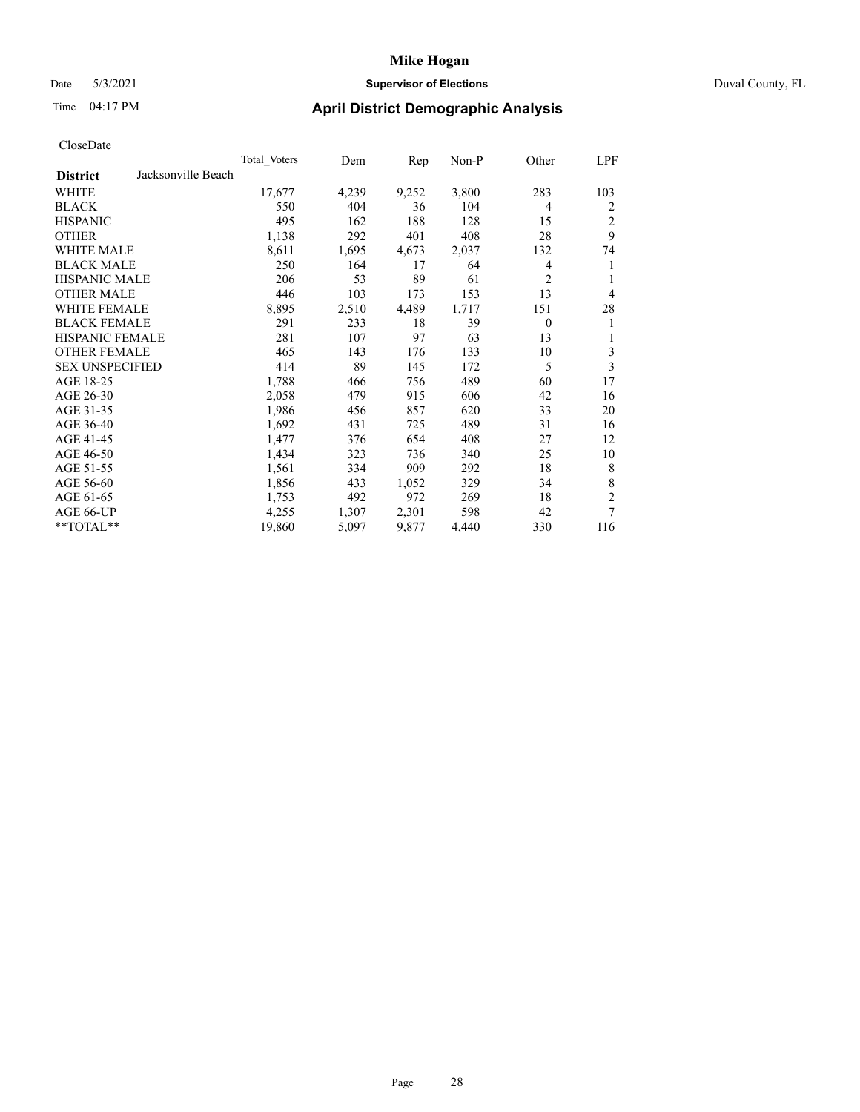### Date 5/3/2021 **Supervisor of Elections** Duval County, FL

| CloseDate |
|-----------|
|-----------|

| Total Voters | Dem   |       | Non-P | Other          | LPF            |
|--------------|-------|-------|-------|----------------|----------------|
|              |       |       |       |                |                |
| 17,677       | 4,239 | 9,252 | 3,800 | 283            | 103            |
| 550          | 404   | 36    | 104   | 4              | 2              |
| 495          | 162   | 188   | 128   | 15             | 2              |
| 1,138        | 292   | 401   | 408   | 28             | 9              |
| 8,611        | 1,695 | 4,673 | 2,037 | 132            | 74             |
| 250          | 164   | 17    | 64    | 4              | 1              |
| 206          | 53    | 89    | 61    | $\overline{2}$ |                |
| 446          | 103   | 173   | 153   | 13             | 4              |
| 8,895        | 2,510 | 4,489 | 1,717 | 151            | 28             |
| 291          | 233   | 18    | 39    | $\theta$       | 1              |
| 281          | 107   | 97    | 63    | 13             | 1              |
| 465          | 143   | 176   | 133   | 10             | 3              |
| 414          | 89    | 145   | 172   | 5              | 3              |
| 1,788        | 466   | 756   | 489   | 60             | 17             |
| 2,058        | 479   | 915   | 606   | 42             | 16             |
| 1,986        | 456   | 857   | 620   | 33             | 20             |
| 1,692        | 431   | 725   | 489   | 31             | 16             |
| 1,477        | 376   | 654   | 408   | 27             | 12             |
| 1,434        | 323   | 736   | 340   | 25             | 10             |
| 1,561        | 334   | 909   | 292   | 18             | 8              |
| 1,856        | 433   | 1,052 | 329   | 34             | 8              |
| 1,753        | 492   | 972   | 269   | 18             | $\overline{2}$ |
| 4,255        | 1,307 | 2,301 | 598   | 42             | 7              |
| 19,860       | 5,097 | 9,877 | 4,440 | 330            | 116            |
|              |       |       | Rep   |                |                |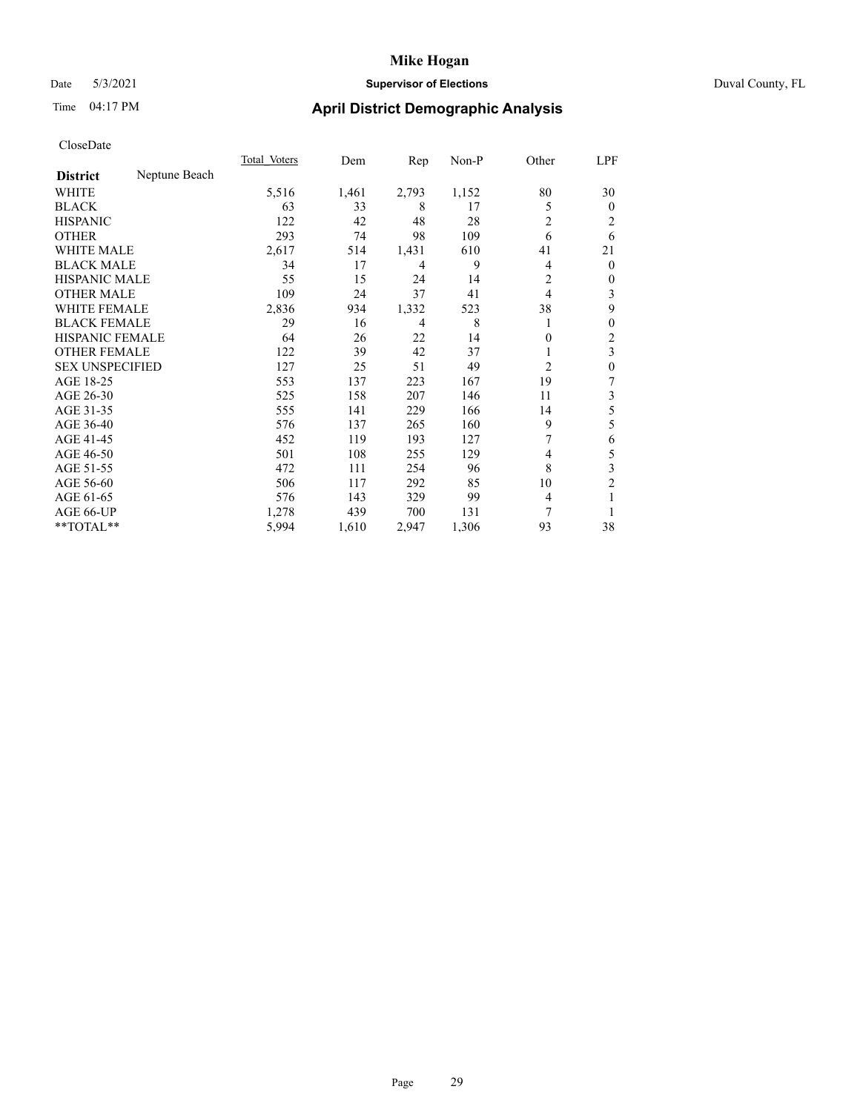## Date 5/3/2021 **Supervisor of Elections** Duval County, FL

## Time 04:17 PM **April District Demographic Analysis**

|                        |               | Total Voters | Dem   | Rep   | Non-P | Other          | LPF            |
|------------------------|---------------|--------------|-------|-------|-------|----------------|----------------|
| <b>District</b>        | Neptune Beach |              |       |       |       |                |                |
| WHITE                  |               | 5,516        | 1,461 | 2,793 | 1,152 | 80             | 30             |
| <b>BLACK</b>           |               | 63           | 33    | 8     | 17    | 5              | $\mathbf{0}$   |
| <b>HISPANIC</b>        |               | 122          | 42    | 48    | 28    | 2              | 2              |
| <b>OTHER</b>           |               | 293          | 74    | 98    | 109   | 6              | 6              |
| WHITE MALE             |               | 2,617        | 514   | 1,431 | 610   | 41             | 21             |
| <b>BLACK MALE</b>      |               | 34           | 17    | 4     | 9     | 4              | $\mathbf{0}$   |
| <b>HISPANIC MALE</b>   |               | 55           | 15    | 24    | 14    | 2              | $\mathbf{0}$   |
| <b>OTHER MALE</b>      |               | 109          | 24    | 37    | 41    | 4              | 3              |
| WHITE FEMALE           |               | 2,836        | 934   | 1,332 | 523   | 38             | 9              |
| <b>BLACK FEMALE</b>    |               | 29           | 16    | 4     | 8     |                | 0              |
| <b>HISPANIC FEMALE</b> |               | 64           | 26    | 22    | 14    | 0              | $\overline{2}$ |
| <b>OTHER FEMALE</b>    |               | 122          | 39    | 42    | 37    |                | 3              |
| <b>SEX UNSPECIFIED</b> |               | 127          | 25    | 51    | 49    | $\overline{2}$ | $\theta$       |
| AGE 18-25              |               | 553          | 137   | 223   | 167   | 19             | 7              |
| AGE 26-30              |               | 525          | 158   | 207   | 146   | 11             | 3              |
| AGE 31-35              |               | 555          | 141   | 229   | 166   | 14             | 5              |
| AGE 36-40              |               | 576          | 137   | 265   | 160   | 9              | 5              |
| AGE 41-45              |               | 452          | 119   | 193   | 127   |                | 6              |
| AGE 46-50              |               | 501          | 108   | 255   | 129   | 4              | 5              |
| AGE 51-55              |               | 472          | 111   | 254   | 96    | 8              | 3              |
| AGE 56-60              |               | 506          | 117   | 292   | 85    | 10             | $\overline{2}$ |
| AGE 61-65              |               | 576          | 143   | 329   | 99    | 4              | 1              |
| AGE 66-UP              |               | 1,278        | 439   | 700   | 131   | 7              |                |
| $*$ TOTAL $**$         |               | 5,994        | 1,610 | 2,947 | 1,306 | 93             | 38             |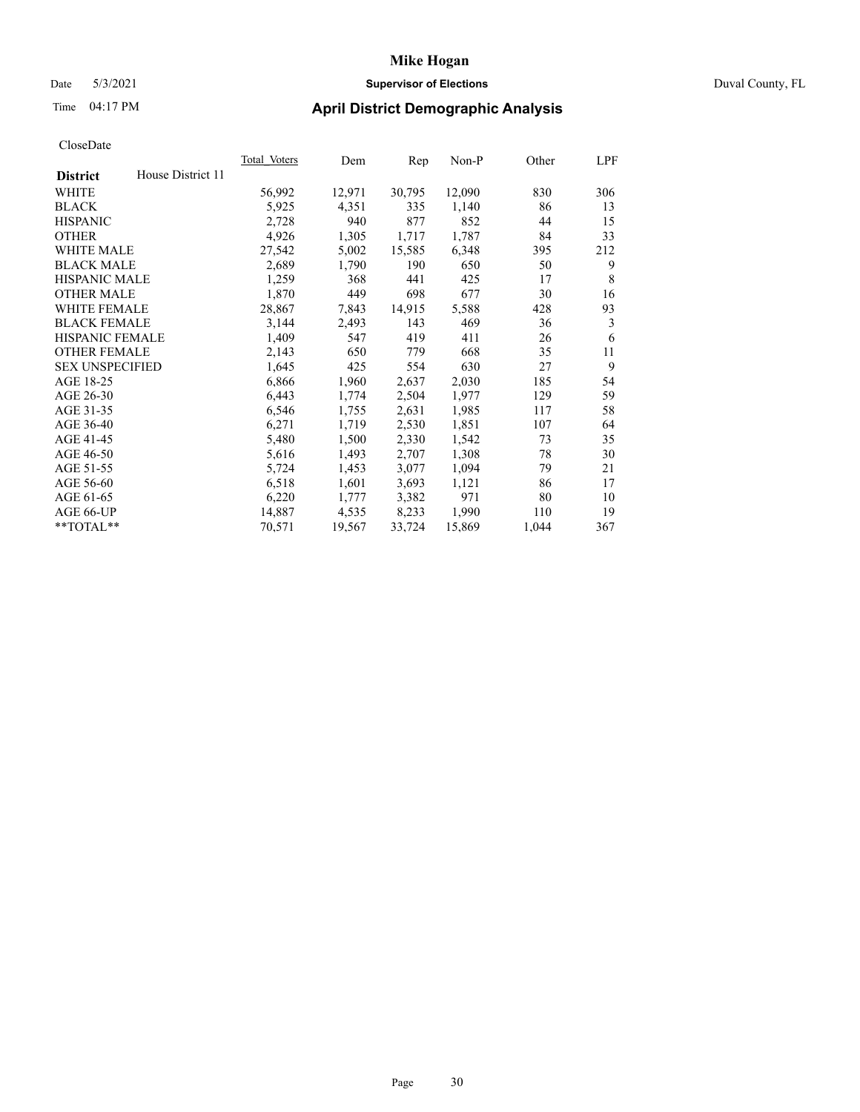## Date 5/3/2021 **Supervisor of Elections** Duval County, FL

## Time 04:17 PM **April District Demographic Analysis**

|                        |                   | Total Voters | Dem    | Rep    | Non-P  | Other | LPF |
|------------------------|-------------------|--------------|--------|--------|--------|-------|-----|
| <b>District</b>        | House District 11 |              |        |        |        |       |     |
| WHITE                  |                   | 56,992       | 12,971 | 30,795 | 12,090 | 830   | 306 |
| <b>BLACK</b>           |                   | 5,925        | 4,351  | 335    | 1,140  | 86    | 13  |
| <b>HISPANIC</b>        |                   | 2,728        | 940    | 877    | 852    | 44    | 15  |
| <b>OTHER</b>           |                   | 4,926        | 1,305  | 1,717  | 1,787  | 84    | 33  |
| WHITE MALE             |                   | 27,542       | 5,002  | 15,585 | 6,348  | 395   | 212 |
| <b>BLACK MALE</b>      |                   | 2,689        | 1,790  | 190    | 650    | 50    | 9   |
| <b>HISPANIC MALE</b>   |                   | 1,259        | 368    | 441    | 425    | 17    | 8   |
| <b>OTHER MALE</b>      |                   | 1,870        | 449    | 698    | 677    | 30    | 16  |
| WHITE FEMALE           |                   | 28,867       | 7,843  | 14,915 | 5,588  | 428   | 93  |
| <b>BLACK FEMALE</b>    |                   | 3,144        | 2,493  | 143    | 469    | 36    | 3   |
| <b>HISPANIC FEMALE</b> |                   | 1,409        | 547    | 419    | 411    | 26    | 6   |
| <b>OTHER FEMALE</b>    |                   | 2,143        | 650    | 779    | 668    | 35    | 11  |
| <b>SEX UNSPECIFIED</b> |                   | 1,645        | 425    | 554    | 630    | 27    | 9   |
| AGE 18-25              |                   | 6,866        | 1,960  | 2,637  | 2,030  | 185   | 54  |
| AGE 26-30              |                   | 6,443        | 1,774  | 2,504  | 1,977  | 129   | 59  |
| AGE 31-35              |                   | 6,546        | 1,755  | 2,631  | 1,985  | 117   | 58  |
| AGE 36-40              |                   | 6,271        | 1,719  | 2,530  | 1,851  | 107   | 64  |
| AGE 41-45              |                   | 5,480        | 1,500  | 2,330  | 1,542  | 73    | 35  |
| AGE 46-50              |                   | 5,616        | 1,493  | 2,707  | 1,308  | 78    | 30  |
| AGE 51-55              |                   | 5,724        | 1,453  | 3,077  | 1,094  | 79    | 21  |
| AGE 56-60              |                   | 6,518        | 1,601  | 3,693  | 1,121  | 86    | 17  |
| AGE 61-65              |                   | 6,220        | 1,777  | 3,382  | 971    | 80    | 10  |
| AGE 66-UP              |                   | 14,887       | 4,535  | 8,233  | 1,990  | 110   | 19  |
| $*$ TOTAL $*$          |                   | 70,571       | 19,567 | 33,724 | 15,869 | 1,044 | 367 |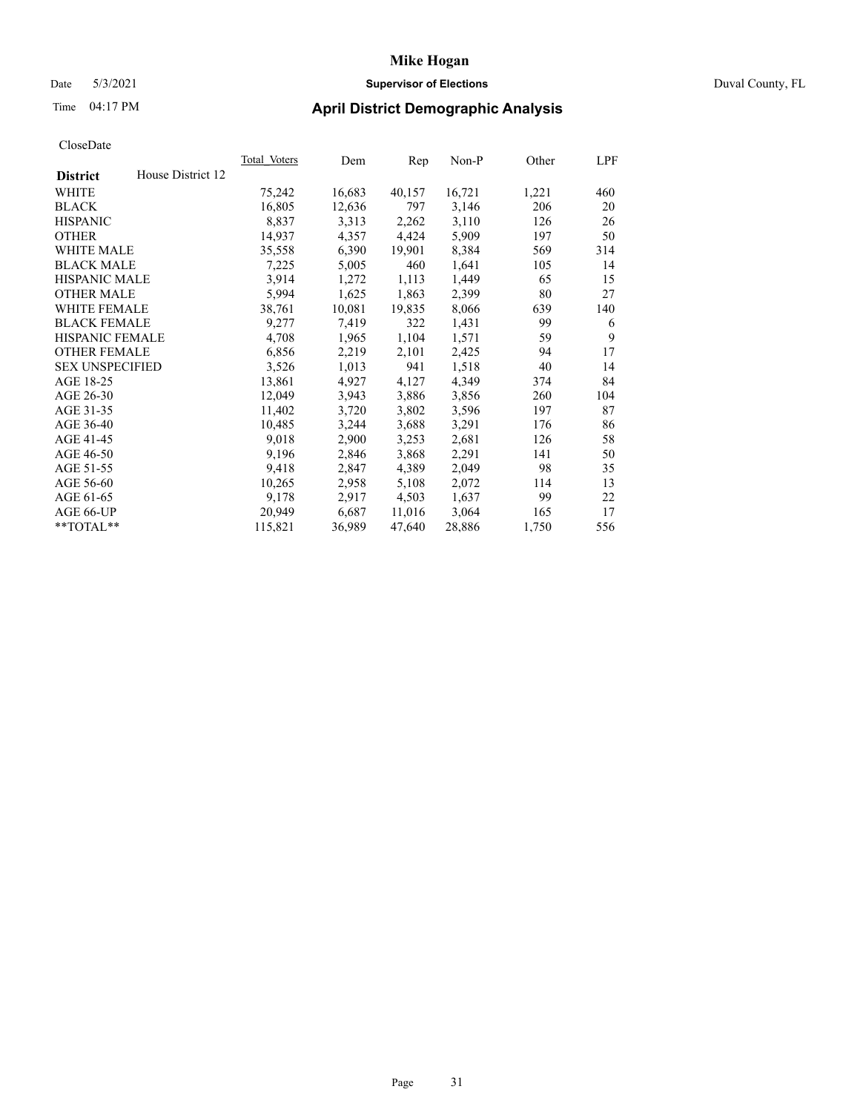### Date 5/3/2021 **Supervisor of Elections** Duval County, FL

## Time 04:17 PM **April District Demographic Analysis**

|                                      | Total Voters | Dem    | Rep    | $Non-P$ | Other | LPF |
|--------------------------------------|--------------|--------|--------|---------|-------|-----|
| House District 12<br><b>District</b> |              |        |        |         |       |     |
| WHITE                                | 75,242       | 16,683 | 40,157 | 16,721  | 1,221 | 460 |
| <b>BLACK</b>                         | 16,805       | 12,636 | 797    | 3,146   | 206   | 20  |
| <b>HISPANIC</b>                      | 8,837        | 3,313  | 2,262  | 3,110   | 126   | 26  |
| <b>OTHER</b>                         | 14,937       | 4,357  | 4,424  | 5,909   | 197   | 50  |
| WHITE MALE                           | 35,558       | 6,390  | 19,901 | 8,384   | 569   | 314 |
| <b>BLACK MALE</b>                    | 7,225        | 5,005  | 460    | 1,641   | 105   | 14  |
| <b>HISPANIC MALE</b>                 | 3,914        | 1,272  | 1,113  | 1,449   | 65    | 15  |
| <b>OTHER MALE</b>                    | 5,994        | 1,625  | 1,863  | 2,399   | 80    | 27  |
| <b>WHITE FEMALE</b>                  | 38,761       | 10,081 | 19,835 | 8,066   | 639   | 140 |
| <b>BLACK FEMALE</b>                  | 9,277        | 7,419  | 322    | 1,431   | 99    | 6   |
| HISPANIC FEMALE                      | 4,708        | 1,965  | 1,104  | 1,571   | 59    | 9   |
| <b>OTHER FEMALE</b>                  | 6,856        | 2,219  | 2,101  | 2,425   | 94    | 17  |
| <b>SEX UNSPECIFIED</b>               | 3,526        | 1,013  | 941    | 1,518   | 40    | 14  |
| AGE 18-25                            | 13,861       | 4,927  | 4,127  | 4,349   | 374   | 84  |
| AGE 26-30                            | 12,049       | 3,943  | 3,886  | 3,856   | 260   | 104 |
| AGE 31-35                            | 11,402       | 3,720  | 3,802  | 3,596   | 197   | 87  |
| AGE 36-40                            | 10,485       | 3,244  | 3,688  | 3,291   | 176   | 86  |
| AGE 41-45                            | 9,018        | 2,900  | 3,253  | 2,681   | 126   | 58  |
| AGE 46-50                            | 9,196        | 2,846  | 3,868  | 2,291   | 141   | 50  |
| AGE 51-55                            | 9,418        | 2,847  | 4,389  | 2,049   | 98    | 35  |
| AGE 56-60                            | 10,265       | 2,958  | 5,108  | 2,072   | 114   | 13  |
| AGE 61-65                            | 9,178        | 2,917  | 4,503  | 1,637   | 99    | 22  |
| AGE 66-UP                            | 20,949       | 6,687  | 11,016 | 3,064   | 165   | 17  |
| **TOTAL**                            | 115,821      | 36,989 | 47,640 | 28,886  | 1,750 | 556 |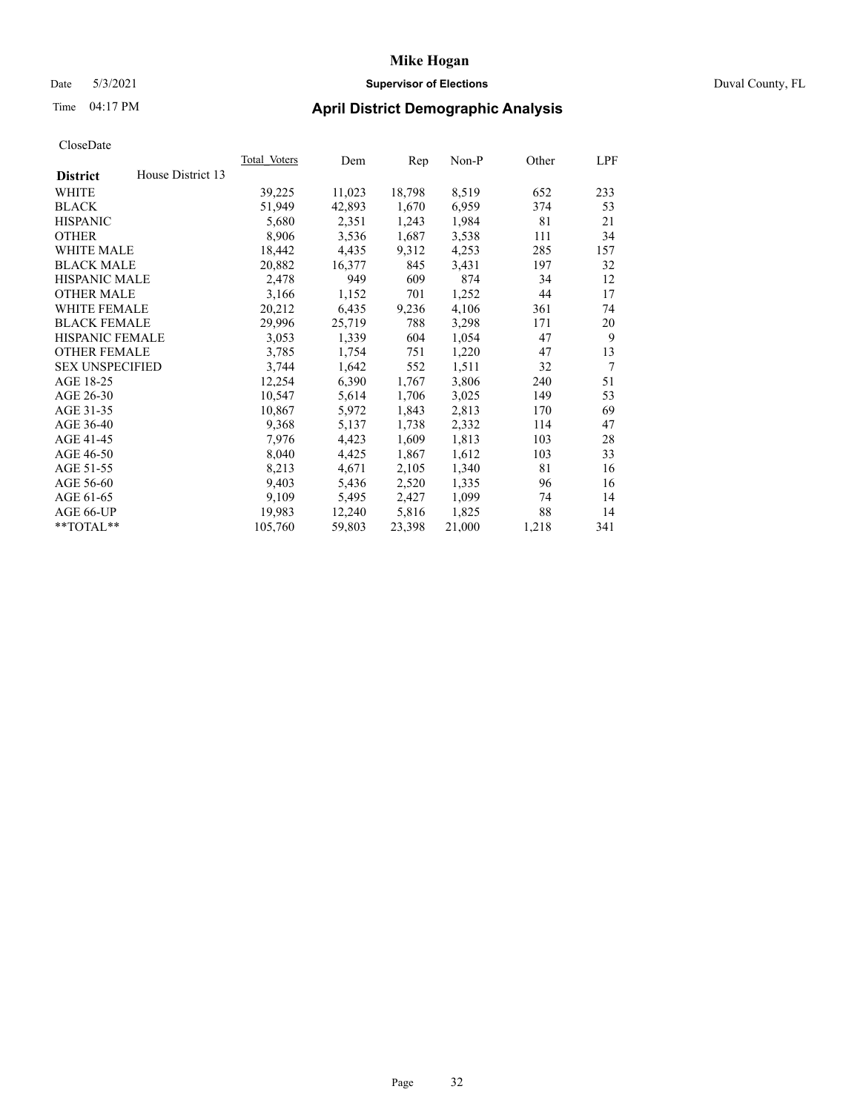### Date 5/3/2021 **Supervisor of Elections** Duval County, FL

## Time 04:17 PM **April District Demographic Analysis**

|                        |                   | Total Voters | Dem    | Rep    | Non-P  | Other | LPF            |
|------------------------|-------------------|--------------|--------|--------|--------|-------|----------------|
| <b>District</b>        | House District 13 |              |        |        |        |       |                |
| WHITE                  |                   | 39,225       | 11,023 | 18,798 | 8,519  | 652   | 233            |
| <b>BLACK</b>           |                   | 51,949       | 42,893 | 1,670  | 6,959  | 374   | 53             |
| <b>HISPANIC</b>        |                   | 5,680        | 2,351  | 1,243  | 1,984  | 81    | 21             |
| <b>OTHER</b>           |                   | 8,906        | 3,536  | 1,687  | 3,538  | 111   | 34             |
| <b>WHITE MALE</b>      |                   | 18,442       | 4,435  | 9,312  | 4,253  | 285   | 157            |
| <b>BLACK MALE</b>      |                   | 20,882       | 16,377 | 845    | 3,431  | 197   | 32             |
| <b>HISPANIC MALE</b>   |                   | 2,478        | 949    | 609    | 874    | 34    | 12             |
| <b>OTHER MALE</b>      |                   | 3,166        | 1,152  | 701    | 1,252  | 44    | 17             |
| <b>WHITE FEMALE</b>    |                   | 20,212       | 6,435  | 9,236  | 4,106  | 361   | 74             |
| <b>BLACK FEMALE</b>    |                   | 29,996       | 25,719 | 788    | 3,298  | 171   | 20             |
| <b>HISPANIC FEMALE</b> |                   | 3,053        | 1,339  | 604    | 1,054  | 47    | 9              |
| <b>OTHER FEMALE</b>    |                   | 3,785        | 1,754  | 751    | 1,220  | 47    | 13             |
| <b>SEX UNSPECIFIED</b> |                   | 3,744        | 1,642  | 552    | 1,511  | 32    | $\overline{7}$ |
| AGE 18-25              |                   | 12,254       | 6,390  | 1,767  | 3,806  | 240   | 51             |
| AGE 26-30              |                   | 10,547       | 5,614  | 1,706  | 3,025  | 149   | 53             |
| AGE 31-35              |                   | 10,867       | 5,972  | 1,843  | 2,813  | 170   | 69             |
| AGE 36-40              |                   | 9,368        | 5,137  | 1,738  | 2,332  | 114   | 47             |
| AGE 41-45              |                   | 7,976        | 4,423  | 1,609  | 1,813  | 103   | 28             |
| AGE 46-50              |                   | 8,040        | 4,425  | 1,867  | 1,612  | 103   | 33             |
| AGE 51-55              |                   | 8,213        | 4,671  | 2,105  | 1,340  | 81    | 16             |
| AGE 56-60              |                   | 9,403        | 5,436  | 2,520  | 1,335  | 96    | 16             |
| AGE 61-65              |                   | 9,109        | 5,495  | 2,427  | 1,099  | 74    | 14             |
| AGE 66-UP              |                   | 19,983       | 12,240 | 5,816  | 1,825  | 88    | 14             |
| $*$ $TOTAL**$          |                   | 105,760      | 59,803 | 23,398 | 21,000 | 1,218 | 341            |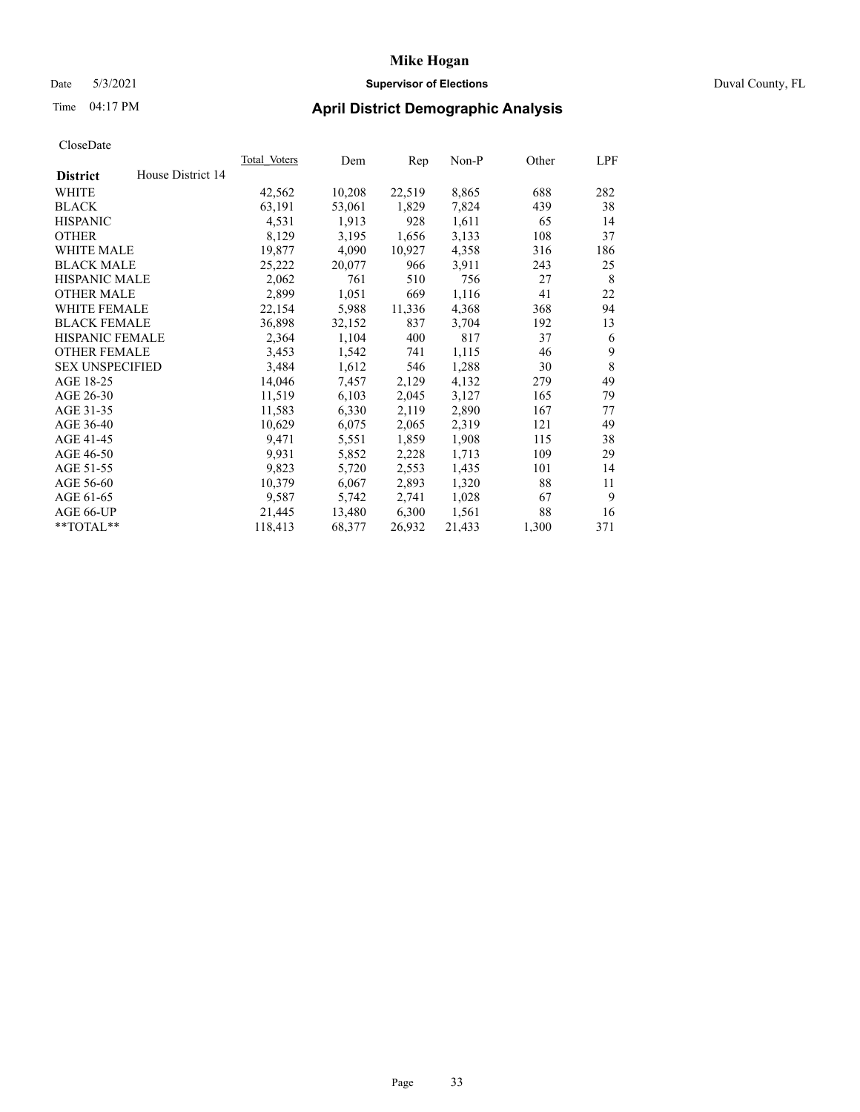### Date 5/3/2021 **Supervisor of Elections** Duval County, FL

## Time 04:17 PM **April District Demographic Analysis**

| <b>Total Voters</b> | Dem    | Rep    | $Non-P$ | Other | LPF |
|---------------------|--------|--------|---------|-------|-----|
|                     |        |        |         |       |     |
| 42,562              | 10,208 | 22,519 | 8,865   | 688   | 282 |
| 63,191              | 53,061 | 1,829  | 7,824   | 439   | 38  |
| 4,531               | 1,913  | 928    | 1,611   | 65    | 14  |
| 8,129               | 3,195  | 1,656  | 3,133   | 108   | 37  |
| 19,877              | 4,090  | 10,927 | 4,358   | 316   | 186 |
| 25,222              | 20,077 | 966    | 3,911   | 243   | 25  |
| 2,062               | 761    | 510    | 756     | 27    | 8   |
| 2,899               | 1,051  | 669    | 1,116   | 41    | 22  |
| 22,154              | 5,988  | 11,336 | 4,368   | 368   | 94  |
| 36,898              | 32,152 | 837    | 3,704   | 192   | 13  |
| 2,364               | 1,104  | 400    | 817     | 37    | 6   |
| 3,453               | 1,542  | 741    | 1,115   | 46    | 9   |
| 3,484               | 1,612  | 546    | 1,288   | 30    | 8   |
| 14,046              | 7,457  | 2,129  | 4,132   | 279   | 49  |
| 11,519              | 6,103  | 2,045  | 3,127   | 165   | 79  |
| 11,583              | 6,330  | 2,119  | 2,890   | 167   | 77  |
| 10,629              | 6,075  | 2,065  | 2,319   | 121   | 49  |
| 9,471               | 5,551  | 1,859  | 1,908   | 115   | 38  |
| 9,931               | 5,852  | 2,228  | 1,713   | 109   | 29  |
| 9,823               | 5,720  | 2,553  | 1,435   | 101   | 14  |
| 10,379              | 6,067  | 2,893  | 1,320   | 88    | 11  |
| 9,587               | 5,742  | 2,741  | 1,028   | 67    | 9   |
| 21,445              | 13,480 | 6,300  | 1,561   | 88    | 16  |
| 118,413             | 68,377 | 26,932 | 21,433  | 1,300 | 371 |
|                     |        |        |         |       |     |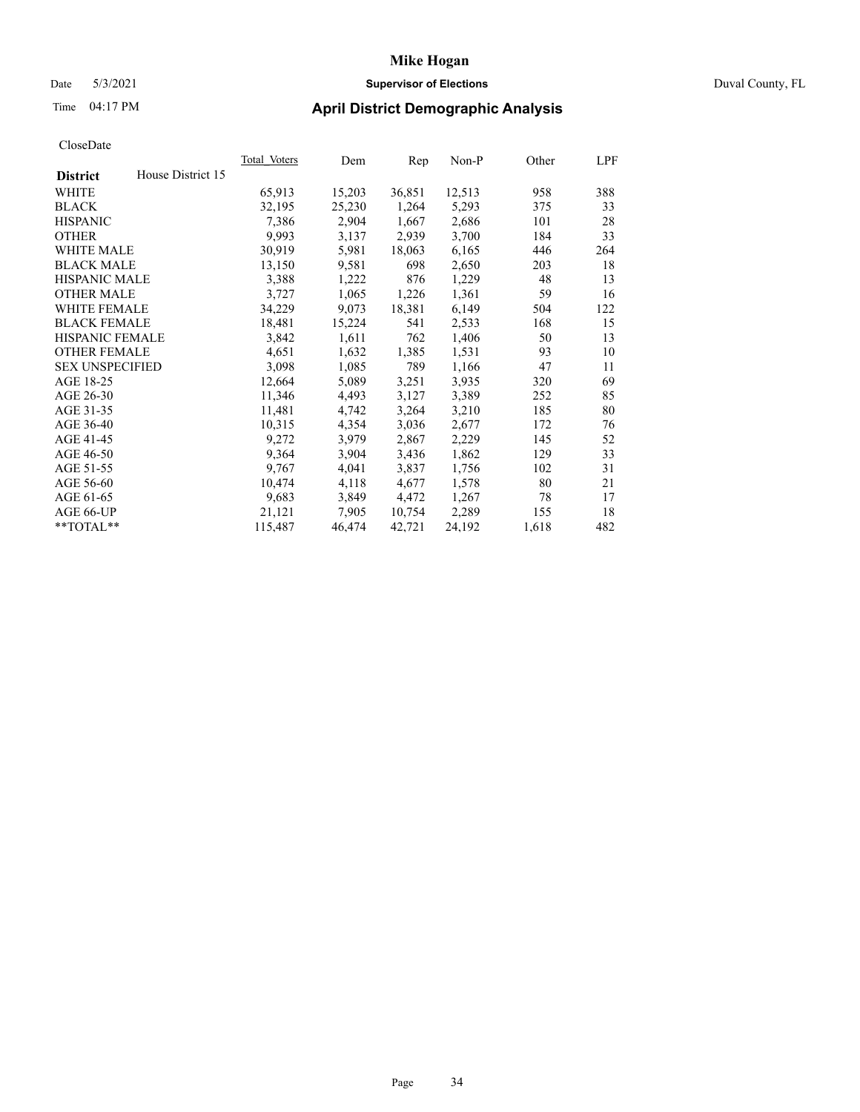### Date 5/3/2021 **Supervisor of Elections** Duval County, FL

# Time 04:17 PM **April District Demographic Analysis**

| Total Voters | Dem    | Rep    | $Non-P$ | Other | LPF |
|--------------|--------|--------|---------|-------|-----|
|              |        |        |         |       |     |
| 65,913       | 15,203 | 36,851 | 12,513  | 958   | 388 |
| 32,195       | 25,230 | 1,264  | 5,293   | 375   | 33  |
| 7,386        | 2,904  | 1,667  | 2,686   | 101   | 28  |
| 9,993        | 3,137  | 2,939  | 3,700   | 184   | 33  |
| 30,919       | 5,981  | 18,063 | 6,165   | 446   | 264 |
| 13,150       | 9,581  | 698    | 2,650   | 203   | 18  |
| 3,388        | 1,222  | 876    | 1,229   | 48    | 13  |
| 3,727        | 1,065  | 1,226  | 1,361   | 59    | 16  |
| 34,229       | 9,073  | 18,381 | 6,149   | 504   | 122 |
| 18,481       | 15,224 | 541    | 2,533   | 168   | 15  |
| 3,842        | 1,611  | 762    | 1,406   | 50    | 13  |
| 4,651        | 1,632  | 1,385  | 1,531   | 93    | 10  |
| 3,098        |        | 789    | 1,166   | 47    | 11  |
| 12,664       | 5,089  | 3,251  | 3,935   | 320   | 69  |
| 11,346       | 4,493  | 3,127  | 3,389   | 252   | 85  |
| 11,481       | 4,742  | 3,264  | 3,210   | 185   | 80  |
| 10,315       | 4,354  | 3,036  | 2,677   | 172   | 76  |
| 9,272        | 3,979  | 2,867  | 2,229   | 145   | 52  |
| 9,364        | 3,904  | 3,436  | 1,862   | 129   | 33  |
| 9,767        | 4,041  | 3,837  | 1,756   | 102   | 31  |
| 10,474       | 4,118  | 4,677  | 1,578   | 80    | 21  |
| 9,683        | 3,849  | 4,472  | 1,267   | 78    | 17  |
| 21,121       | 7,905  | 10,754 | 2,289   | 155   | 18  |
| 115,487      | 46,474 | 42,721 | 24,192  | 1,618 | 482 |
|              |        | 1,085  |         |       |     |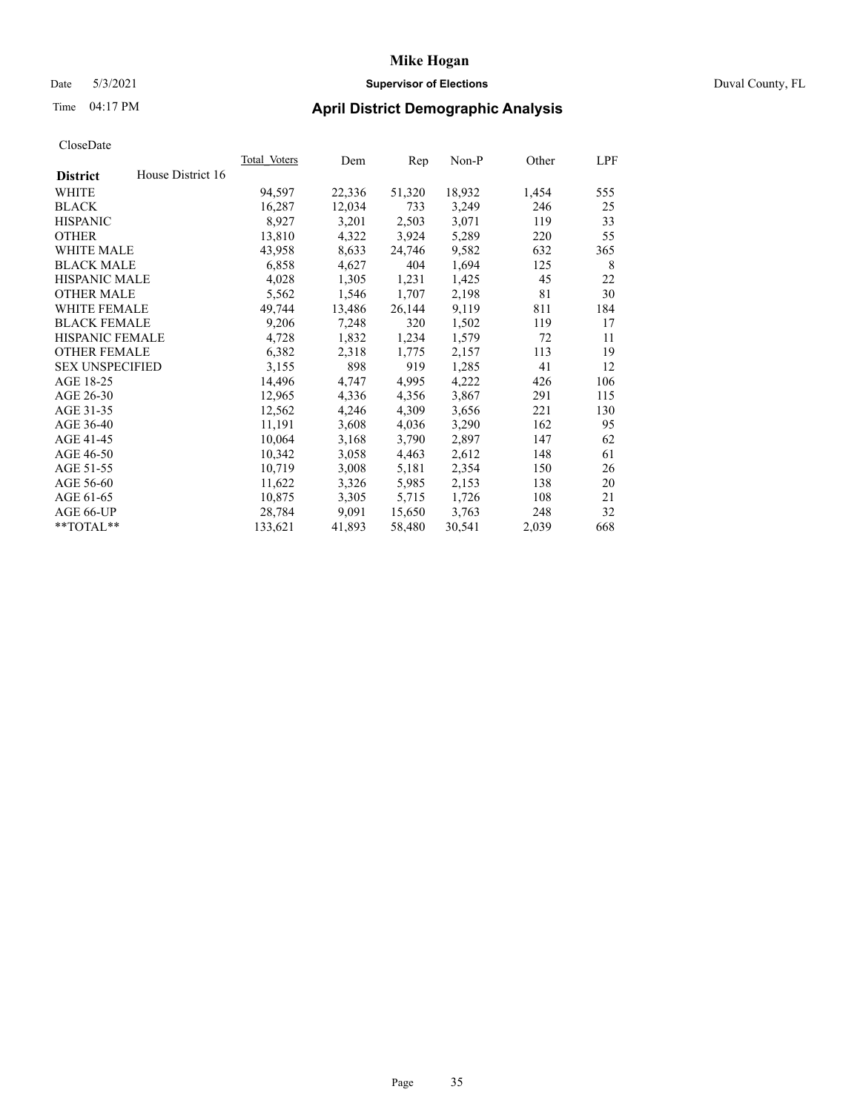### Date 5/3/2021 **Supervisor of Elections** Duval County, FL

## Time 04:17 PM **April District Demographic Analysis**

|                                      | Total Voters | Dem    | Rep    | $Non-P$ | Other | LPF |
|--------------------------------------|--------------|--------|--------|---------|-------|-----|
| House District 16<br><b>District</b> |              |        |        |         |       |     |
| WHITE                                | 94,597       | 22,336 | 51,320 | 18,932  | 1,454 | 555 |
| <b>BLACK</b>                         | 16,287       | 12,034 | 733    | 3,249   | 246   | 25  |
| <b>HISPANIC</b>                      | 8,927        | 3,201  | 2,503  | 3,071   | 119   | 33  |
| <b>OTHER</b>                         | 13,810       | 4,322  | 3,924  | 5,289   | 220   | 55  |
| WHITE MALE                           | 43,958       | 8,633  | 24,746 | 9,582   | 632   | 365 |
| <b>BLACK MALE</b>                    | 6,858        | 4,627  | 404    | 1,694   | 125   | 8   |
| <b>HISPANIC MALE</b>                 | 4,028        | 1,305  | 1,231  | 1,425   | 45    | 22  |
| <b>OTHER MALE</b>                    | 5,562        | 1,546  | 1,707  | 2,198   | 81    | 30  |
| <b>WHITE FEMALE</b>                  | 49,744       | 13,486 | 26,144 | 9,119   | 811   | 184 |
| <b>BLACK FEMALE</b>                  | 9,206        | 7,248  | 320    | 1,502   | 119   | 17  |
| HISPANIC FEMALE                      | 4,728        | 1,832  | 1,234  | 1,579   | 72    | 11  |
| <b>OTHER FEMALE</b>                  | 6,382        | 2,318  | 1,775  | 2,157   | 113   | 19  |
| <b>SEX UNSPECIFIED</b>               | 3,155        | 898    | 919    | 1,285   | 41    | 12  |
| AGE 18-25                            | 14,496       | 4,747  | 4,995  | 4,222   | 426   | 106 |
| AGE 26-30                            | 12,965       | 4,336  | 4,356  | 3,867   | 291   | 115 |
| AGE 31-35                            | 12,562       | 4,246  | 4,309  | 3,656   | 221   | 130 |
| AGE 36-40                            | 11,191       | 3,608  | 4,036  | 3,290   | 162   | 95  |
| AGE 41-45                            | 10,064       | 3,168  | 3,790  | 2,897   | 147   | 62  |
| AGE 46-50                            | 10,342       | 3,058  | 4,463  | 2,612   | 148   | 61  |
| AGE 51-55                            | 10,719       | 3,008  | 5,181  | 2,354   | 150   | 26  |
| AGE 56-60                            | 11,622       | 3,326  | 5,985  | 2,153   | 138   | 20  |
| AGE 61-65                            | 10,875       | 3,305  | 5,715  | 1,726   | 108   | 21  |
| AGE 66-UP                            | 28,784       | 9,091  | 15,650 | 3,763   | 248   | 32  |
| **TOTAL**                            | 133,621      | 41,893 | 58,480 | 30,541  | 2,039 | 668 |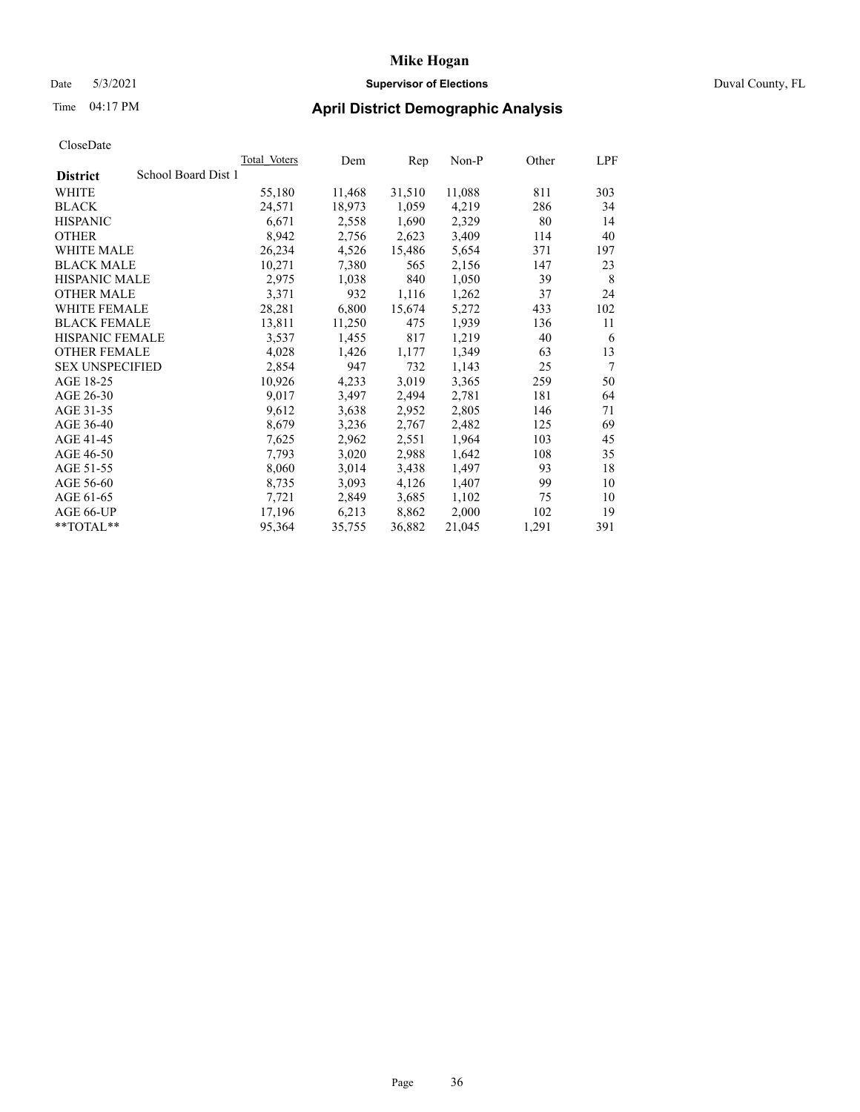### Date 5/3/2021 **Supervisor of Elections** Duval County, FL

# Time 04:17 PM **April District Demographic Analysis**

|                                        | <b>Total Voters</b> | Dem    | Rep    | $Non-P$ | Other | LPF |
|----------------------------------------|---------------------|--------|--------|---------|-------|-----|
| School Board Dist 1<br><b>District</b> |                     |        |        |         |       |     |
| WHITE                                  | 55,180              | 11,468 | 31,510 | 11,088  | 811   | 303 |
| <b>BLACK</b>                           | 24,571              | 18,973 | 1,059  | 4,219   | 286   | 34  |
| <b>HISPANIC</b>                        | 6,671               | 2,558  | 1,690  | 2,329   | 80    | 14  |
| <b>OTHER</b>                           | 8,942               | 2,756  | 2,623  | 3,409   | 114   | 40  |
| WHITE MALE                             | 26,234              | 4,526  | 15,486 | 5,654   | 371   | 197 |
| <b>BLACK MALE</b>                      | 10,271              | 7,380  | 565    | 2,156   | 147   | 23  |
| <b>HISPANIC MALE</b>                   | 2,975               | 1,038  | 840    | 1,050   | 39    | 8   |
| <b>OTHER MALE</b>                      | 3,371               | 932    | 1,116  | 1,262   | 37    | 24  |
| <b>WHITE FEMALE</b>                    | 28,281              | 6,800  | 15,674 | 5,272   | 433   | 102 |
| <b>BLACK FEMALE</b>                    | 13,811              | 11,250 | 475    | 1,939   | 136   | 11  |
| HISPANIC FEMALE                        | 3,537               | 1,455  | 817    | 1,219   | 40    | 6   |
| <b>OTHER FEMALE</b>                    | 4,028               | 1,426  | 1,177  | 1,349   | 63    | 13  |
| <b>SEX UNSPECIFIED</b>                 | 2,854               | 947    | 732    | 1,143   | 25    | 7   |
| AGE 18-25                              | 10,926              | 4,233  | 3,019  | 3,365   | 259   | 50  |
| AGE 26-30                              | 9,017               | 3,497  | 2,494  | 2,781   | 181   | 64  |
| AGE 31-35                              | 9,612               | 3,638  | 2,952  | 2,805   | 146   | 71  |
| AGE 36-40                              | 8,679               | 3,236  | 2,767  | 2,482   | 125   | 69  |
| AGE 41-45                              | 7,625               | 2,962  | 2,551  | 1,964   | 103   | 45  |
| AGE 46-50                              | 7,793               | 3,020  | 2,988  | 1,642   | 108   | 35  |
| AGE 51-55                              | 8,060               | 3,014  | 3,438  | 1,497   | 93    | 18  |
| AGE 56-60                              | 8,735               | 3,093  | 4,126  | 1,407   | 99    | 10  |
| AGE 61-65                              | 7,721               | 2,849  | 3,685  | 1,102   | 75    | 10  |
| AGE 66-UP                              | 17,196              | 6,213  | 8,862  | 2,000   | 102   | 19  |
| $*$ $TOTAL**$                          | 95,364              | 35,755 | 36,882 | 21,045  | 1,291 | 391 |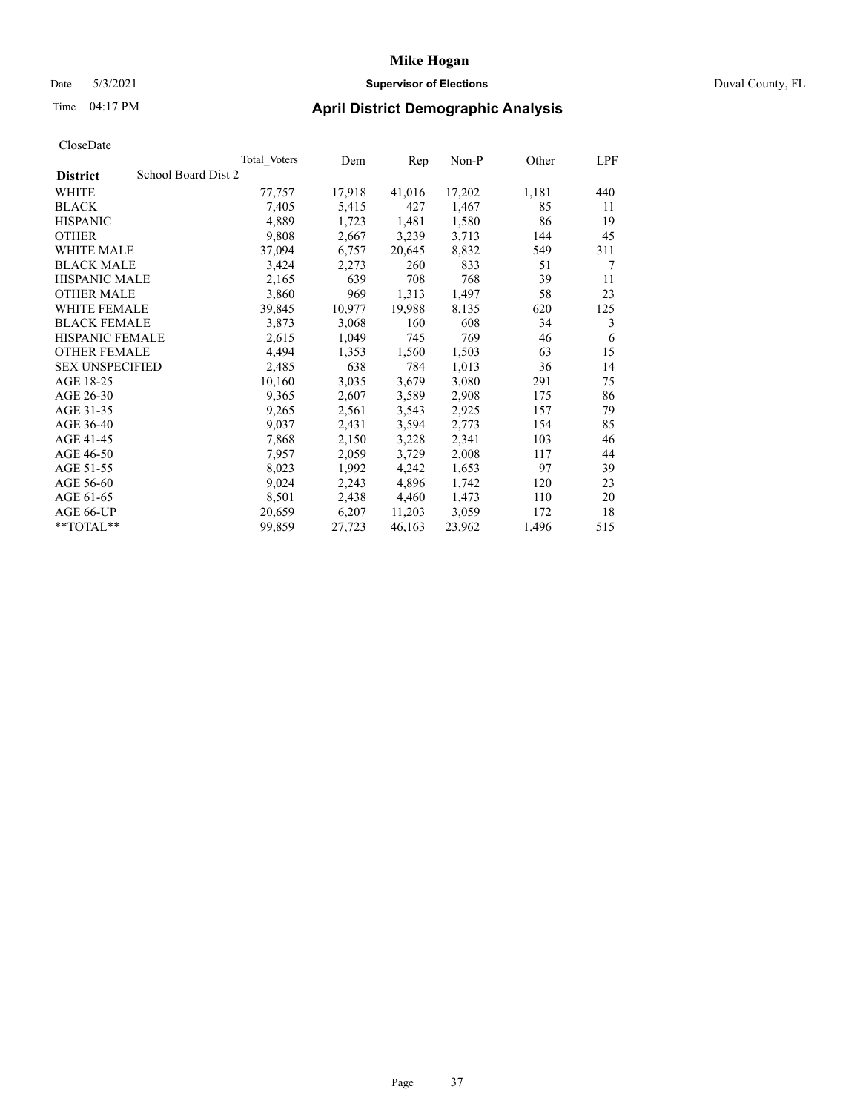### Date 5/3/2021 **Supervisor of Elections** Duval County, FL

# Time 04:17 PM **April District Demographic Analysis**

|                                        | <b>Total Voters</b> | Dem    | Rep    | $Non-P$ | Other | LPF |
|----------------------------------------|---------------------|--------|--------|---------|-------|-----|
| School Board Dist 2<br><b>District</b> |                     |        |        |         |       |     |
| WHITE                                  | 77,757              | 17,918 | 41,016 | 17,202  | 1,181 | 440 |
| <b>BLACK</b>                           | 7,405               | 5,415  | 427    | 1,467   | 85    | 11  |
| <b>HISPANIC</b>                        | 4,889               | 1,723  | 1,481  | 1,580   | 86    | 19  |
| <b>OTHER</b>                           | 9,808               | 2,667  | 3,239  | 3,713   | 144   | 45  |
| WHITE MALE                             | 37,094              | 6,757  | 20,645 | 8,832   | 549   | 311 |
| <b>BLACK MALE</b>                      | 3,424               | 2,273  | 260    | 833     | 51    | 7   |
| <b>HISPANIC MALE</b>                   | 2,165               | 639    | 708    | 768     | 39    | 11  |
| <b>OTHER MALE</b>                      | 3,860               | 969    | 1,313  | 1,497   | 58    | 23  |
| <b>WHITE FEMALE</b>                    | 39,845              | 10,977 | 19,988 | 8,135   | 620   | 125 |
| <b>BLACK FEMALE</b>                    | 3,873               | 3,068  | 160    | 608     | 34    | 3   |
| HISPANIC FEMALE                        | 2,615               | 1,049  | 745    | 769     | 46    | 6   |
| <b>OTHER FEMALE</b>                    | 4,494               | 1,353  | 1,560  | 1,503   | 63    | 15  |
| <b>SEX UNSPECIFIED</b>                 | 2,485               | 638    | 784    | 1,013   | 36    | 14  |
| AGE 18-25                              | 10,160              | 3,035  | 3,679  | 3,080   | 291   | 75  |
| AGE 26-30                              | 9,365               | 2,607  | 3,589  | 2,908   | 175   | 86  |
| AGE 31-35                              | 9,265               | 2,561  | 3,543  | 2,925   | 157   | 79  |
| AGE 36-40                              | 9,037               | 2,431  | 3,594  | 2,773   | 154   | 85  |
| AGE 41-45                              | 7,868               | 2,150  | 3,228  | 2,341   | 103   | 46  |
| AGE 46-50                              | 7,957               | 2,059  | 3,729  | 2,008   | 117   | 44  |
| AGE 51-55                              | 8,023               | 1,992  | 4,242  | 1,653   | 97    | 39  |
| AGE 56-60                              | 9,024               | 2,243  | 4,896  | 1,742   | 120   | 23  |
| AGE 61-65                              | 8,501               | 2,438  | 4,460  | 1,473   | 110   | 20  |
| AGE 66-UP                              | 20,659              | 6,207  | 11,203 | 3,059   | 172   | 18  |
| **TOTAL**                              | 99,859              | 27,723 | 46,163 | 23,962  | 1,496 | 515 |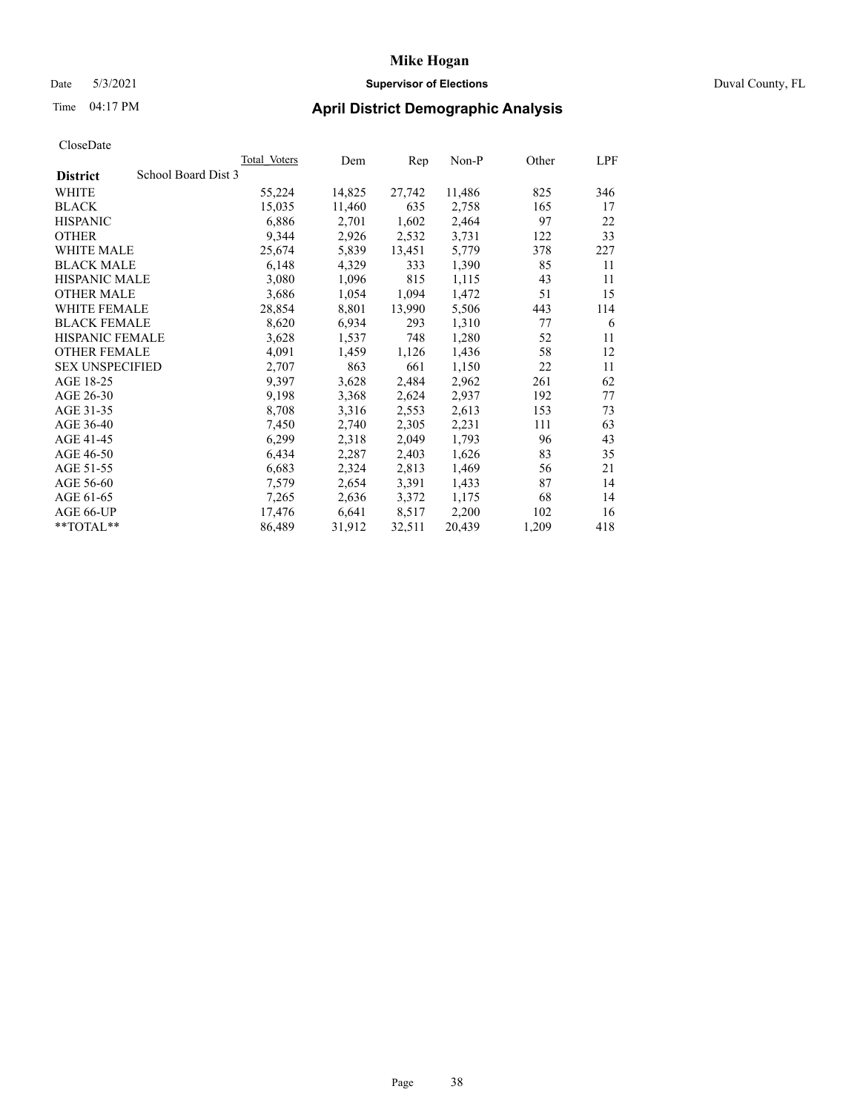### Date 5/3/2021 **Supervisor of Elections** Duval County, FL

## Time 04:17 PM **April District Demographic Analysis**

| <b>Total Voters</b> | Dem    | Rep    | $Non-P$ | Other | LPF |
|---------------------|--------|--------|---------|-------|-----|
| School Board Dist 3 |        |        |         |       |     |
| 55,224              | 14,825 | 27,742 | 11,486  | 825   | 346 |
| 15,035              | 11,460 | 635    | 2,758   | 165   | 17  |
| 6,886               | 2,701  | 1,602  | 2,464   | 97    | 22  |
| 9,344               | 2,926  | 2,532  | 3,731   | 122   | 33  |
| 25,674              | 5,839  | 13,451 | 5,779   | 378   | 227 |
| 6,148               | 4,329  | 333    | 1,390   | 85    | 11  |
| 3,080               | 1,096  | 815    | 1,115   | 43    | 11  |
| 3,686               | 1,054  | 1,094  | 1,472   | 51    | 15  |
| 28,854              | 8,801  | 13,990 | 5,506   | 443   | 114 |
| 8,620               | 6,934  | 293    | 1,310   | 77    | 6   |
| 3,628               | 1,537  | 748    | 1,280   | 52    | 11  |
| 4,091               | 1,459  | 1,126  | 1,436   | 58    | 12  |
| 2,707               | 863    | 661    | 1,150   | 22    | 11  |
| 9,397               | 3,628  | 2,484  | 2,962   | 261   | 62  |
| 9,198               | 3,368  | 2,624  | 2,937   | 192   | 77  |
| 8,708               | 3,316  | 2,553  | 2,613   | 153   | 73  |
| 7,450               | 2,740  | 2,305  | 2,231   | 111   | 63  |
| 6,299               | 2,318  | 2,049  | 1,793   | 96    | 43  |
| 6,434               | 2,287  | 2,403  | 1,626   | 83    | 35  |
| 6,683               | 2,324  | 2,813  | 1,469   | 56    | 21  |
| 7,579               | 2,654  | 3,391  | 1,433   | 87    | 14  |
| 7,265               | 2,636  | 3,372  | 1,175   | 68    | 14  |
| 17,476              | 6,641  | 8,517  | 2,200   | 102   | 16  |
| 86,489              | 31,912 | 32,511 | 20,439  | 1,209 | 418 |
|                     |        |        |         |       |     |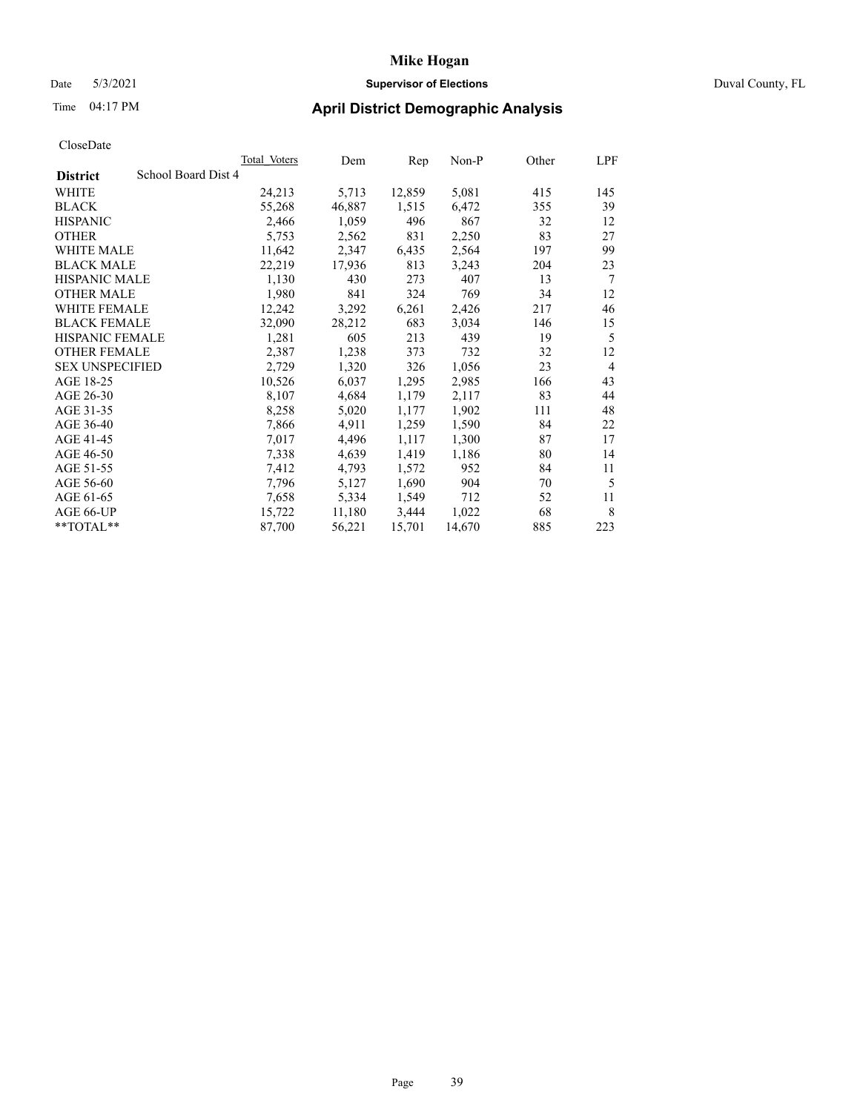## Date 5/3/2021 **Supervisor of Elections** Duval County, FL

|                                        | Total Voters | Dem    | Rep    | Non-P  | Other | LPF            |
|----------------------------------------|--------------|--------|--------|--------|-------|----------------|
| School Board Dist 4<br><b>District</b> |              |        |        |        |       |                |
| WHITE                                  | 24,213       | 5,713  | 12,859 | 5,081  | 415   | 145            |
| <b>BLACK</b>                           | 55,268       | 46,887 | 1,515  | 6,472  | 355   | 39             |
| <b>HISPANIC</b>                        | 2,466        | 1,059  | 496    | 867    | 32    | 12             |
| <b>OTHER</b>                           | 5,753        | 2,562  | 831    | 2,250  | 83    | 27             |
| <b>WHITE MALE</b>                      | 11,642       | 2,347  | 6,435  | 2,564  | 197   | 99             |
| <b>BLACK MALE</b>                      | 22,219       | 17,936 | 813    | 3,243  | 204   | 23             |
| <b>HISPANIC MALE</b>                   | 1,130        | 430    | 273    | 407    | 13    | 7              |
| <b>OTHER MALE</b>                      | 1,980        | 841    | 324    | 769    | 34    | 12             |
| <b>WHITE FEMALE</b>                    | 12,242       | 3,292  | 6,261  | 2,426  | 217   | 46             |
| <b>BLACK FEMALE</b>                    | 32,090       | 28,212 | 683    | 3,034  | 146   | 15             |
| HISPANIC FEMALE                        | 1,281        | 605    | 213    | 439    | 19    | 5              |
| <b>OTHER FEMALE</b>                    | 2,387        | 1,238  | 373    | 732    | 32    | 12             |
| <b>SEX UNSPECIFIED</b>                 | 2,729        | 1,320  | 326    | 1,056  | 23    | $\overline{4}$ |
| AGE 18-25                              | 10,526       | 6,037  | 1,295  | 2,985  | 166   | 43             |
| AGE 26-30                              | 8,107        | 4,684  | 1,179  | 2,117  | 83    | 44             |
| AGE 31-35                              | 8,258        | 5,020  | 1,177  | 1,902  | 111   | 48             |
| AGE 36-40                              | 7,866        | 4,911  | 1,259  | 1,590  | 84    | 22             |
| AGE 41-45                              | 7,017        | 4,496  | 1,117  | 1,300  | 87    | 17             |
| AGE 46-50                              | 7,338        | 4,639  | 1,419  | 1,186  | 80    | 14             |
| AGE 51-55                              | 7,412        | 4,793  | 1,572  | 952    | 84    | 11             |
| AGE 56-60                              | 7,796        | 5,127  | 1,690  | 904    | 70    | 5              |
| AGE 61-65                              | 7,658        | 5,334  | 1,549  | 712    | 52    | 11             |
| <b>AGE 66-UP</b>                       | 15,722       | 11,180 | 3,444  | 1,022  | 68    | 8              |
| $*$ TOTAL $*$                          | 87,700       | 56,221 | 15,701 | 14,670 | 885   | 223            |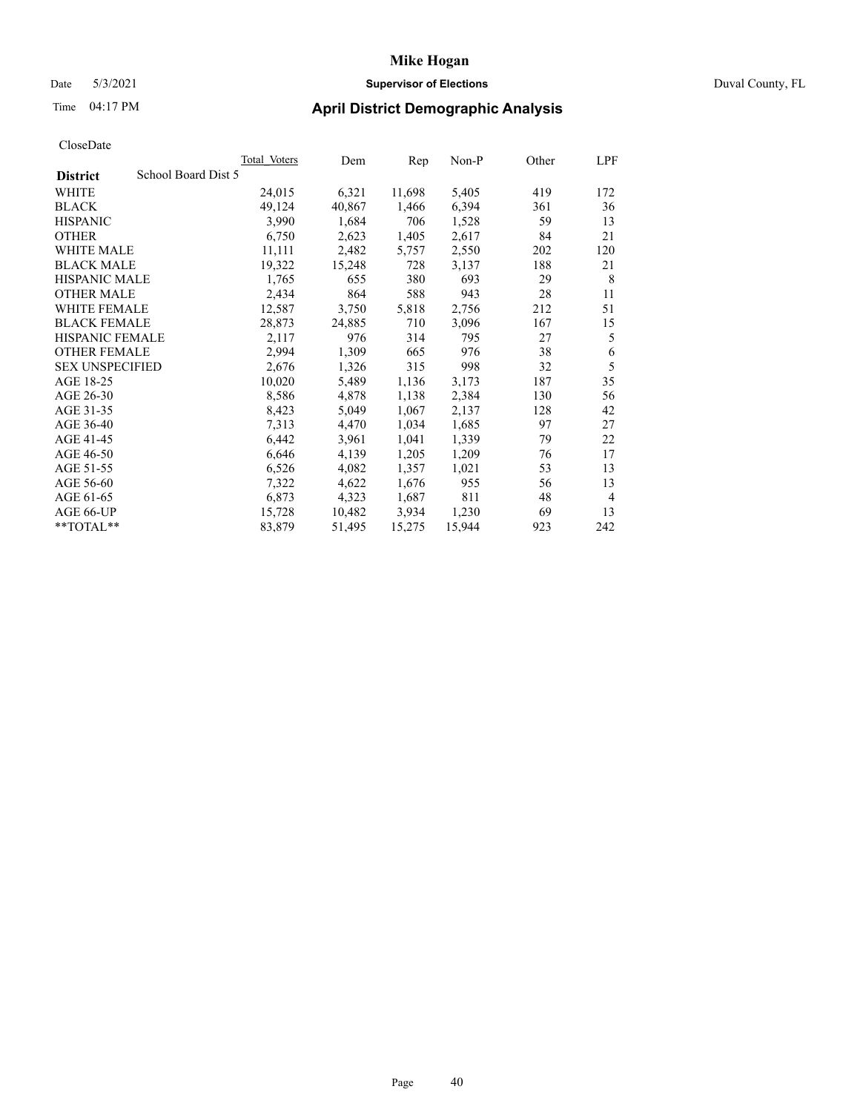### Date 5/3/2021 **Supervisor of Elections** Duval County, FL

| CloseDate |
|-----------|
|-----------|

|                                        | Total Voters | Dem    | Rep    | Non-P  | Other | LPF            |
|----------------------------------------|--------------|--------|--------|--------|-------|----------------|
| School Board Dist 5<br><b>District</b> |              |        |        |        |       |                |
| WHITE                                  | 24,015       | 6,321  | 11,698 | 5,405  | 419   | 172            |
| <b>BLACK</b>                           | 49,124       | 40,867 | 1,466  | 6,394  | 361   | 36             |
| <b>HISPANIC</b>                        | 3,990        | 1,684  | 706    | 1,528  | 59    | 13             |
| <b>OTHER</b>                           | 6,750        | 2,623  | 1,405  | 2,617  | 84    | 21             |
| <b>WHITE MALE</b>                      | 11,111       | 2,482  | 5,757  | 2,550  | 202   | 120            |
| <b>BLACK MALE</b>                      | 19,322       | 15,248 | 728    | 3,137  | 188   | 21             |
| <b>HISPANIC MALE</b>                   | 1,765        | 655    | 380    | 693    | 29    | 8              |
| <b>OTHER MALE</b>                      | 2,434        | 864    | 588    | 943    | 28    | 11             |
| WHITE FEMALE                           | 12,587       | 3,750  | 5,818  | 2,756  | 212   | 51             |
| <b>BLACK FEMALE</b>                    | 28,873       | 24,885 | 710    | 3,096  | 167   | 15             |
| <b>HISPANIC FEMALE</b>                 | 2,117        | 976    | 314    | 795    | 27    | 5              |
| <b>OTHER FEMALE</b>                    | 2,994        | 1,309  | 665    | 976    | 38    | 6              |
| <b>SEX UNSPECIFIED</b>                 | 2,676        | 1,326  | 315    | 998    | 32    | 5              |
| AGE 18-25                              | 10,020       | 5,489  | 1,136  | 3,173  | 187   | 35             |
| AGE 26-30                              | 8,586        | 4,878  | 1,138  | 2,384  | 130   | 56             |
| AGE 31-35                              | 8,423        | 5,049  | 1,067  | 2,137  | 128   | 42             |
| AGE 36-40                              | 7,313        | 4,470  | 1,034  | 1,685  | 97    | 27             |
| AGE 41-45                              | 6,442        | 3,961  | 1,041  | 1,339  | 79    | 22             |
| AGE 46-50                              | 6,646        | 4,139  | 1,205  | 1,209  | 76    | 17             |
| AGE 51-55                              | 6,526        | 4,082  | 1,357  | 1,021  | 53    | 13             |
| AGE 56-60                              | 7,322        | 4,622  | 1,676  | 955    | 56    | 13             |
| AGE 61-65                              | 6,873        | 4,323  | 1,687  | 811    | 48    | $\overline{4}$ |
| AGE 66-UP                              | 15,728       | 10,482 | 3,934  | 1,230  | 69    | 13             |
| **TOTAL**                              | 83,879       | 51,495 | 15,275 | 15,944 | 923   | 242            |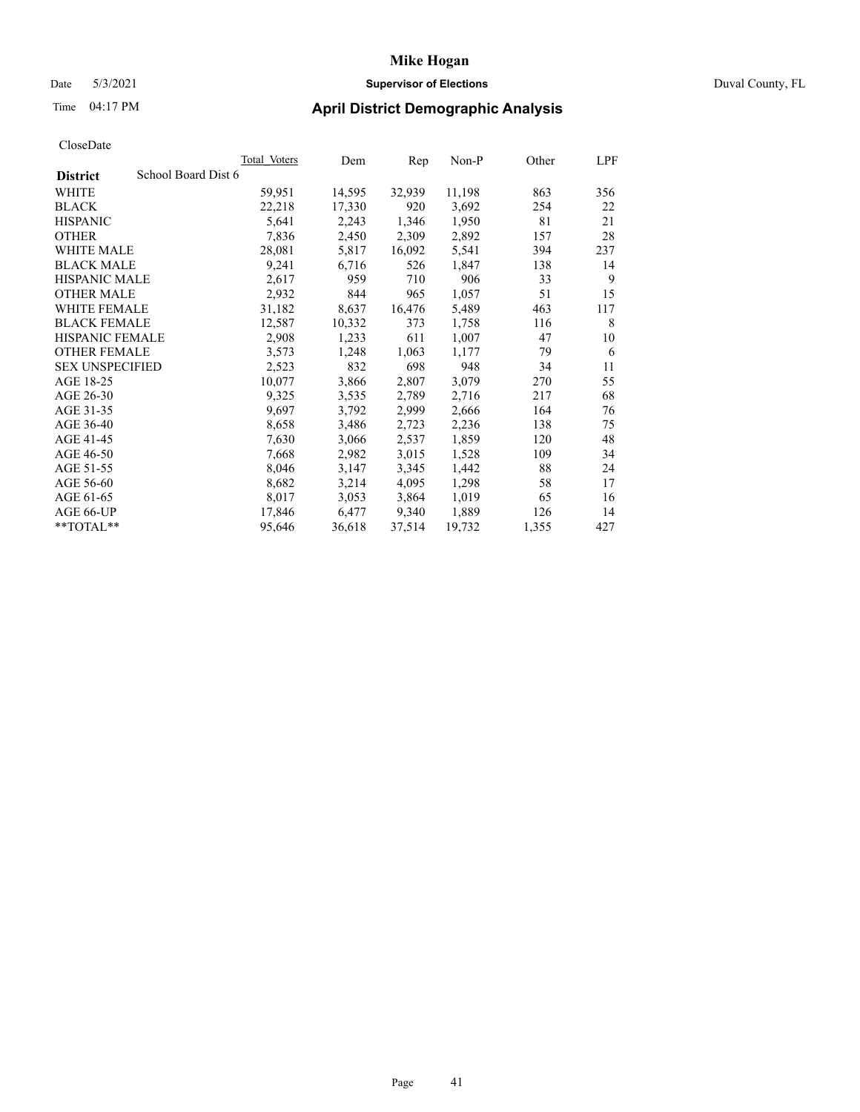### Date 5/3/2021 **Supervisor of Elections** Duval County, FL

## Time 04:17 PM **April District Demographic Analysis**

|                                        | <b>Total Voters</b> | Dem    | Rep    | $Non-P$ | Other | LPF |
|----------------------------------------|---------------------|--------|--------|---------|-------|-----|
| School Board Dist 6<br><b>District</b> |                     |        |        |         |       |     |
| WHITE                                  | 59,951              | 14,595 | 32,939 | 11,198  | 863   | 356 |
| <b>BLACK</b>                           | 22,218              | 17,330 | 920    | 3,692   | 254   | 22  |
| <b>HISPANIC</b>                        | 5,641               | 2,243  | 1,346  | 1,950   | 81    | 21  |
| <b>OTHER</b>                           | 7,836               | 2,450  | 2,309  | 2,892   | 157   | 28  |
| WHITE MALE                             | 28,081              | 5,817  | 16,092 | 5,541   | 394   | 237 |
| <b>BLACK MALE</b>                      | 9,241               | 6,716  | 526    | 1,847   | 138   | 14  |
| <b>HISPANIC MALE</b>                   | 2,617               | 959    | 710    | 906     | 33    | 9   |
| <b>OTHER MALE</b>                      | 2,932               | 844    | 965    | 1,057   | 51    | 15  |
| WHITE FEMALE                           | 31,182              | 8,637  | 16,476 | 5,489   | 463   | 117 |
| <b>BLACK FEMALE</b>                    | 12,587              | 10,332 | 373    | 1,758   | 116   | 8   |
| HISPANIC FEMALE                        | 2,908               | 1,233  | 611    | 1,007   | 47    | 10  |
| <b>OTHER FEMALE</b>                    | 3,573               | 1,248  | 1,063  | 1,177   | 79    | 6   |
| <b>SEX UNSPECIFIED</b>                 | 2,523               | 832    | 698    | 948     | 34    | 11  |
| AGE 18-25                              | 10,077              | 3,866  | 2,807  | 3,079   | 270   | 55  |
| AGE 26-30                              | 9,325               | 3,535  | 2,789  | 2,716   | 217   | 68  |
| AGE 31-35                              | 9,697               | 3,792  | 2,999  | 2,666   | 164   | 76  |
| AGE 36-40                              | 8,658               | 3,486  | 2,723  | 2,236   | 138   | 75  |
| AGE 41-45                              | 7,630               | 3,066  | 2,537  | 1,859   | 120   | 48  |
| AGE 46-50                              | 7,668               | 2,982  | 3,015  | 1,528   | 109   | 34  |
| AGE 51-55                              | 8,046               | 3,147  | 3,345  | 1,442   | 88    | 24  |
| AGE 56-60                              | 8,682               | 3,214  | 4,095  | 1,298   | 58    | 17  |
| AGE 61-65                              | 8,017               | 3,053  | 3,864  | 1,019   | 65    | 16  |
| AGE 66-UP                              | 17,846              | 6,477  | 9,340  | 1,889   | 126   | 14  |
| $*$ $TOTAL**$                          | 95,646              | 36,618 | 37,514 | 19,732  | 1,355 | 427 |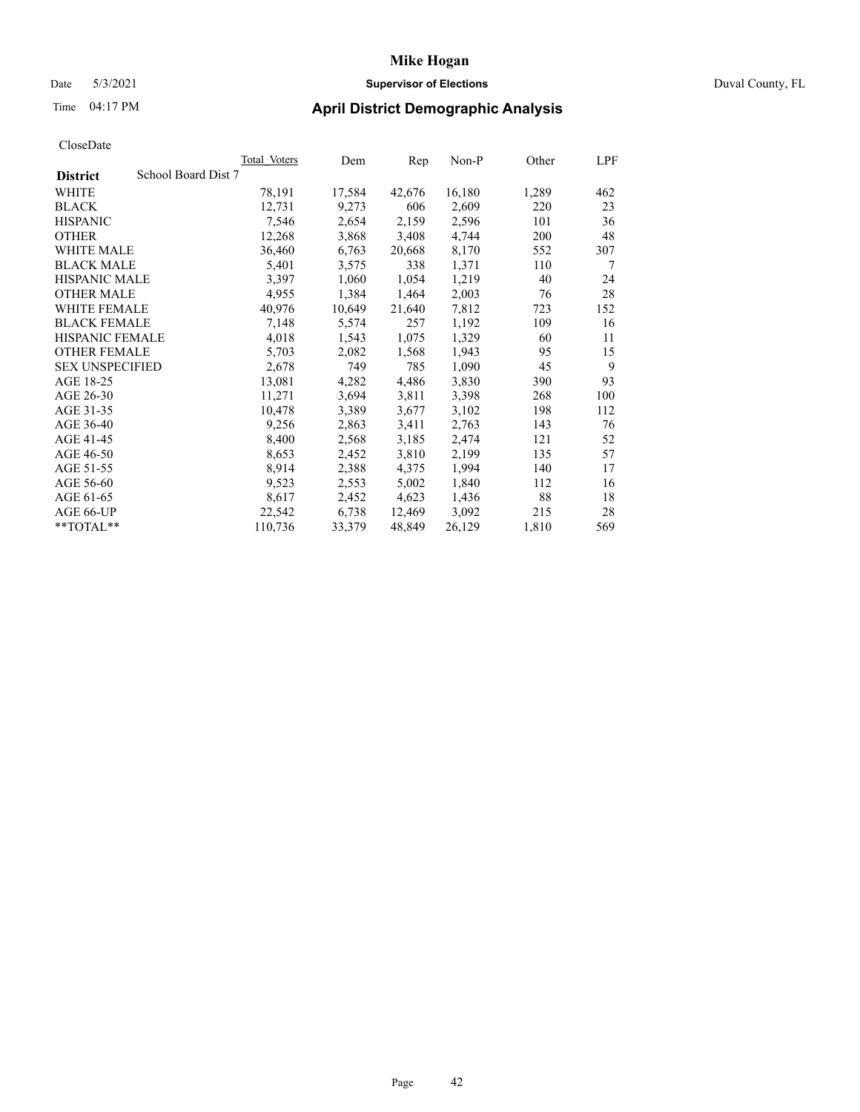### Date 5/3/2021 **Supervisor of Elections** Duval County, FL

## Time 04:17 PM **April District Demographic Analysis**

|                                        | <b>Total Voters</b> | Dem    | Rep    | $Non-P$ | Other | LPF |
|----------------------------------------|---------------------|--------|--------|---------|-------|-----|
| School Board Dist 7<br><b>District</b> |                     |        |        |         |       |     |
| WHITE                                  | 78,191              | 17,584 | 42,676 | 16,180  | 1,289 | 462 |
| <b>BLACK</b>                           | 12,731              | 9,273  | 606    | 2,609   | 220   | 23  |
| <b>HISPANIC</b>                        | 7,546               | 2,654  | 2,159  | 2,596   | 101   | 36  |
| <b>OTHER</b>                           | 12,268              | 3,868  | 3,408  | 4,744   | 200   | 48  |
| <b>WHITE MALE</b>                      | 36,460              | 6,763  | 20,668 | 8,170   | 552   | 307 |
| <b>BLACK MALE</b>                      | 5,401               | 3,575  | 338    | 1,371   | 110   | 7   |
| <b>HISPANIC MALE</b>                   | 3,397               | 1,060  | 1,054  | 1,219   | 40    | 24  |
| <b>OTHER MALE</b>                      | 4,955               | 1,384  | 1,464  | 2,003   | 76    | 28  |
| <b>WHITE FEMALE</b>                    | 40,976              | 10,649 | 21,640 | 7,812   | 723   | 152 |
| <b>BLACK FEMALE</b>                    | 7,148               | 5,574  | 257    | 1,192   | 109   | 16  |
| <b>HISPANIC FEMALE</b>                 | 4,018               | 1,543  | 1,075  | 1,329   | 60    | 11  |
| <b>OTHER FEMALE</b>                    | 5,703               | 2,082  | 1,568  | 1,943   | 95    | 15  |
| <b>SEX UNSPECIFIED</b>                 | 2,678               | 749    | 785    | 1,090   | 45    | 9   |
| AGE 18-25                              | 13,081              | 4,282  | 4,486  | 3,830   | 390   | 93  |
| AGE 26-30                              | 11,271              | 3,694  | 3,811  | 3,398   | 268   | 100 |
| AGE 31-35                              | 10,478              | 3,389  | 3,677  | 3,102   | 198   | 112 |
| AGE 36-40                              | 9,256               | 2,863  | 3,411  | 2,763   | 143   | 76  |
| AGE 41-45                              | 8,400               | 2,568  | 3,185  | 2,474   | 121   | 52  |
| AGE 46-50                              | 8,653               | 2,452  | 3,810  | 2,199   | 135   | 57  |
| AGE 51-55                              | 8,914               | 2,388  | 4,375  | 1,994   | 140   | 17  |
| AGE 56-60                              | 9,523               | 2,553  | 5,002  | 1,840   | 112   | 16  |
| AGE 61-65                              | 8,617               | 2,452  | 4,623  | 1,436   | 88    | 18  |
| AGE 66-UP                              | 22,542              | 6,738  | 12,469 | 3,092   | 215   | 28  |
| **TOTAL**                              | 110,736             | 33,379 | 48,849 | 26,129  | 1,810 | 569 |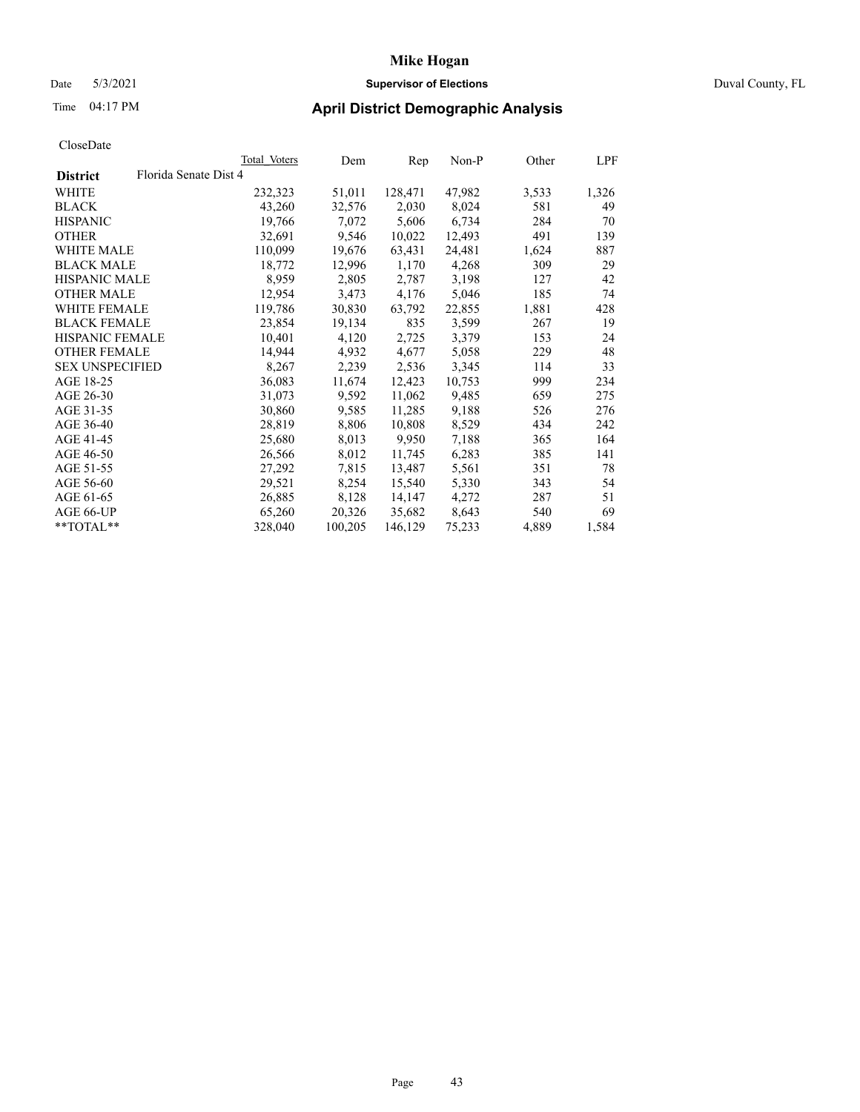### Date 5/3/2021 **Supervisor of Elections** Duval County, FL

## Time 04:17 PM **April District Demographic Analysis**

| Florida Senate Dist 4<br><b>District</b><br>128,471<br>WHITE<br>232,323<br>51,011<br>47,982<br>3,533<br>43,260<br>32,576<br>2,030<br>8,024<br>581<br><b>BLACK</b><br>49<br>284<br><b>HISPANIC</b><br>19,766<br>7,072<br>5,606<br>6,734<br>70<br><b>OTHER</b><br>9,546<br>10,022<br>12,493<br>491<br>32,691<br>WHITE MALE<br>110,099<br>19,676<br>63,431<br>24,481<br>1,624<br>887<br>18,772<br>12,996<br>4,268<br>309<br><b>BLACK MALE</b><br>1,170<br><b>HISPANIC MALE</b><br>8,959<br>3,198<br>2,805<br>2,787<br>127<br>42<br><b>OTHER MALE</b><br>12,954<br>3,473<br>4,176<br>5,046<br>185<br>74<br>22,855<br><b>WHITE FEMALE</b><br>119,786<br>30,830<br>63,792<br>1,881<br>428<br><b>BLACK FEMALE</b><br>3,599<br>23,854<br>19,134<br>835<br>267<br>HISPANIC FEMALE<br>10,401<br>4,120<br>2,725<br>3,379<br>153<br><b>OTHER FEMALE</b><br>14,944<br>4,932<br>5,058<br>229<br>48<br>4,677<br>8,267<br>2,239<br>3,345<br>33<br><b>SEX UNSPECIFIED</b><br>2,536<br>114<br>AGE 18-25<br>36,083<br>10,753<br>999<br>11,674<br>12,423<br>AGE 26-30<br>31,073<br>9,592<br>11,062<br>9,485<br>659<br>275<br>AGE 31-35<br>30,860<br>9,585<br>11,285<br>9,188<br>526<br>AGE 36-40<br>28,819<br>8,806<br>8,529<br>434<br>10,808<br>242<br>AGE 41-45<br>8,013<br>9,950<br>7,188<br>25,680<br>365<br>164<br>AGE 46-50<br>8,012<br>11,745<br>6,283<br>385<br>26,566<br>141<br>AGE 51-55<br>27,292<br>7,815<br>13,487<br>5,561<br>351<br>78<br>AGE 56-60<br>29,521<br>8,254<br>15,540<br>5,330<br>343<br>26,885<br>51<br>AGE 61-65<br>8,128<br>14,147<br>4,272<br>287<br>35,682<br>8,643<br>AGE 66-UP<br>65,260<br>20,326<br>540<br>328,040<br>100,205<br>146,129<br>75,233<br>1,584<br>$*$ $TOTAL**$<br>4,889 |  | <b>Total Voters</b> | Dem | Rep | $Non-P$ | Other | LPF   |
|------------------------------------------------------------------------------------------------------------------------------------------------------------------------------------------------------------------------------------------------------------------------------------------------------------------------------------------------------------------------------------------------------------------------------------------------------------------------------------------------------------------------------------------------------------------------------------------------------------------------------------------------------------------------------------------------------------------------------------------------------------------------------------------------------------------------------------------------------------------------------------------------------------------------------------------------------------------------------------------------------------------------------------------------------------------------------------------------------------------------------------------------------------------------------------------------------------------------------------------------------------------------------------------------------------------------------------------------------------------------------------------------------------------------------------------------------------------------------------------------------------------------------------------------------------------------------------------------------------------------------------------------------------------------------------------------------|--|---------------------|-----|-----|---------|-------|-------|
|                                                                                                                                                                                                                                                                                                                                                                                                                                                                                                                                                                                                                                                                                                                                                                                                                                                                                                                                                                                                                                                                                                                                                                                                                                                                                                                                                                                                                                                                                                                                                                                                                                                                                                      |  |                     |     |     |         |       |       |
|                                                                                                                                                                                                                                                                                                                                                                                                                                                                                                                                                                                                                                                                                                                                                                                                                                                                                                                                                                                                                                                                                                                                                                                                                                                                                                                                                                                                                                                                                                                                                                                                                                                                                                      |  |                     |     |     |         |       | 1,326 |
|                                                                                                                                                                                                                                                                                                                                                                                                                                                                                                                                                                                                                                                                                                                                                                                                                                                                                                                                                                                                                                                                                                                                                                                                                                                                                                                                                                                                                                                                                                                                                                                                                                                                                                      |  |                     |     |     |         |       |       |
|                                                                                                                                                                                                                                                                                                                                                                                                                                                                                                                                                                                                                                                                                                                                                                                                                                                                                                                                                                                                                                                                                                                                                                                                                                                                                                                                                                                                                                                                                                                                                                                                                                                                                                      |  |                     |     |     |         |       |       |
|                                                                                                                                                                                                                                                                                                                                                                                                                                                                                                                                                                                                                                                                                                                                                                                                                                                                                                                                                                                                                                                                                                                                                                                                                                                                                                                                                                                                                                                                                                                                                                                                                                                                                                      |  |                     |     |     |         |       | 139   |
|                                                                                                                                                                                                                                                                                                                                                                                                                                                                                                                                                                                                                                                                                                                                                                                                                                                                                                                                                                                                                                                                                                                                                                                                                                                                                                                                                                                                                                                                                                                                                                                                                                                                                                      |  |                     |     |     |         |       |       |
|                                                                                                                                                                                                                                                                                                                                                                                                                                                                                                                                                                                                                                                                                                                                                                                                                                                                                                                                                                                                                                                                                                                                                                                                                                                                                                                                                                                                                                                                                                                                                                                                                                                                                                      |  |                     |     |     |         |       | 29    |
|                                                                                                                                                                                                                                                                                                                                                                                                                                                                                                                                                                                                                                                                                                                                                                                                                                                                                                                                                                                                                                                                                                                                                                                                                                                                                                                                                                                                                                                                                                                                                                                                                                                                                                      |  |                     |     |     |         |       |       |
|                                                                                                                                                                                                                                                                                                                                                                                                                                                                                                                                                                                                                                                                                                                                                                                                                                                                                                                                                                                                                                                                                                                                                                                                                                                                                                                                                                                                                                                                                                                                                                                                                                                                                                      |  |                     |     |     |         |       |       |
|                                                                                                                                                                                                                                                                                                                                                                                                                                                                                                                                                                                                                                                                                                                                                                                                                                                                                                                                                                                                                                                                                                                                                                                                                                                                                                                                                                                                                                                                                                                                                                                                                                                                                                      |  |                     |     |     |         |       |       |
|                                                                                                                                                                                                                                                                                                                                                                                                                                                                                                                                                                                                                                                                                                                                                                                                                                                                                                                                                                                                                                                                                                                                                                                                                                                                                                                                                                                                                                                                                                                                                                                                                                                                                                      |  |                     |     |     |         |       | 19    |
|                                                                                                                                                                                                                                                                                                                                                                                                                                                                                                                                                                                                                                                                                                                                                                                                                                                                                                                                                                                                                                                                                                                                                                                                                                                                                                                                                                                                                                                                                                                                                                                                                                                                                                      |  |                     |     |     |         |       | 24    |
|                                                                                                                                                                                                                                                                                                                                                                                                                                                                                                                                                                                                                                                                                                                                                                                                                                                                                                                                                                                                                                                                                                                                                                                                                                                                                                                                                                                                                                                                                                                                                                                                                                                                                                      |  |                     |     |     |         |       |       |
|                                                                                                                                                                                                                                                                                                                                                                                                                                                                                                                                                                                                                                                                                                                                                                                                                                                                                                                                                                                                                                                                                                                                                                                                                                                                                                                                                                                                                                                                                                                                                                                                                                                                                                      |  |                     |     |     |         |       |       |
|                                                                                                                                                                                                                                                                                                                                                                                                                                                                                                                                                                                                                                                                                                                                                                                                                                                                                                                                                                                                                                                                                                                                                                                                                                                                                                                                                                                                                                                                                                                                                                                                                                                                                                      |  |                     |     |     |         |       | 234   |
|                                                                                                                                                                                                                                                                                                                                                                                                                                                                                                                                                                                                                                                                                                                                                                                                                                                                                                                                                                                                                                                                                                                                                                                                                                                                                                                                                                                                                                                                                                                                                                                                                                                                                                      |  |                     |     |     |         |       |       |
|                                                                                                                                                                                                                                                                                                                                                                                                                                                                                                                                                                                                                                                                                                                                                                                                                                                                                                                                                                                                                                                                                                                                                                                                                                                                                                                                                                                                                                                                                                                                                                                                                                                                                                      |  |                     |     |     |         |       | 276   |
|                                                                                                                                                                                                                                                                                                                                                                                                                                                                                                                                                                                                                                                                                                                                                                                                                                                                                                                                                                                                                                                                                                                                                                                                                                                                                                                                                                                                                                                                                                                                                                                                                                                                                                      |  |                     |     |     |         |       |       |
|                                                                                                                                                                                                                                                                                                                                                                                                                                                                                                                                                                                                                                                                                                                                                                                                                                                                                                                                                                                                                                                                                                                                                                                                                                                                                                                                                                                                                                                                                                                                                                                                                                                                                                      |  |                     |     |     |         |       |       |
|                                                                                                                                                                                                                                                                                                                                                                                                                                                                                                                                                                                                                                                                                                                                                                                                                                                                                                                                                                                                                                                                                                                                                                                                                                                                                                                                                                                                                                                                                                                                                                                                                                                                                                      |  |                     |     |     |         |       |       |
|                                                                                                                                                                                                                                                                                                                                                                                                                                                                                                                                                                                                                                                                                                                                                                                                                                                                                                                                                                                                                                                                                                                                                                                                                                                                                                                                                                                                                                                                                                                                                                                                                                                                                                      |  |                     |     |     |         |       |       |
|                                                                                                                                                                                                                                                                                                                                                                                                                                                                                                                                                                                                                                                                                                                                                                                                                                                                                                                                                                                                                                                                                                                                                                                                                                                                                                                                                                                                                                                                                                                                                                                                                                                                                                      |  |                     |     |     |         |       | 54    |
|                                                                                                                                                                                                                                                                                                                                                                                                                                                                                                                                                                                                                                                                                                                                                                                                                                                                                                                                                                                                                                                                                                                                                                                                                                                                                                                                                                                                                                                                                                                                                                                                                                                                                                      |  |                     |     |     |         |       |       |
|                                                                                                                                                                                                                                                                                                                                                                                                                                                                                                                                                                                                                                                                                                                                                                                                                                                                                                                                                                                                                                                                                                                                                                                                                                                                                                                                                                                                                                                                                                                                                                                                                                                                                                      |  |                     |     |     |         |       | 69    |
|                                                                                                                                                                                                                                                                                                                                                                                                                                                                                                                                                                                                                                                                                                                                                                                                                                                                                                                                                                                                                                                                                                                                                                                                                                                                                                                                                                                                                                                                                                                                                                                                                                                                                                      |  |                     |     |     |         |       |       |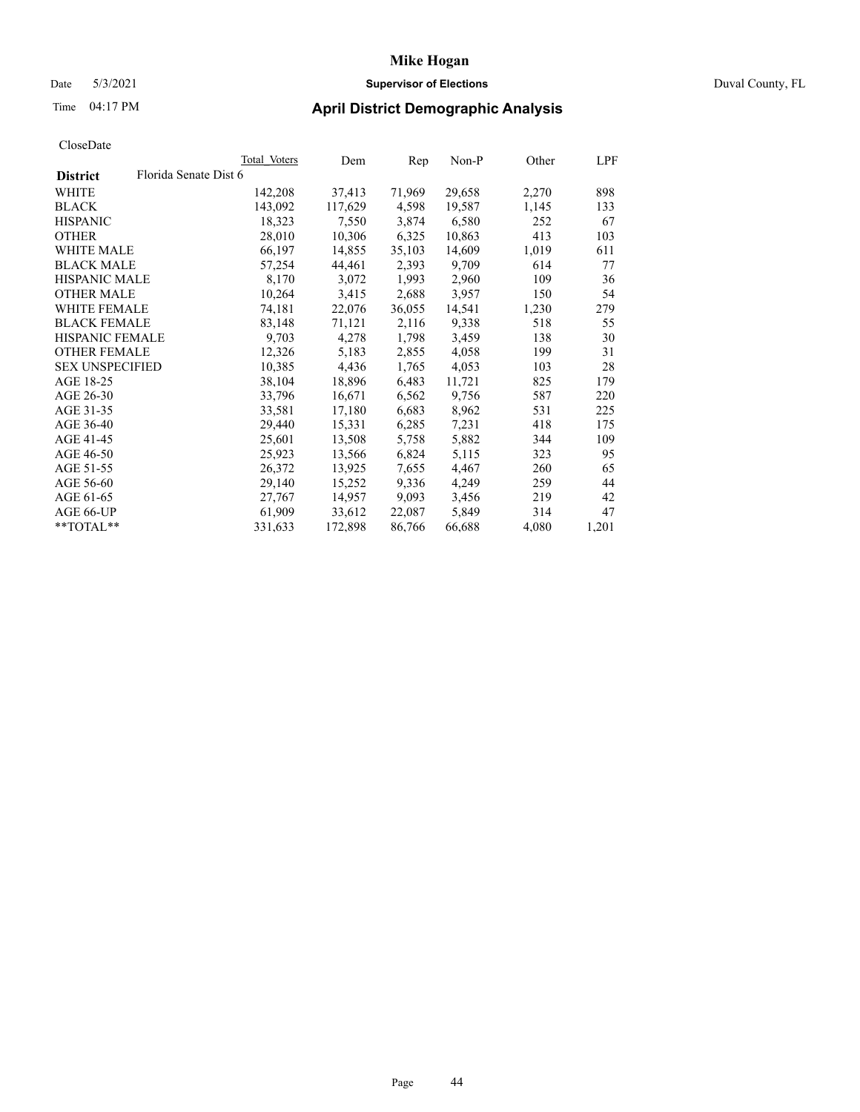## Date 5/3/2021 **Supervisor of Elections** Duval County, FL

# Time 04:17 PM **April District Demographic Analysis**

|                        |                       | Total Voters | Dem     | Rep    | Non-P  | Other | LPF   |
|------------------------|-----------------------|--------------|---------|--------|--------|-------|-------|
| <b>District</b>        | Florida Senate Dist 6 |              |         |        |        |       |       |
| WHITE                  |                       | 142,208      | 37,413  | 71,969 | 29,658 | 2,270 | 898   |
| <b>BLACK</b>           |                       | 143,092      | 117,629 | 4,598  | 19,587 | 1,145 | 133   |
| <b>HISPANIC</b>        |                       | 18,323       | 7,550   | 3,874  | 6,580  | 252   | 67    |
| <b>OTHER</b>           |                       | 28,010       | 10,306  | 6,325  | 10,863 | 413   | 103   |
| WHITE MALE             |                       | 66,197       | 14,855  | 35,103 | 14,609 | 1,019 | 611   |
| <b>BLACK MALE</b>      |                       | 57,254       | 44,461  | 2,393  | 9,709  | 614   | 77    |
| <b>HISPANIC MALE</b>   |                       | 8,170        | 3,072   | 1,993  | 2,960  | 109   | 36    |
| <b>OTHER MALE</b>      |                       | 10,264       | 3,415   | 2,688  | 3,957  | 150   | 54    |
| <b>WHITE FEMALE</b>    |                       | 74,181       | 22,076  | 36,055 | 14,541 | 1,230 | 279   |
| <b>BLACK FEMALE</b>    |                       | 83,148       | 71,121  | 2,116  | 9,338  | 518   | 55    |
| <b>HISPANIC FEMALE</b> |                       | 9,703        | 4,278   | 1,798  | 3,459  | 138   | 30    |
| <b>OTHER FEMALE</b>    |                       | 12,326       | 5,183   | 2,855  | 4,058  | 199   | 31    |
| <b>SEX UNSPECIFIED</b> |                       | 10,385       | 4,436   | 1,765  | 4,053  | 103   | 28    |
| AGE 18-25              |                       | 38,104       | 18,896  | 6,483  | 11,721 | 825   | 179   |
| AGE 26-30              |                       | 33,796       | 16,671  | 6,562  | 9,756  | 587   | 220   |
| AGE 31-35              |                       | 33,581       | 17,180  | 6,683  | 8,962  | 531   | 225   |
| AGE 36-40              |                       | 29,440       | 15,331  | 6,285  | 7,231  | 418   | 175   |
| AGE 41-45              |                       | 25,601       | 13,508  | 5,758  | 5,882  | 344   | 109   |
| AGE 46-50              |                       | 25,923       | 13,566  | 6,824  | 5,115  | 323   | 95    |
| AGE 51-55              |                       | 26,372       | 13,925  | 7,655  | 4,467  | 260   | 65    |
| AGE 56-60              |                       | 29,140       | 15,252  | 9,336  | 4,249  | 259   | 44    |
| AGE 61-65              |                       | 27,767       | 14,957  | 9,093  | 3,456  | 219   | 42    |
| AGE 66-UP              |                       | 61,909       | 33,612  | 22,087 | 5,849  | 314   | 47    |
| $*$ $TOTAL**$          |                       | 331,633      | 172,898 | 86,766 | 66,688 | 4,080 | 1,201 |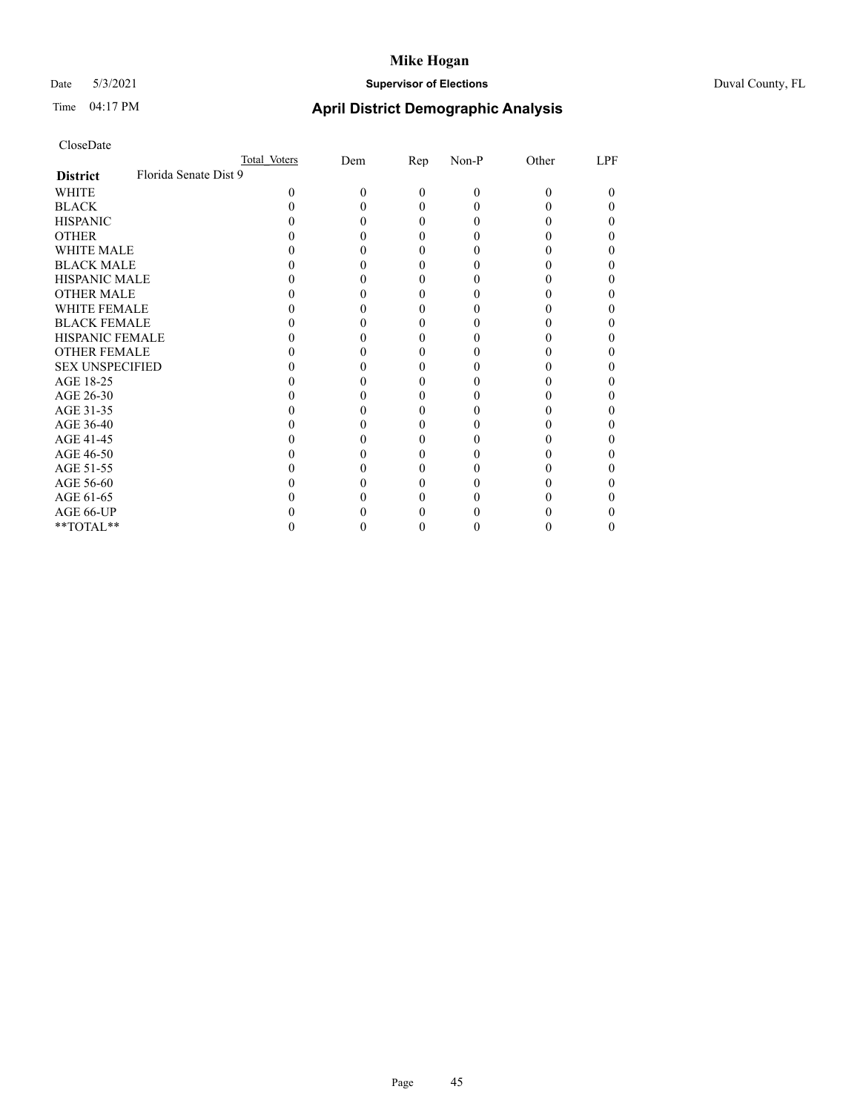## Date 5/3/2021 **Supervisor of Elections** Duval County, FL

| CloseDate |  |
|-----------|--|
|-----------|--|

|                        |                       | Total Voters | Dem | $\mathbf{Rep}$ | Non-P | Other | LPF |
|------------------------|-----------------------|--------------|-----|----------------|-------|-------|-----|
| <b>District</b>        | Florida Senate Dist 9 |              |     |                |       |       |     |
| WHITE                  |                       |              |     | 0              | 0     | 0     | 0   |
| <b>BLACK</b>           |                       |              |     |                |       |       |     |
| <b>HISPANIC</b>        |                       |              |     |                |       |       |     |
| <b>OTHER</b>           |                       |              |     |                |       |       |     |
| <b>WHITE MALE</b>      |                       |              |     |                |       |       |     |
| <b>BLACK MALE</b>      |                       |              |     |                |       |       |     |
| <b>HISPANIC MALE</b>   |                       |              |     |                |       |       |     |
| <b>OTHER MALE</b>      |                       |              |     |                |       |       |     |
| <b>WHITE FEMALE</b>    |                       |              |     |                |       |       |     |
| <b>BLACK FEMALE</b>    |                       |              |     |                |       |       |     |
| <b>HISPANIC FEMALE</b> |                       |              |     |                |       |       |     |
| <b>OTHER FEMALE</b>    |                       |              |     |                |       |       |     |
| <b>SEX UNSPECIFIED</b> |                       |              |     |                |       |       |     |
| AGE 18-25              |                       |              |     |                |       |       |     |
| AGE 26-30              |                       |              |     |                |       |       |     |
| AGE 31-35              |                       |              |     |                |       |       |     |
| AGE 36-40              |                       |              |     |                |       |       |     |
| AGE 41-45              |                       |              |     |                |       |       |     |
| AGE 46-50              |                       |              |     |                |       |       |     |
| AGE 51-55              |                       |              |     |                |       |       |     |
| AGE 56-60              |                       |              |     |                |       |       |     |
| AGE 61-65              |                       |              |     |                |       |       |     |
| AGE 66-UP              |                       |              |     |                |       |       |     |
| **TOTAL**              |                       |              |     |                |       |       |     |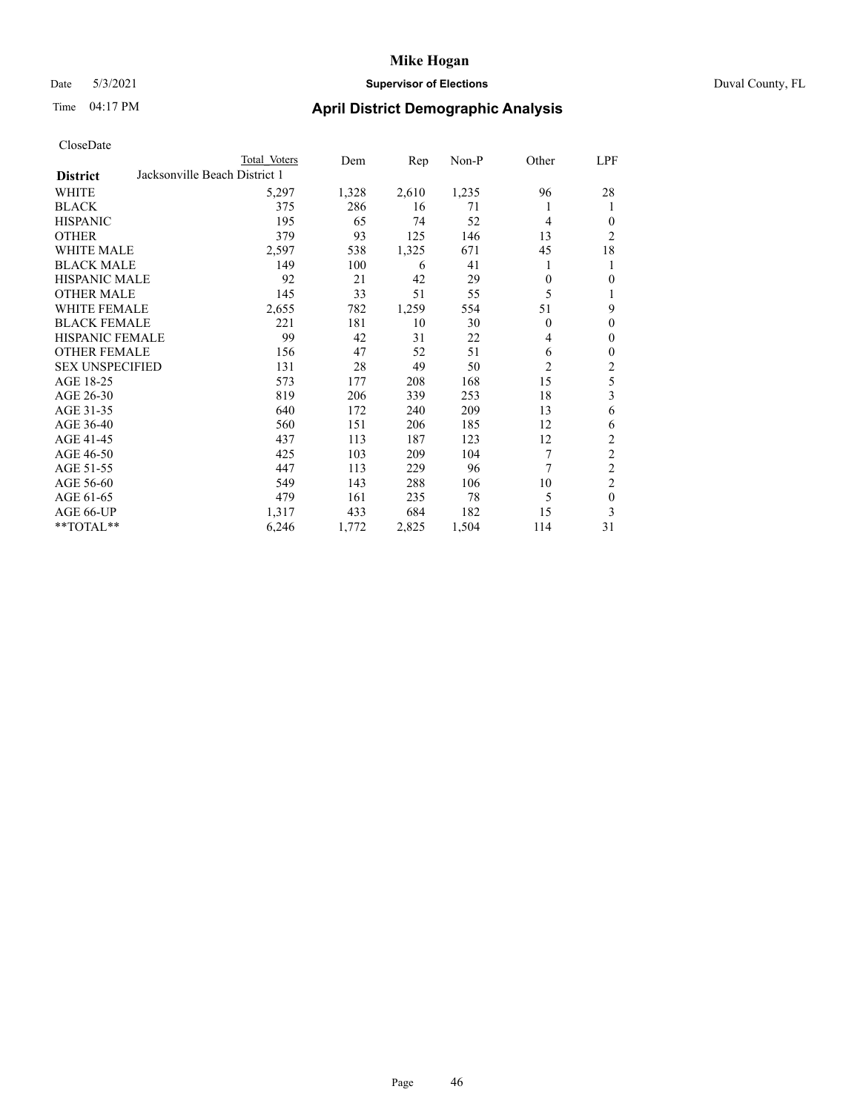### Date 5/3/2021 **Supervisor of Elections** Duval County, FL

| CloseDate |
|-----------|
|-----------|

|                                                  | Total Voters | Dem   | Rep   | $Non-P$ | Other          | LPF            |
|--------------------------------------------------|--------------|-------|-------|---------|----------------|----------------|
| Jacksonville Beach District 1<br><b>District</b> |              |       |       |         |                |                |
| WHITE                                            | 5,297        | 1,328 | 2,610 | 1,235   | 96             | 28             |
| <b>BLACK</b>                                     | 375          | 286   | 16    | 71      | 1              | 1              |
| <b>HISPANIC</b>                                  | 195          | 65    | 74    | 52      | 4              | $\theta$       |
| <b>OTHER</b>                                     | 379          | 93    | 125   | 146     | 13             | $\overline{c}$ |
| <b>WHITE MALE</b>                                | 2,597        | 538   | 1,325 | 671     | 45             | 18             |
| <b>BLACK MALE</b>                                | 149          | 100   | 6     | 41      | 1              | 1              |
| <b>HISPANIC MALE</b>                             | 92           | 21    | 42    | 29      | $\Omega$       | $\theta$       |
| <b>OTHER MALE</b>                                | 145          | 33    | 51    | 55      | 5              |                |
| <b>WHITE FEMALE</b>                              | 2,655        | 782   | 1,259 | 554     | 51             | 9              |
| <b>BLACK FEMALE</b>                              | 221          | 181   | 10    | 30      | $\theta$       | $\theta$       |
| HISPANIC FEMALE                                  | 99           | 42    | 31    | 22      | 4              | $\mathbf{0}$   |
| <b>OTHER FEMALE</b>                              | 156          | 47    | 52    | 51      | 6              | $\mathbf{0}$   |
| <b>SEX UNSPECIFIED</b>                           | 131          | 28    | 49    | 50      | $\overline{c}$ | 2              |
| AGE 18-25                                        | 573          | 177   | 208   | 168     | 15             | 5              |
| AGE 26-30                                        | 819          | 206   | 339   | 253     | 18             | 3              |
| AGE 31-35                                        | 640          | 172   | 240   | 209     | 13             | 6              |
| AGE 36-40                                        | 560          | 151   | 206   | 185     | 12             | 6              |
| AGE 41-45                                        | 437          | 113   | 187   | 123     | 12             | 2              |
| AGE 46-50                                        | 425          | 103   | 209   | 104     | 7              | $\overline{c}$ |
| AGE 51-55                                        | 447          | 113   | 229   | 96      | 7              | $\overline{c}$ |
| AGE 56-60                                        | 549          | 143   | 288   | 106     | 10             | $\overline{2}$ |
| AGE 61-65                                        | 479          | 161   | 235   | 78      | 5              | $\mathbf{0}$   |
| AGE 66-UP                                        | 1,317        | 433   | 684   | 182     | 15             | 3              |
| **TOTAL**                                        | 6,246        | 1,772 | 2,825 | 1,504   | 114            | 31             |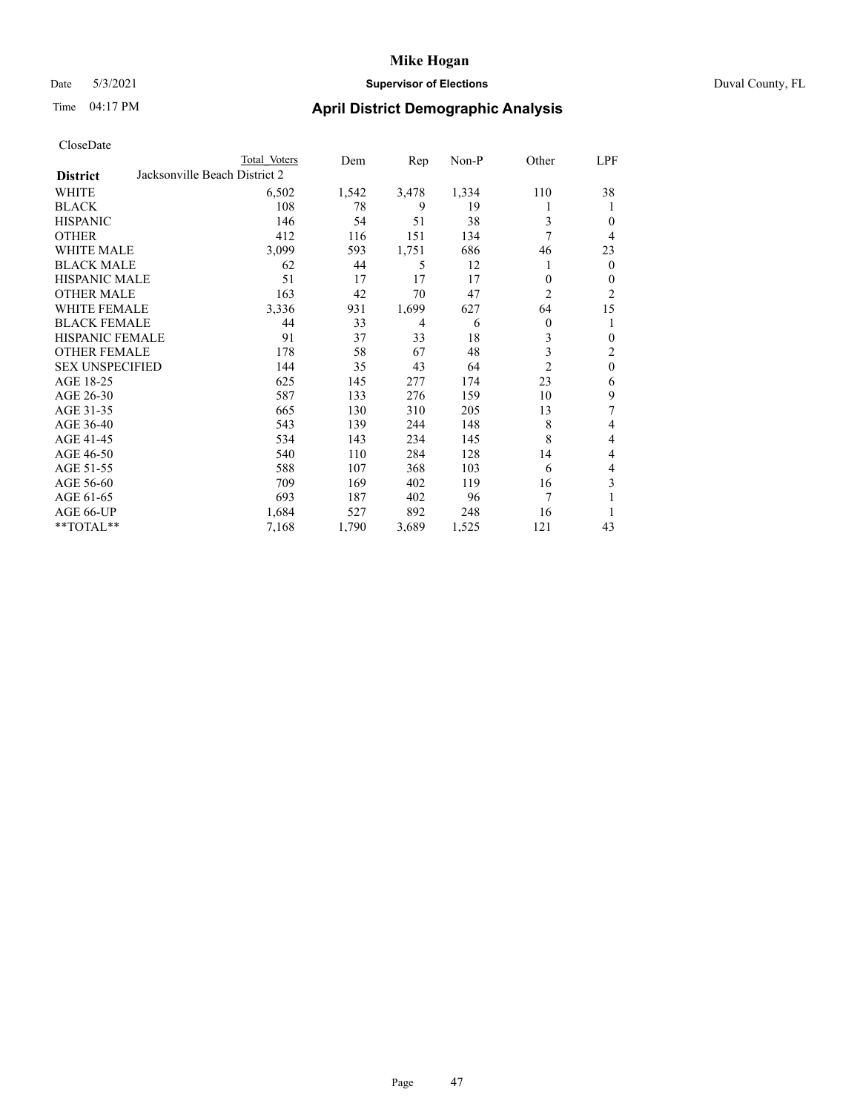### Date 5/3/2021 **Supervisor of Elections** Duval County, FL

| CloseDate |
|-----------|
|-----------|

| Total Voters | Dem                           | Rep   | $Non-P$ | Other          | LPF            |
|--------------|-------------------------------|-------|---------|----------------|----------------|
|              |                               |       |         |                |                |
| 6,502        | 1,542                         | 3,478 | 1,334   | 110            | 38             |
| 108          | 78                            | 9     | 19      |                | 1              |
| 146          | 54                            | 51    | 38      | 3              | $\theta$       |
| 412          | 116                           | 151   | 134     | 7              | 4              |
| 3,099        | 593                           | 1,751 | 686     | 46             | 23             |
| 62           | 44                            | 5     | 12      |                | $\mathbf{0}$   |
| 51           | 17                            | 17    | 17      | 0              | $\theta$       |
| 163          | 42                            | 70    | 47      | $\overline{c}$ | 2              |
| 3,336        | 931                           | 1,699 | 627     | 64             | 15             |
| 44           | 33                            | 4     | 6       | 0              | 1              |
| 91           | 37                            | 33    | 18      | 3              | $\mathbf{0}$   |
| 178          | 58                            | 67    | 48      | 3              | $\overline{c}$ |
| 144          | 35                            | 43    | 64      | $\overline{c}$ | $\mathbf{0}$   |
| 625          | 145                           | 277   | 174     | 23             | 6              |
| 587          | 133                           | 276   | 159     | 10             | 9              |
| 665          | 130                           | 310   | 205     | 13             | 7              |
| 543          | 139                           | 244   | 148     | 8              | 4              |
| 534          | 143                           | 234   | 145     | 8              | 4              |
| 540          | 110                           | 284   | 128     | 14             | 4              |
| 588          | 107                           | 368   | 103     | 6              | 4              |
| 709          | 169                           | 402   | 119     | 16             | 3              |
| 693          | 187                           | 402   | 96      | 7              | 1              |
| 1,684        | 527                           | 892   | 248     | 16             | 1              |
| 7,168        | 1,790                         | 3,689 | 1,525   | 121            | 43             |
|              | Jacksonville Beach District 2 |       |         |                |                |